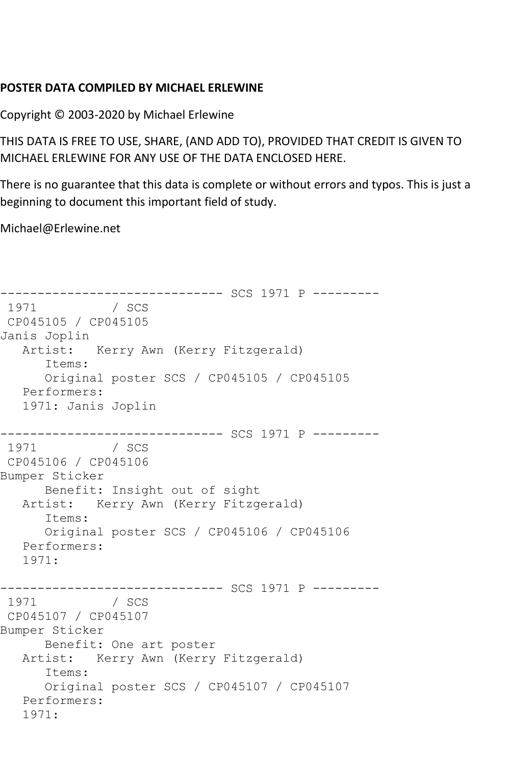## **POSTER DATA COMPILED BY MICHAEL ERLEWINE**

Copyright © 2003-2020 by Michael Erlewine

THIS DATA IS FREE TO USE, SHARE, (AND ADD TO), PROVIDED THAT CREDIT IS GIVEN TO MICHAEL ERLEWINE FOR ANY USE OF THE DATA ENCLOSED HERE.

There is no guarantee that this data is complete or without errors and typos. This is just a beginning to document this important field of study.

Michael@Erlewine.net

------------------------------ SCS 1971 P --------- 1971 CP045105 / CP045105 Janis Joplin Artist: Kerry Awn (Kerry Fitzgerald) Items: Original poster SCS / CP045105 / CP045105 Performers: 1971: Janis Joplin ------------------------------ SCS 1971 P --------- 1971 / SCS CP045106 / CP045106 Bumper Sticker Benefit: Insight out of sight Artist: Kerry Awn (Kerry Fitzgerald) Items: Original poster SCS / CP045106 / CP045106 Performers: 1971: ------------------------------ SCS 1971 P --------- / SCS CP045107 / CP045107 Bumper Sticker Benefit: One art poster Artist: Kerry Awn (Kerry Fitzgerald) Items: Original poster SCS / CP045107 / CP045107 Performers: 1971: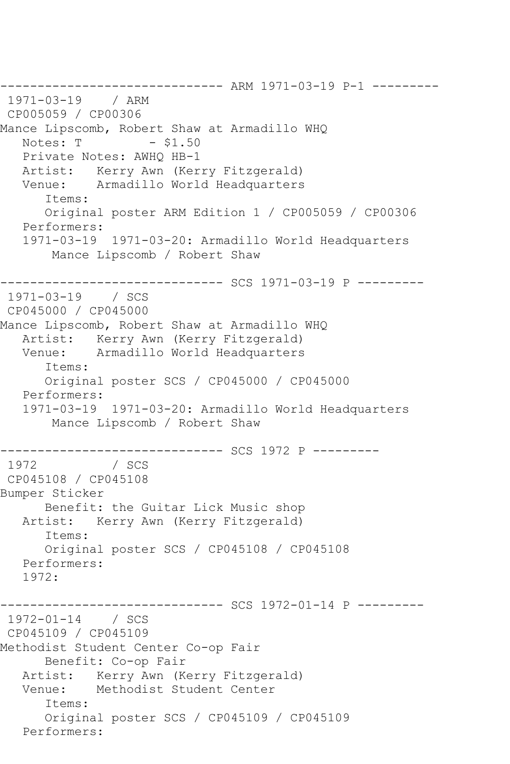------------------------------ ARM 1971-03-19 P-1 --------- 1971-03-19 / ARM CP005059 / CP00306 Mance Lipscomb, Robert Shaw at Armadillo WHQ<br>Notes: T - \$1.50 Notes: T Private Notes: AWHQ HB-1 Artist: Kerry Awn (Kerry Fitzgerald) Venue: Armadillo World Headquarters Items: Original poster ARM Edition 1 / CP005059 / CP00306 Performers: 1971-03-19 1971-03-20: Armadillo World Headquarters Mance Lipscomb / Robert Shaw ------------------------------ SCS 1971-03-19 P --------- 1971-03-19 / SCS CP045000 / CP045000 Mance Lipscomb, Robert Shaw at Armadillo WHQ Artist: Kerry Awn (Kerry Fitzgerald)<br>Venue: Armadillo World Headquarters Armadillo World Headquarters Items: Original poster SCS / CP045000 / CP045000 Performers: 1971-03-19 1971-03-20: Armadillo World Headquarters Mance Lipscomb / Robert Shaw ------------------------------ SCS 1972 P --------- 1972 / SCS CP045108 / CP045108 Bumper Sticker Benefit: the Guitar Lick Music shop Artist: Kerry Awn (Kerry Fitzgerald) Items: Original poster SCS / CP045108 / CP045108 Performers: 1972: ----------- SCS 1972-01-14 P ----------1972-01-14 / SCS CP045109 / CP045109 Methodist Student Center Co-op Fair Benefit: Co-op Fair Artist: Kerry Awn (Kerry Fitzgerald)<br>Venue: Methodist Student Center Methodist Student Center Items: Original poster SCS / CP045109 / CP045109 Performers: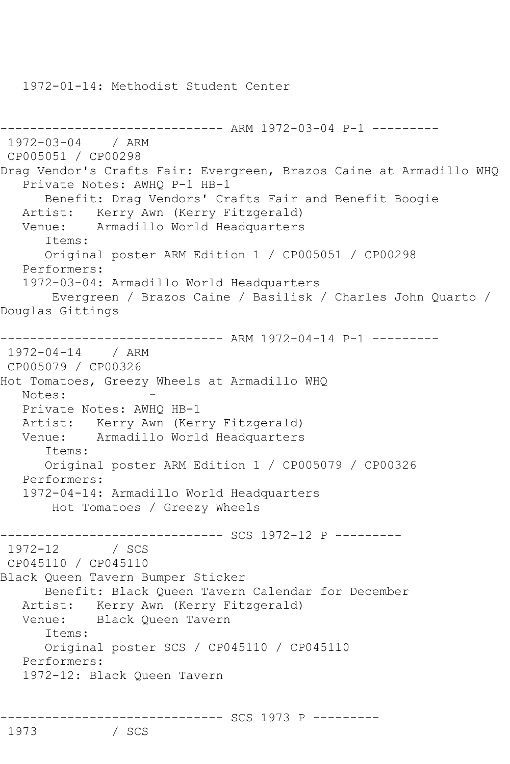1972-01-14: Methodist Student Center

/ SCS

```
------------------------------ ARM 1972-03-04 P-1 ---------
1972-03-04 / ARM 
CP005051 / CP00298
Drag Vendor's Crafts Fair: Evergreen, Brazos Caine at Armadillo WHQ
    Private Notes: AWHQ P-1 HB-1
       Benefit: Drag Vendors' Crafts Fair and Benefit Boogie
   Artist: Kerry Awn (Kerry Fitzgerald)<br>Venue: Armadillo World Headquarters
           Armadillo World Headquarters
       Items:
       Original poster ARM Edition 1 / CP005051 / CP00298
   Performers:
    1972-03-04: Armadillo World Headquarters
        Evergreen / Brazos Caine / Basilisk / Charles John Quarto / 
Douglas Gittings
------------------------------ ARM 1972-04-14 P-1 ---------
1972-04-14 / ARM 
CP005079 / CP00326
Hot Tomatoes, Greezy Wheels at Armadillo WHQ
  Notes:
    Private Notes: AWHQ HB-1
  Artist: Kerry Awn (Kerry Fitzgerald)<br>Venue: Armadillo World Headquarters
            Armadillo World Headquarters
       Items:
       Original poster ARM Edition 1 / CP005079 / CP00326
    Performers:
    1972-04-14: Armadillo World Headquarters
        Hot Tomatoes / Greezy Wheels
-------------------------------- SCS 1972-12 P ---------<br>1972-12    / SCS
1972 - 12CP045110 / CP045110
Black Queen Tavern Bumper Sticker
       Benefit: Black Queen Tavern Calendar for December
    Artist: Kerry Awn (Kerry Fitzgerald)
    Venue: Black Queen Tavern
       Items:
       Original poster SCS / CP045110 / CP045110
    Performers:
    1972-12: Black Queen Tavern
------------------------------ SCS 1973 P ---------
```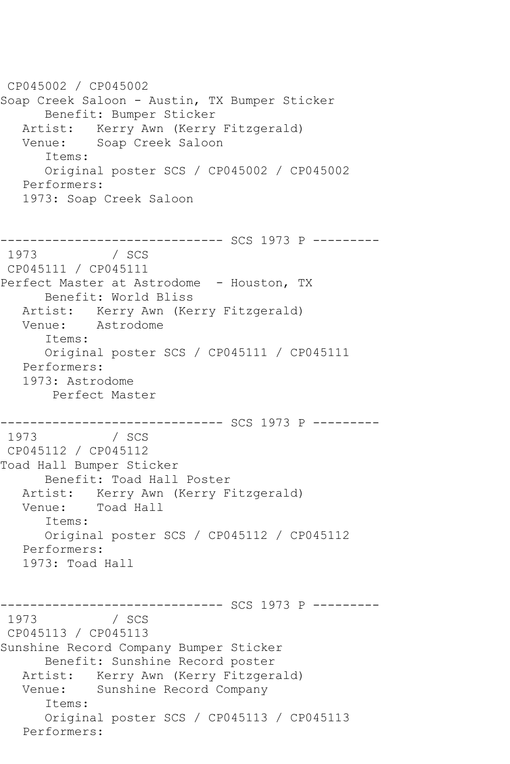CP045002 / CP045002 Soap Creek Saloon - Austin, TX Bumper Sticker Benefit: Bumper Sticker Artist: Kerry Awn (Kerry Fitzgerald)<br>Venue: Soap Creek Saloon Soap Creek Saloon Items: Original poster SCS / CP045002 / CP045002 Performers: 1973: Soap Creek Saloon ------------------------------ SCS 1973 P --------- / SCS CP045111 / CP045111 Perfect Master at Astrodome - Houston, TX Benefit: World Bliss Artist: Kerry Awn (Kerry Fitzgerald) Venue: Astrodome Items: Original poster SCS / CP045111 / CP045111 Performers: 1973: Astrodome Perfect Master ------------------------------ SCS 1973 P ---------  $/$  SCS CP045112 / CP045112 Toad Hall Bumper Sticker Benefit: Toad Hall Poster Artist: Kerry Awn (Kerry Fitzgerald)<br>Venue: Toad Hall Toad Hall Items: Original poster SCS / CP045112 / CP045112 Performers: 1973: Toad Hall ------------------------------ SCS 1973 P --------- / SCS CP045113 / CP045113 Sunshine Record Company Bumper Sticker Benefit: Sunshine Record poster Artist: Kerry Awn (Kerry Fitzgerald)<br>Venue: Sunshine Record Company Sunshine Record Company Items: Original poster SCS / CP045113 / CP045113 Performers: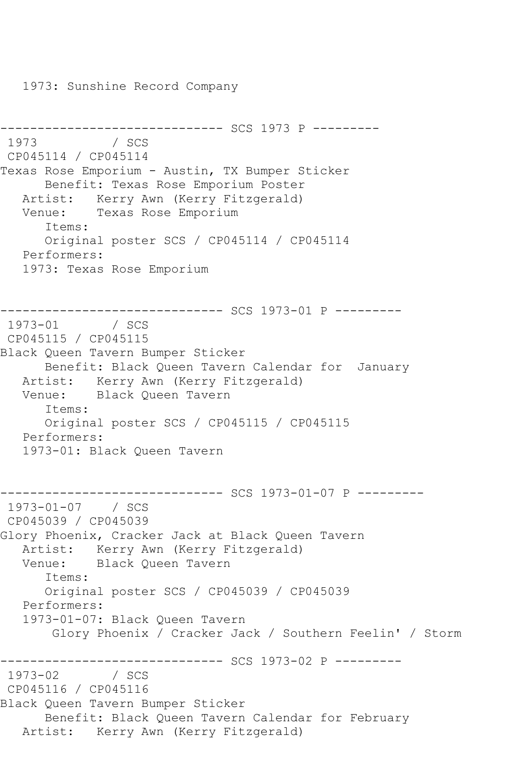1973: Sunshine Record Company

```
------------------------------ SCS 1973 P ---------
1973 / SCS 
CP045114 / CP045114
Texas Rose Emporium - Austin, TX Bumper Sticker
      Benefit: Texas Rose Emporium Poster
   Artist: Kerry Awn (Kerry Fitzgerald)
   Venue: Texas Rose Emporium
      Items:
      Original poster SCS / CP045114 / CP045114
   Performers:
   1973: Texas Rose Emporium
------------------------------ SCS 1973-01 P ---------
1973-01 / SCS 
CP045115 / CP045115
Black Queen Tavern Bumper Sticker
      Benefit: Black Queen Tavern Calendar for January
   Artist: Kerry Awn (Kerry Fitzgerald)
   Venue: Black Queen Tavern
      Items:
      Original poster SCS / CP045115 / CP045115
   Performers:
   1973-01: Black Queen Tavern
------------------------------ SCS 1973-01-07 P ---------
1973-01-07 / SCS 
CP045039 / CP045039
Glory Phoenix, Cracker Jack at Black Queen Tavern
   Artist: Kerry Awn (Kerry Fitzgerald)
   Venue: Black Queen Tavern
      Items:
      Original poster SCS / CP045039 / CP045039
   Performers:
   1973-01-07: Black Queen Tavern
       Glory Phoenix / Cracker Jack / Southern Feelin' / Storm
--------------------------------- SCS 1973-02 P ----------<br>1973-02    / SCS
1973-02
CP045116 / CP045116
Black Queen Tavern Bumper Sticker
      Benefit: Black Queen Tavern Calendar for February
   Artist: Kerry Awn (Kerry Fitzgerald)
```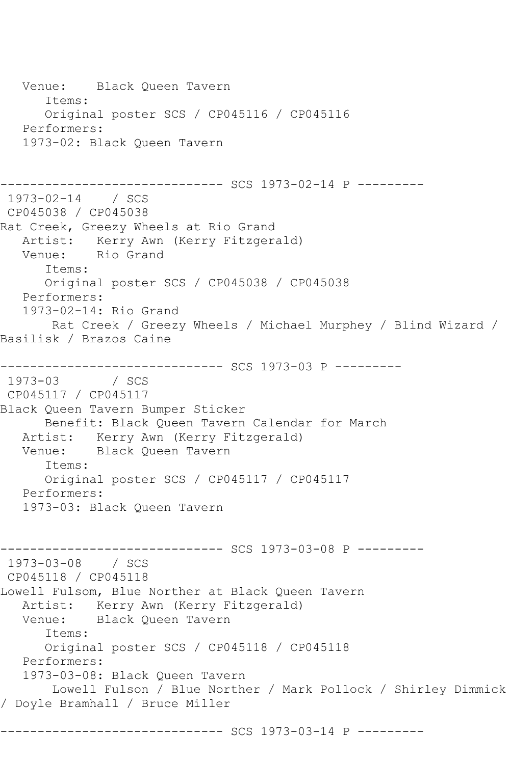Venue: Black Queen Tavern Items: Original poster SCS / CP045116 / CP045116 Performers: 1973-02: Black Queen Tavern ------------------------------ SCS 1973-02-14 P --------- 1973-02-14 / SCS CP045038 / CP045038 Rat Creek, Greezy Wheels at Rio Grand Artist: Kerry Awn (Kerry Fitzgerald)<br>Venue: Rio Grand Rio Grand Items: Original poster SCS / CP045038 / CP045038 Performers: 1973-02-14: Rio Grand Rat Creek / Greezy Wheels / Michael Murphey / Blind Wizard / Basilisk / Brazos Caine ------------------------------ SCS 1973-03 P --------- 1973-03 / SCS CP045117 / CP045117 Black Queen Tavern Bumper Sticker Benefit: Black Queen Tavern Calendar for March Artist: Kerry Awn (Kerry Fitzgerald)<br>Venue: Black Oueen Tavern Black Queen Tavern Items: Original poster SCS / CP045117 / CP045117 Performers: 1973-03: Black Queen Tavern ------------------------------ SCS 1973-03-08 P --------- 1973-03-08 / SCS CP045118 / CP045118 Lowell Fulsom, Blue Norther at Black Queen Tavern Artist: Kerry Awn (Kerry Fitzgerald) Venue: Black Queen Tavern Items: Original poster SCS / CP045118 / CP045118 Performers: 1973-03-08: Black Queen Tavern Lowell Fulson / Blue Norther / Mark Pollock / Shirley Dimmick / Doyle Bramhall / Bruce Miller ------------------------------ SCS 1973-03-14 P ---------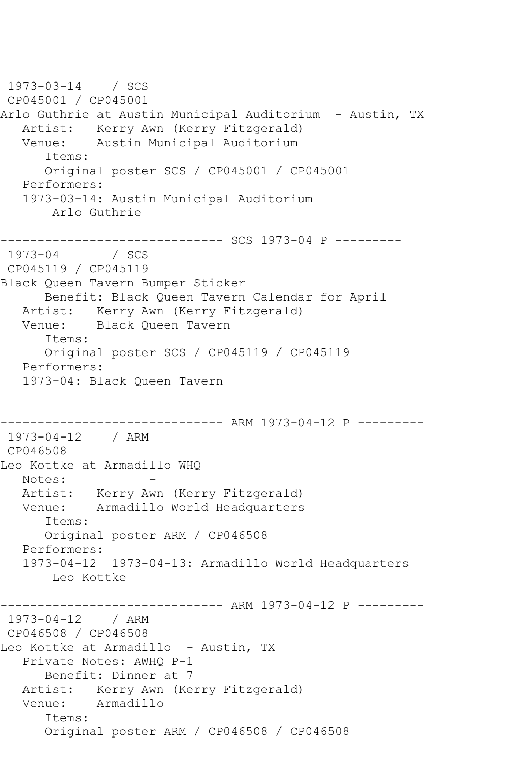1973-03-14 / SCS CP045001 / CP045001 Arlo Guthrie at Austin Municipal Auditorium - Austin, TX Artist: Kerry Awn (Kerry Fitzgerald)<br>Venue: Austin Municipal Auditorium Austin Municipal Auditorium Items: Original poster SCS / CP045001 / CP045001 Performers: 1973-03-14: Austin Municipal Auditorium Arlo Guthrie ------------------------------ SCS 1973-04 P ---------  $1973 - 04$ CP045119 / CP045119 Black Queen Tavern Bumper Sticker Benefit: Black Queen Tavern Calendar for April Artist: Kerry Awn (Kerry Fitzgerald) Venue: Black Queen Tavern Items: Original poster SCS / CP045119 / CP045119 Performers: 1973-04: Black Queen Tavern ------------------------------ ARM 1973-04-12 P --------- 1973-04-12 / ARM CP046508 Leo Kottke at Armadillo WHQ Notes: Artist: Kerry Awn (Kerry Fitzgerald)<br>Venue: Armadillo World Headquarters Armadillo World Headquarters Items: Original poster ARM / CP046508 Performers: 1973-04-12 1973-04-13: Armadillo World Headquarters Leo Kottke ----------- ARM 1973-04-12 P ---------1973-04-12 / ARM CP046508 / CP046508 Leo Kottke at Armadillo - Austin, TX Private Notes: AWHQ P-1 Benefit: Dinner at 7 Artist: Kerry Awn (Kerry Fitzgerald) Venue: Armadillo Items: Original poster ARM / CP046508 / CP046508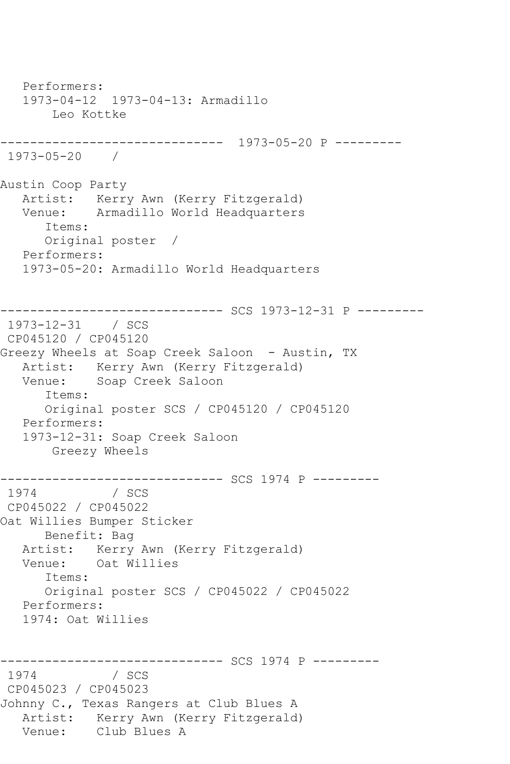Performers: 1973-04-12 1973-04-13: Armadillo Leo Kottke ------------------------------ 1973-05-20 P --------- 1973-05-20 / Austin Coop Party Artist: Kerry Awn (Kerry Fitzgerald) Venue: Armadillo World Headquarters Items: Original poster / Performers: 1973-05-20: Armadillo World Headquarters ------------------------------ SCS 1973-12-31 P --------- 1973-12-31 / SCS CP045120 / CP045120 Greezy Wheels at Soap Creek Saloon - Austin, TX Artist: Kerry Awn (Kerry Fitzgerald) Venue: Soap Creek Saloon Items: Original poster SCS / CP045120 / CP045120 Performers: 1973-12-31: Soap Creek Saloon Greezy Wheels ------------------------------ SCS 1974 P --------- 1974 CP045022 / CP045022 Oat Willies Bumper Sticker Benefit: Bag Artist: Kerry Awn (Kerry Fitzgerald) Venue: Oat Willies Items: Original poster SCS / CP045022 / CP045022 Performers: 1974: Oat Willies ------------------------------ SCS 1974 P --------- 1974 CP045023 / CP045023 Johnny C., Texas Rangers at Club Blues A Artist: Kerry Awn (Kerry Fitzgerald) Venue: Club Blues A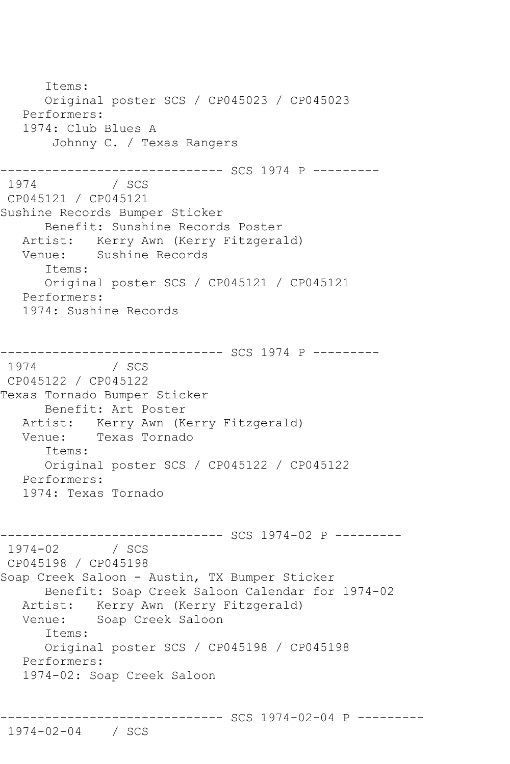Items: Original poster SCS / CP045023 / CP045023 Performers: 1974: Club Blues A Johnny C. / Texas Rangers ------------------------------ SCS 1974 P --------- / SCS CP045121 / CP045121 Sushine Records Bumper Sticker Benefit: Sunshine Records Poster Artist: Kerry Awn (Kerry Fitzgerald) Venue: Sushine Records Items: Original poster SCS / CP045121 / CP045121 Performers: 1974: Sushine Records ------------------------------ SCS 1974 P --------- 1974 / SCS CP045122 / CP045122 Texas Tornado Bumper Sticker Benefit: Art Poster Artist: Kerry Awn (Kerry Fitzgerald)<br>Venue: Texas Tornado Texas Tornado Items: Original poster SCS / CP045122 / CP045122 Performers: 1974: Texas Tornado ------------------------------ SCS 1974-02 P --------- 1974-02 / SCS CP045198 / CP045198 Soap Creek Saloon - Austin, TX Bumper Sticker Benefit: Soap Creek Saloon Calendar for 1974-02 Artist: Kerry Awn (Kerry Fitzgerald) Venue: Soap Creek Saloon Items: Original poster SCS / CP045198 / CP045198 Performers: 1974-02: Soap Creek Saloon

------------------------------ SCS 1974-02-04 P ---------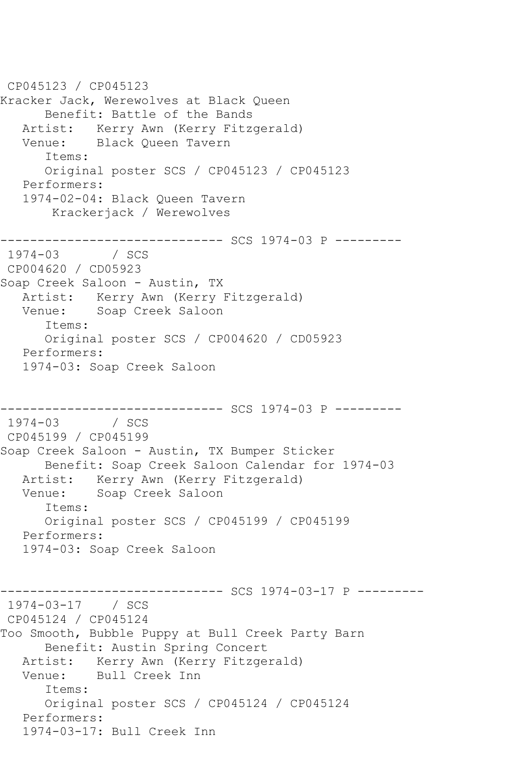CP045123 / CP045123 Kracker Jack, Werewolves at Black Queen Benefit: Battle of the Bands Artist: Kerry Awn (Kerry Fitzgerald)<br>Venue: Black Oueen Tavern Black Queen Tavern Items: Original poster SCS / CP045123 / CP045123 Performers: 1974-02-04: Black Queen Tavern Krackerjack / Werewolves ------------------------------ SCS 1974-03 P ---------  $1974 - 03$ CP004620 / CD05923 Soap Creek Saloon - Austin, TX Artist: Kerry Awn (Kerry Fitzgerald) Venue: Soap Creek Saloon Items: Original poster SCS / CP004620 / CD05923 Performers: 1974-03: Soap Creek Saloon ------------------------------ SCS 1974-03 P ---------  $1974 - 03$ CP045199 / CP045199 Soap Creek Saloon - Austin, TX Bumper Sticker Benefit: Soap Creek Saloon Calendar for 1974-03 Artist: Kerry Awn (Kerry Fitzgerald) Venue: Soap Creek Saloon Items: Original poster SCS / CP045199 / CP045199 Performers: 1974-03: Soap Creek Saloon ------------------------------ SCS 1974-03-17 P --------- 1974-03-17 / SCS CP045124 / CP045124 Too Smooth, Bubble Puppy at Bull Creek Party Barn Benefit: Austin Spring Concert Artist: Kerry Awn (Kerry Fitzgerald) Venue: Bull Creek Inn Items: Original poster SCS / CP045124 / CP045124 Performers: 1974-03-17: Bull Creek Inn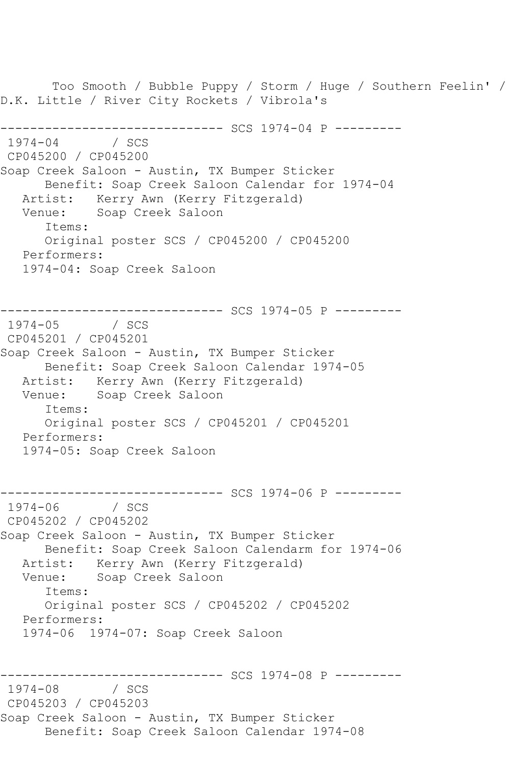Too Smooth / Bubble Puppy / Storm / Huge / Southern Feelin' / D.K. Little / River City Rockets / Vibrola's ------------------------------ SCS 1974-04 P ---------  $1974 - 04$ CP045200 / CP045200 Soap Creek Saloon - Austin, TX Bumper Sticker Benefit: Soap Creek Saloon Calendar for 1974-04 Artist: Kerry Awn (Kerry Fitzgerald) Venue: Soap Creek Saloon Items: Original poster SCS / CP045200 / CP045200 Performers: 1974-04: Soap Creek Saloon ------------------------------ SCS 1974-05 P ---------  $1974 - 05$ CP045201 / CP045201 Soap Creek Saloon - Austin, TX Bumper Sticker Benefit: Soap Creek Saloon Calendar 1974-05 Artist: Kerry Awn (Kerry Fitzgerald) Venue: Soap Creek Saloon Items: Original poster SCS / CP045201 / CP045201 Performers: 1974-05: Soap Creek Saloon ------------------------------ SCS 1974-06 P ---------  $1974 - 06$ CP045202 / CP045202 Soap Creek Saloon - Austin, TX Bumper Sticker Benefit: Soap Creek Saloon Calendarm for 1974-06 Artist: Kerry Awn (Kerry Fitzgerald) Venue: Soap Creek Saloon Items: Original poster SCS / CP045202 / CP045202 Performers: 1974-06 1974-07: Soap Creek Saloon ------------------------------ SCS 1974-08 P --------- 1974 SCS CP045203 / CP045203 Soap Creek Saloon - Austin, TX Bumper Sticker Benefit: Soap Creek Saloon Calendar 1974-08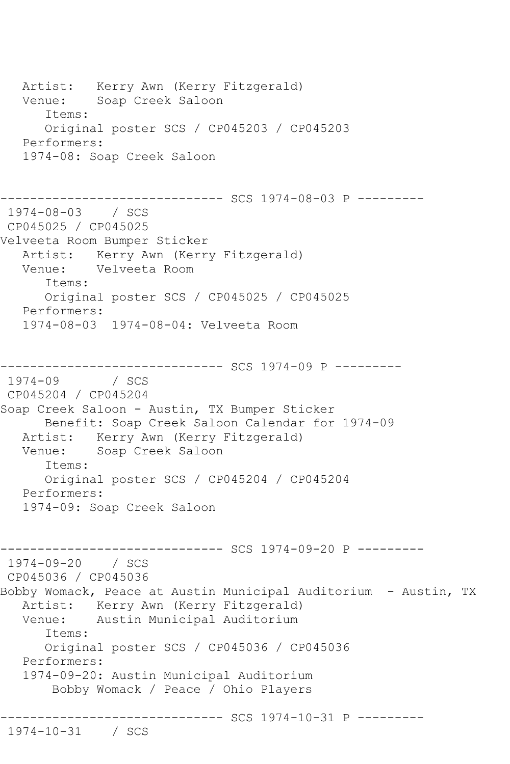Artist: Kerry Awn (Kerry Fitzgerald) Venue: Soap Creek Saloon Items: Original poster SCS / CP045203 / CP045203 Performers: 1974-08: Soap Creek Saloon ---------- SCS 1974-08-03 P ---------1974-08-03 / SCS CP045025 / CP045025 Velveeta Room Bumper Sticker Artist: Kerry Awn (Kerry Fitzgerald) Venue: Velveeta Room Items: Original poster SCS / CP045025 / CP045025 Performers: 1974-08-03 1974-08-04: Velveeta Room ------------------------------ SCS 1974-09 P --------- 1974-09 / SCS CP045204 / CP045204 Soap Creek Saloon - Austin, TX Bumper Sticker Benefit: Soap Creek Saloon Calendar for 1974-09 Artist: Kerry Awn (Kerry Fitzgerald)<br>Venue: Soap Creek Saloon Soap Creek Saloon Items: Original poster SCS / CP045204 / CP045204 Performers: 1974-09: Soap Creek Saloon ------------------------------ SCS 1974-09-20 P --------- 1974-09-20 / SCS CP045036 / CP045036 Bobby Womack, Peace at Austin Municipal Auditorium - Austin, TX Artist: Kerry Awn (Kerry Fitzgerald) Venue: Austin Municipal Auditorium Items: Original poster SCS / CP045036 / CP045036 Performers: 1974-09-20: Austin Municipal Auditorium Bobby Womack / Peace / Ohio Players ------------------------------ SCS 1974-10-31 P --------- 1974-10-31 / SCS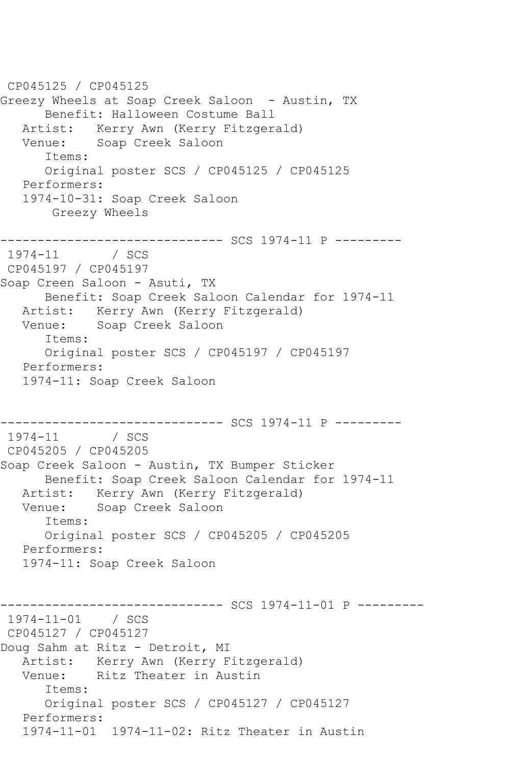CP045125 / CP045125 Greezy Wheels at Soap Creek Saloon - Austin, TX Benefit: Halloween Costume Ball Artist: Kerry Awn (Kerry Fitzgerald)<br>Venue: Soap Creek Saloon Soap Creek Saloon Items: Original poster SCS / CP045125 / CP045125 Performers: 1974-10-31: Soap Creek Saloon Greezy Wheels ------------------------------ SCS 1974-11 P ---------  $1974 - 11$ CP045197 / CP045197 Soap Creen Saloon - Asuti, TX Benefit: Soap Creek Saloon Calendar for 1974-11 Artist: Kerry Awn (Kerry Fitzgerald) Venue: Soap Creek Saloon Items: Original poster SCS / CP045197 / CP045197 Performers: 1974-11: Soap Creek Saloon ------------------------------ SCS 1974-11 P ---------  $1974 - 11$ CP045205 / CP045205 Soap Creek Saloon - Austin, TX Bumper Sticker Benefit: Soap Creek Saloon Calendar for 1974-11 Artist: Kerry Awn (Kerry Fitzgerald) Venue: Soap Creek Saloon Items: Original poster SCS / CP045205 / CP045205 Performers: 1974-11: Soap Creek Saloon ---------- SCS 1974-11-01 P ---------1974-11-01 / SCS CP045127 / CP045127 Doug Sahm at Ritz - Detroit, MI Artist: Kerry Awn (Kerry Fitzgerald) Venue: Ritz Theater in Austin Items: Original poster SCS / CP045127 / CP045127 Performers: 1974-11-01 1974-11-02: Ritz Theater in Austin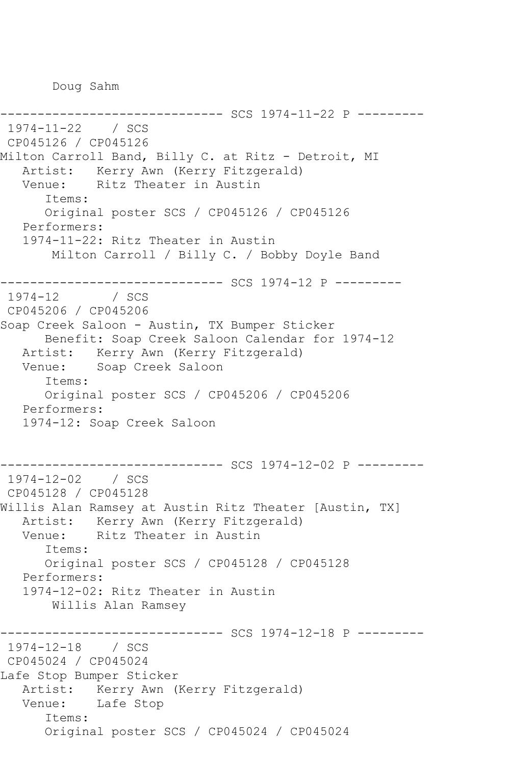Doug Sahm

```
------------------------------ SCS 1974-11-22 P ---------
1974-11-22 / SCS 
CP045126 / CP045126
Milton Carroll Band, Billy C. at Ritz - Detroit, MI
  Artist: Kerry Awn (Kerry Fitzgerald)<br>Venue: Ritz Theater in Austin
            Ritz Theater in Austin
       Items:
       Original poster SCS / CP045126 / CP045126
   Performers:
    1974-11-22: Ritz Theater in Austin
        Milton Carroll / Billy C. / Bobby Doyle Band
       ------------------------------ SCS 1974-12 P ---------
1974 - 12CP045206 / CP045206
Soap Creek Saloon - Austin, TX Bumper Sticker
       Benefit: Soap Creek Saloon Calendar for 1974-12
   Artist: Kerry Awn (Kerry Fitzgerald)
   Venue: Soap Creek Saloon
       Items:
       Original poster SCS / CP045206 / CP045206
   Performers:
    1974-12: Soap Creek Saloon
    ------------------------------ SCS 1974-12-02 P ---------
1974-12-02 / SCS 
CP045128 / CP045128
Willis Alan Ramsey at Austin Ritz Theater [Austin, TX]
  Artist: Kerry Awn (Kerry Fitzgerald)<br>Venue: Ritz Theater in Austin
           Ritz Theater in Austin
       Items:
       Original poster SCS / CP045128 / CP045128
   Performers:
    1974-12-02: Ritz Theater in Austin
        Willis Alan Ramsey
------------------------------ SCS 1974-12-18 P ---------
1974-12-18 / SCS 
CP045024 / CP045024
Lafe Stop Bumper Sticker
   Artist: Kerry Awn (Kerry Fitzgerald)
   Venue: Lafe Stop
       Items:
       Original poster SCS / CP045024 / CP045024
```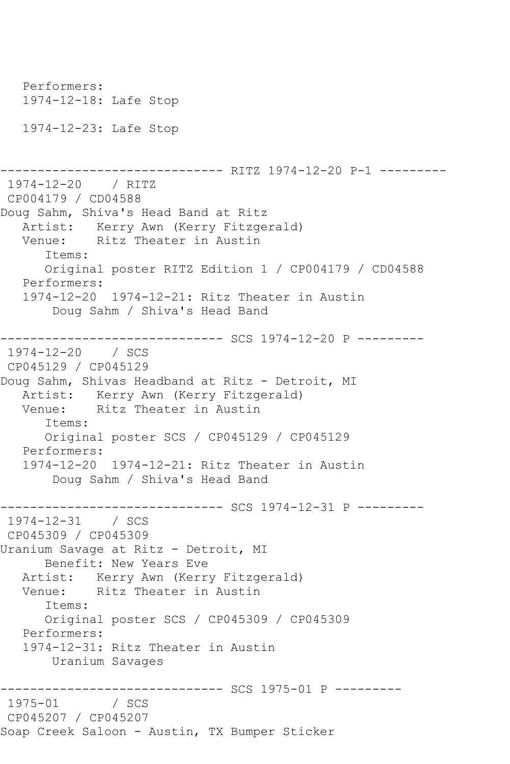Performers: 1974-12-18: Lafe Stop 1974-12-23: Lafe Stop ------------------------------ RITZ 1974-12-20 P-1 --------- 1974-12-20 / RITZ CP004179 / CD04588 Doug Sahm, Shiva's Head Band at Ritz Artist: Kerry Awn (Kerry Fitzgerald) Venue: Ritz Theater in Austin Items: Original poster RITZ Edition 1 / CP004179 / CD04588 Performers: 1974-12-20 1974-12-21: Ritz Theater in Austin Doug Sahm / Shiva's Head Band ------------------------------ SCS 1974-12-20 P --------- 1974-12-20 / SCS CP045129 / CP045129 Doug Sahm, Shivas Headband at Ritz - Detroit, MI Artist: Kerry Awn (Kerry Fitzgerald)<br>Venue: Ritz Theater in Austin Ritz Theater in Austin Items: Original poster SCS / CP045129 / CP045129 Performers: 1974-12-20 1974-12-21: Ritz Theater in Austin Doug Sahm / Shiva's Head Band ----------- SCS 1974-12-31 P ----------1974-12-31 / SCS CP045309 / CP045309 Uranium Savage at Ritz - Detroit, MI Benefit: New Years Eve Artist: Kerry Awn (Kerry Fitzgerald)<br>Venue: Ritz Theater in Austin Ritz Theater in Austin Items: Original poster SCS / CP045309 / CP045309 Performers: 1974-12-31: Ritz Theater in Austin Uranium Savages ------------------------------ SCS 1975-01 P ---------  $1975 - 01$ CP045207 / CP045207 Soap Creek Saloon - Austin, TX Bumper Sticker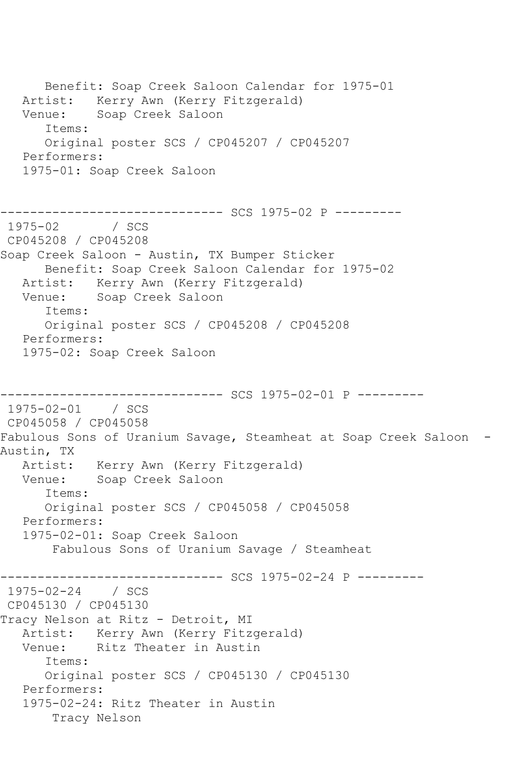Benefit: Soap Creek Saloon Calendar for 1975-01 Artist: Kerry Awn (Kerry Fitzgerald) Venue: Soap Creek Saloon Items: Original poster SCS / CP045207 / CP045207 Performers: 1975-01: Soap Creek Saloon ------------------------------ SCS 1975-02 P ---------  $/$  SCS CP045208 / CP045208 Soap Creek Saloon - Austin, TX Bumper Sticker Benefit: Soap Creek Saloon Calendar for 1975-02 Artist: Kerry Awn (Kerry Fitzgerald) Venue: Soap Creek Saloon Items: Original poster SCS / CP045208 / CP045208 Performers: 1975-02: Soap Creek Saloon ------------------------------ SCS 1975-02-01 P --------- 1975-02-01 / SCS CP045058 / CP045058 Fabulous Sons of Uranium Savage, Steamheat at Soap Creek Saloon -Austin, TX Artist: Kerry Awn (Kerry Fitzgerald) Venue: Soap Creek Saloon Items: Original poster SCS / CP045058 / CP045058 Performers: 1975-02-01: Soap Creek Saloon Fabulous Sons of Uranium Savage / Steamheat ------------------------------ SCS 1975-02-24 P --------- 1975-02-24 / SCS CP045130 / CP045130 Tracy Nelson at Ritz - Detroit, MI Artist: Kerry Awn (Kerry Fitzgerald) Venue: Ritz Theater in Austin Items: Original poster SCS / CP045130 / CP045130 Performers: 1975-02-24: Ritz Theater in Austin Tracy Nelson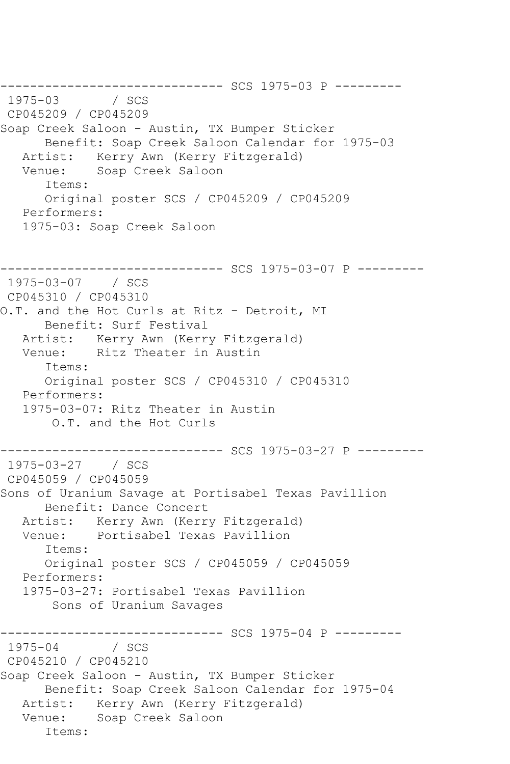------------------------------ SCS 1975-03 P ---------  $1975 - 03$ CP045209 / CP045209 Soap Creek Saloon - Austin, TX Bumper Sticker Benefit: Soap Creek Saloon Calendar for 1975-03<br>Artist: Kerry Awn (Kerry Fitzgerald) Kerry Awn (Kerry Fitzgerald) Venue: Soap Creek Saloon Items: Original poster SCS / CP045209 / CP045209 Performers: 1975-03: Soap Creek Saloon ------------------------------ SCS 1975-03-07 P --------- 1975-03-07 / SCS CP045310 / CP045310 O.T. and the Hot Curls at Ritz - Detroit, MI Benefit: Surf Festival Artist: Kerry Awn (Kerry Fitzgerald) Venue: Ritz Theater in Austin Items: Original poster SCS / CP045310 / CP045310 Performers: 1975-03-07: Ritz Theater in Austin O.T. and the Hot Curls ------------------------------ SCS 1975-03-27 P --------- 1975-03-27 / SCS CP045059 / CP045059 Sons of Uranium Savage at Portisabel Texas Pavillion Benefit: Dance Concert Artist: Kerry Awn (Kerry Fitzgerald) Venue: Portisabel Texas Pavillion Items: Original poster SCS / CP045059 / CP045059 Performers: 1975-03-27: Portisabel Texas Pavillion Sons of Uranium Savages ------------------------------ SCS 1975-04 P --------- 1975-04 / SCS CP045210 / CP045210 Soap Creek Saloon - Austin, TX Bumper Sticker Benefit: Soap Creek Saloon Calendar for 1975-04 Artist: Kerry Awn (Kerry Fitzgerald) Venue: Soap Creek Saloon Items: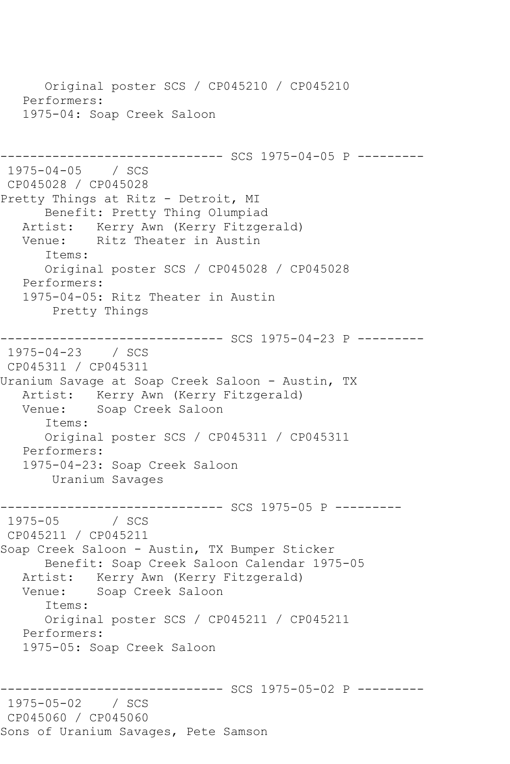Original poster SCS / CP045210 / CP045210 Performers: 1975-04: Soap Creek Saloon ---------- SCS 1975-04-05 P ---------1975-04-05 / SCS CP045028 / CP045028 Pretty Things at Ritz - Detroit, MI Benefit: Pretty Thing Olumpiad Artist: Kerry Awn (Kerry Fitzgerald)<br>Venue: Ritz Theater in Austin Ritz Theater in Austin Items: Original poster SCS / CP045028 / CP045028 Performers: 1975-04-05: Ritz Theater in Austin Pretty Things ------------------------------ SCS 1975-04-23 P --------- 1975-04-23 / SCS CP045311 / CP045311 Uranium Savage at Soap Creek Saloon - Austin, TX Artist: Kerry Awn (Kerry Fitzgerald)<br>Venue: Soap Creek Saloon Soap Creek Saloon Items: Original poster SCS / CP045311 / CP045311 Performers: 1975-04-23: Soap Creek Saloon Uranium Savages ------------------------------ SCS 1975-05 P --------- 1975-05 / SCS CP045211 / CP045211 Soap Creek Saloon - Austin, TX Bumper Sticker Benefit: Soap Creek Saloon Calendar 1975-05 Artist: Kerry Awn (Kerry Fitzgerald) Venue: Soap Creek Saloon Items: Original poster SCS / CP045211 / CP045211 Performers: 1975-05: Soap Creek Saloon ------------------------------ SCS 1975-05-02 P --------- 1975-05-02 / SCS CP045060 / CP045060 Sons of Uranium Savages, Pete Samson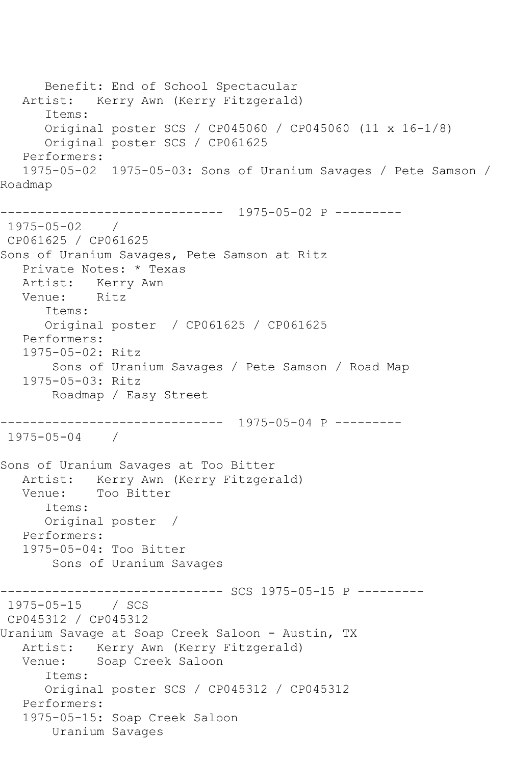Benefit: End of School Spectacular Artist: Kerry Awn (Kerry Fitzgerald) Items: Original poster SCS / CP045060 / CP045060 (11 x 16-1/8) Original poster SCS / CP061625 Performers: 1975-05-02 1975-05-03: Sons of Uranium Savages / Pete Samson / Roadmap ------------------------------ 1975-05-02 P --------- 1975-05-02 / CP061625 / CP061625 Sons of Uranium Savages, Pete Samson at Ritz Private Notes: \* Texas Artist: Kerry Awn<br>Venue: Ritz Venue: Items: Original poster / CP061625 / CP061625 Performers: 1975-05-02: Ritz Sons of Uranium Savages / Pete Samson / Road Map 1975-05-03: Ritz Roadmap / Easy Street ------------------------------ 1975-05-04 P --------- 1975-05-04 / Sons of Uranium Savages at Too Bitter Artist: Kerry Awn (Kerry Fitzgerald)<br>Venue: Too Bitter Too Bitter Items: Original poster / Performers: 1975-05-04: Too Bitter Sons of Uranium Savages ------------------------------ SCS 1975-05-15 P --------- 1975-05-15 / SCS CP045312 / CP045312 Uranium Savage at Soap Creek Saloon - Austin, TX Artist: Kerry Awn (Kerry Fitzgerald) Venue: Soap Creek Saloon Items: Original poster SCS / CP045312 / CP045312 Performers: 1975-05-15: Soap Creek Saloon Uranium Savages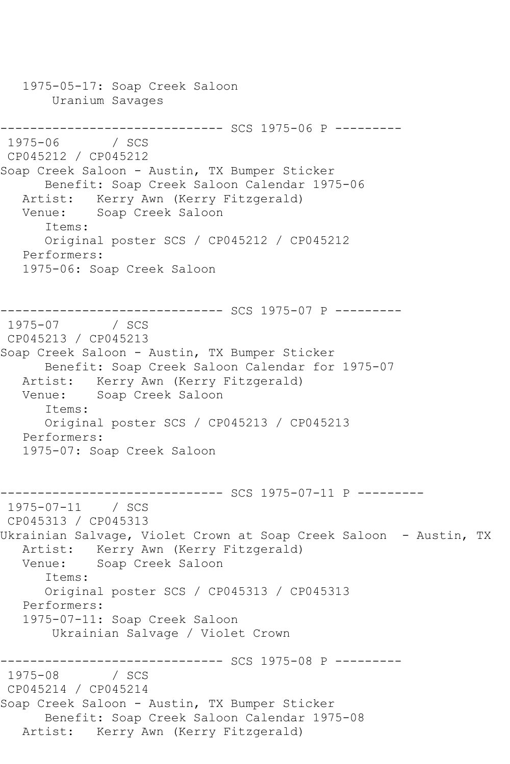1975-05-17: Soap Creek Saloon Uranium Savages ------------------------------ SCS 1975-06 P --------- 1975-06 / SCS CP045212 / CP045212 Soap Creek Saloon - Austin, TX Bumper Sticker Benefit: Soap Creek Saloon Calendar 1975-06 Artist: Kerry Awn (Kerry Fitzgerald) Venue: Soap Creek Saloon Items: Original poster SCS / CP045212 / CP045212 Performers: 1975-06: Soap Creek Saloon ------------------------------ SCS 1975-07 P ---------  $1975 - 07$ CP045213 / CP045213 Soap Creek Saloon - Austin, TX Bumper Sticker Benefit: Soap Creek Saloon Calendar for 1975-07 Artist: Kerry Awn (Kerry Fitzgerald) Venue: Soap Creek Saloon Items: Original poster SCS / CP045213 / CP045213 Performers: 1975-07: Soap Creek Saloon ------------------------------ SCS 1975-07-11 P --------- 1975-07-11 / SCS CP045313 / CP045313 Ukrainian Salvage, Violet Crown at Soap Creek Saloon - Austin, TX Artist: Kerry Awn (Kerry Fitzgerald) Venue: Soap Creek Saloon Items: Original poster SCS / CP045313 / CP045313 Performers: 1975-07-11: Soap Creek Saloon Ukrainian Salvage / Violet Crown ------------------------------ SCS 1975-08 P ---------  $1975 - 08$ CP045214 / CP045214 Soap Creek Saloon - Austin, TX Bumper Sticker Benefit: Soap Creek Saloon Calendar 1975-08 Artist: Kerry Awn (Kerry Fitzgerald)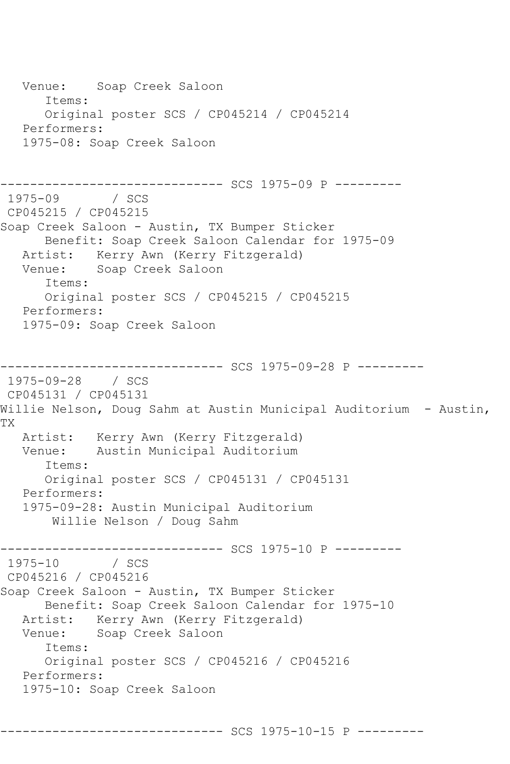Venue: Soap Creek Saloon Items: Original poster SCS / CP045214 / CP045214 Performers: 1975-08: Soap Creek Saloon ------------------------------ SCS 1975-09 P --------- 1975-09 / SCS CP045215 / CP045215 Soap Creek Saloon - Austin, TX Bumper Sticker Benefit: Soap Creek Saloon Calendar for 1975-09 Artist: Kerry Awn (Kerry Fitzgerald) Venue: Soap Creek Saloon Items: Original poster SCS / CP045215 / CP045215 Performers: 1975-09: Soap Creek Saloon ------------------------------ SCS 1975-09-28 P --------- 1975-09-28 / SCS CP045131 / CP045131 Willie Nelson, Doug Sahm at Austin Municipal Auditorium - Austin, TX Artist: Kerry Awn (Kerry Fitzgerald) Venue: Austin Municipal Auditorium Items: Original poster SCS / CP045131 / CP045131 Performers: 1975-09-28: Austin Municipal Auditorium Willie Nelson / Doug Sahm ------------------------------ SCS 1975-10 P --------- 1975-10 / SCS CP045216 / CP045216 Soap Creek Saloon - Austin, TX Bumper Sticker Benefit: Soap Creek Saloon Calendar for 1975-10 Artist: Kerry Awn (Kerry Fitzgerald)<br>Venue: Soap Creek Saloon Soap Creek Saloon Items: Original poster SCS / CP045216 / CP045216 Performers: 1975-10: Soap Creek Saloon

------------------------------ SCS 1975-10-15 P ---------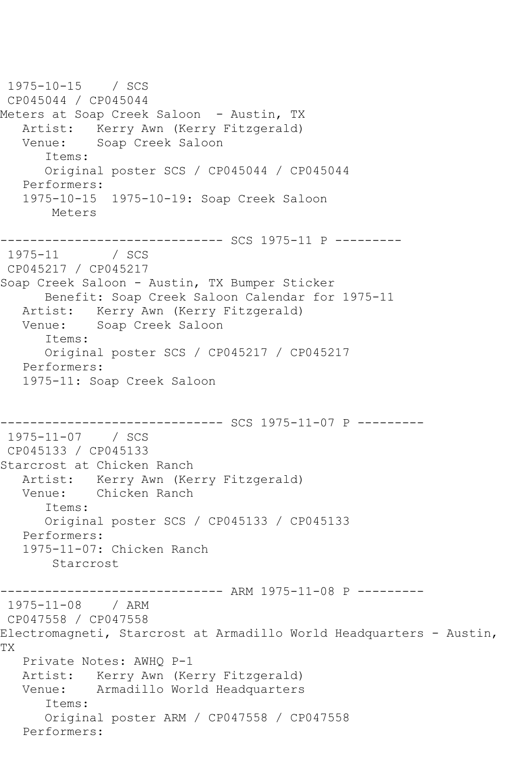1975-10-15 / SCS CP045044 / CP045044 Meters at Soap Creek Saloon – Austin, TX Artist: Kerry Awn (Kerry Fitzgerald)<br>Venue: Soap Creek Saloon Soap Creek Saloon Items: Original poster SCS / CP045044 / CP045044 Performers: 1975-10-15 1975-10-19: Soap Creek Saloon Meters ------------------------------ SCS 1975-11 P ---------  $1975 - 11$ CP045217 / CP045217 Soap Creek Saloon - Austin, TX Bumper Sticker Benefit: Soap Creek Saloon Calendar for 1975-11 Artist: Kerry Awn (Kerry Fitzgerald) Venue: Soap Creek Saloon Items: Original poster SCS / CP045217 / CP045217 Performers: 1975-11: Soap Creek Saloon ------------------------------ SCS 1975-11-07 P --------- 1975-11-07 / SCS CP045133 / CP045133 Starcrost at Chicken Ranch Artist: Kerry Awn (Kerry Fitzgerald) Venue: Chicken Ranch Items: Original poster SCS / CP045133 / CP045133 Performers: 1975-11-07: Chicken Ranch Starcrost ------------------------------ ARM 1975-11-08 P --------- 1975-11-08 / ARM CP047558 / CP047558 Electromagneti, Starcrost at Armadillo World Headquarters - Austin, TX Private Notes: AWHQ P-1 Artist: Kerry Awn (Kerry Fitzgerald) Venue: Armadillo World Headquarters Items: Original poster ARM / CP047558 / CP047558 Performers: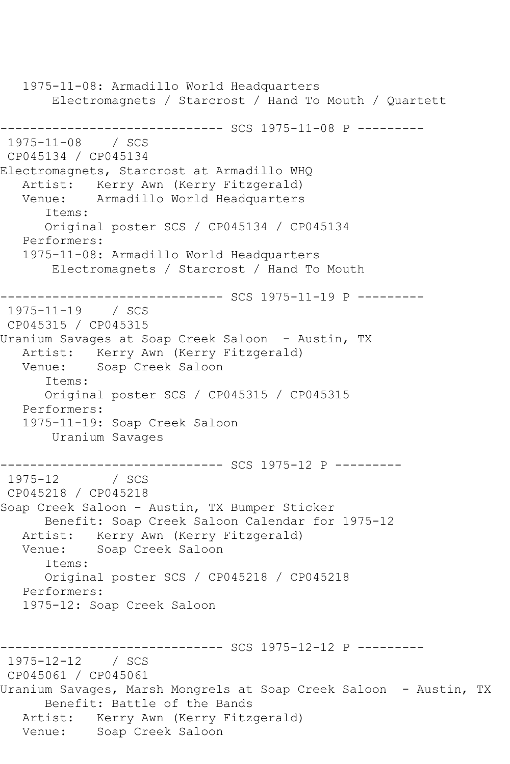1975-11-08: Armadillo World Headquarters Electromagnets / Starcrost / Hand To Mouth / Quartett ------------------------------ SCS 1975-11-08 P --------- 1975-11-08 / SCS CP045134 / CP045134 Electromagnets, Starcrost at Armadillo WHQ Artist: Kerry Awn (Kerry Fitzgerald) Venue: Armadillo World Headquarters Items: Original poster SCS / CP045134 / CP045134 Performers: 1975-11-08: Armadillo World Headquarters Electromagnets / Starcrost / Hand To Mouth ----------- SCS 1975-11-19 P ---------1975-11-19 / SCS CP045315 / CP045315 Uranium Savages at Soap Creek Saloon - Austin, TX Artist: Kerry Awn (Kerry Fitzgerald)<br>Venue: Soap Creek Saloon Soap Creek Saloon Items: Original poster SCS / CP045315 / CP045315 Performers: 1975-11-19: Soap Creek Saloon Uranium Savages ------------------------------ SCS 1975-12 P ---------  $1975 - 12$ CP045218 / CP045218 Soap Creek Saloon - Austin, TX Bumper Sticker Benefit: Soap Creek Saloon Calendar for 1975-12 Artist: Kerry Awn (Kerry Fitzgerald)<br>Venue: Soap Creek Saloon Soap Creek Saloon Items: Original poster SCS / CP045218 / CP045218 Performers: 1975-12: Soap Creek Saloon ---------- SCS 1975-12-12 P ---------1975-12-12 / SCS CP045061 / CP045061 Uranium Savages, Marsh Mongrels at Soap Creek Saloon - Austin, TX Benefit: Battle of the Bands Artist: Kerry Awn (Kerry Fitzgerald) Venue: Soap Creek Saloon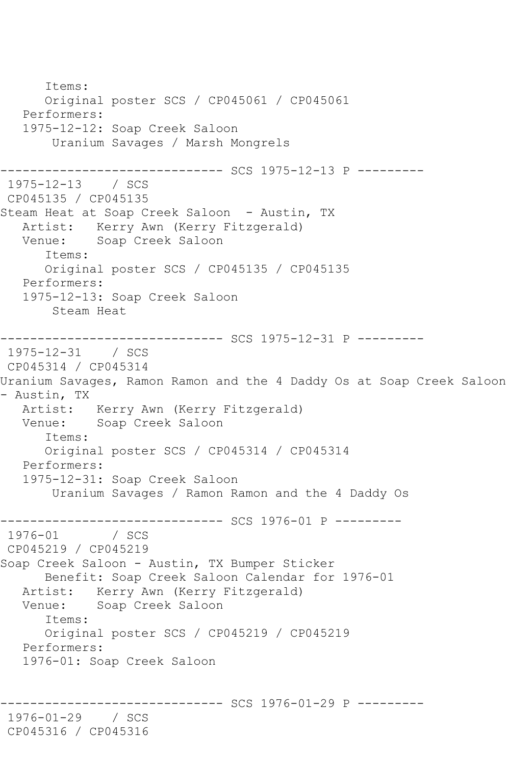Items: Original poster SCS / CP045061 / CP045061 Performers: 1975-12-12: Soap Creek Saloon Uranium Savages / Marsh Mongrels ------------------------------ SCS 1975-12-13 P --------- 1975-12-13 / SCS CP045135 / CP045135 Steam Heat at Soap Creek Saloon - Austin, TX Artist: Kerry Awn (Kerry Fitzgerald)<br>Venue: Soap Creek Saloon Soap Creek Saloon Items: Original poster SCS / CP045135 / CP045135 Performers: 1975-12-13: Soap Creek Saloon Steam Heat ----------- SCS 1975-12-31 P ---------1975-12-31 / SCS CP045314 / CP045314 Uranium Savages, Ramon Ramon and the 4 Daddy Os at Soap Creek Saloon - Austin, TX Artist: Kerry Awn (Kerry Fitzgerald) Venue: Soap Creek Saloon Items: Original poster SCS / CP045314 / CP045314 Performers: 1975-12-31: Soap Creek Saloon Uranium Savages / Ramon Ramon and the 4 Daddy Os ------------------------------ SCS 1976-01 P ---------  $1976 - 01$ CP045219 / CP045219 Soap Creek Saloon - Austin, TX Bumper Sticker Benefit: Soap Creek Saloon Calendar for 1976-01 Artist: Kerry Awn (Kerry Fitzgerald) Venue: Soap Creek Saloon Items: Original poster SCS / CP045219 / CP045219 Performers: 1976-01: Soap Creek Saloon ---------- SCS 1976-01-29 P ---------1976-01-29 / SCS CP045316 / CP045316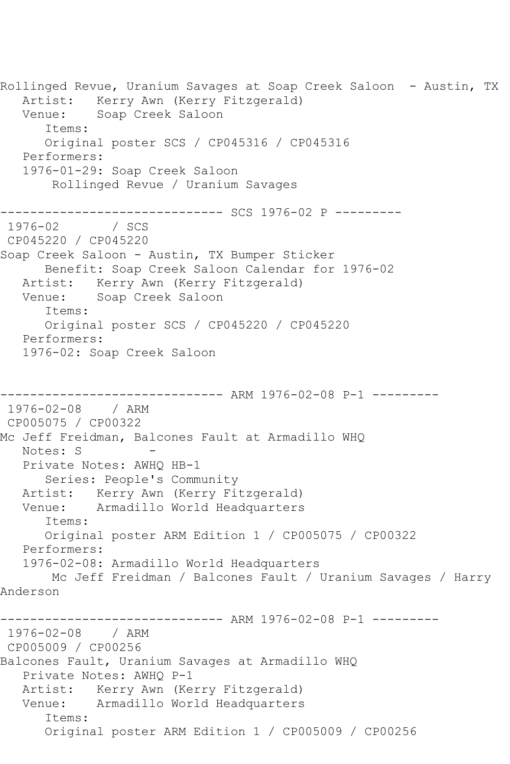Rollinged Revue, Uranium Savages at Soap Creek Saloon - Austin, TX Artist: Kerry Awn (Kerry Fitzgerald) Venue: Soap Creek Saloon Items: Original poster SCS / CP045316 / CP045316 Performers: 1976-01-29: Soap Creek Saloon Rollinged Revue / Uranium Savages ------------------------------ SCS 1976-02 P ---------  $1976 - 02$ CP045220 / CP045220 Soap Creek Saloon - Austin, TX Bumper Sticker Benefit: Soap Creek Saloon Calendar for 1976-02 Artist: Kerry Awn (Kerry Fitzgerald) Venue: Soap Creek Saloon Items: Original poster SCS / CP045220 / CP045220 Performers: 1976-02: Soap Creek Saloon ------------------------------ ARM 1976-02-08 P-1 --------- 1976-02-08 / ARM CP005075 / CP00322 Mc Jeff Freidman, Balcones Fault at Armadillo WHQ Notes: S Private Notes: AWHQ HB-1 Series: People's Community Artist: Kerry Awn (Kerry Fitzgerald)<br>Venue: Armadillo World Headquarters Armadillo World Headquarters Items: Original poster ARM Edition 1 / CP005075 / CP00322 Performers: 1976-02-08: Armadillo World Headquarters Mc Jeff Freidman / Balcones Fault / Uranium Savages / Harry Anderson ------------------------------ ARM 1976-02-08 P-1 --------- 1976-02-08 / ARM CP005009 / CP00256 Balcones Fault, Uranium Savages at Armadillo WHQ Private Notes: AWHQ P-1 Artist: Kerry Awn (Kerry Fitzgerald) Venue: Armadillo World Headquarters Items: Original poster ARM Edition 1 / CP005009 / CP00256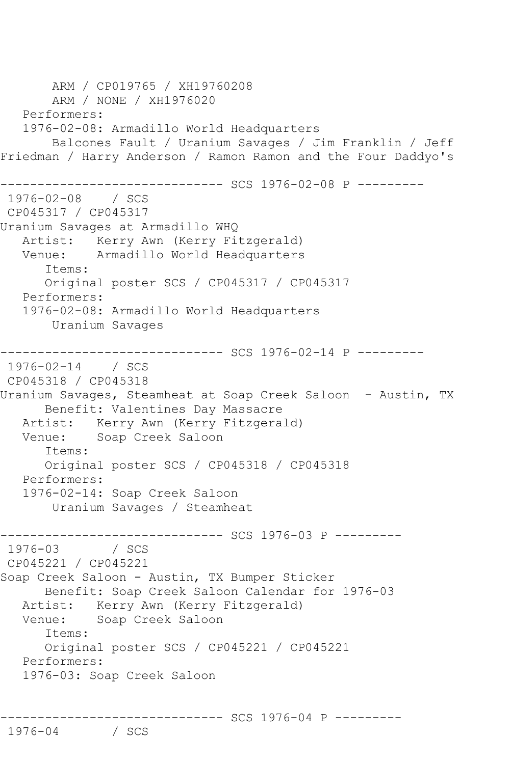ARM / CP019765 / XH19760208 ARM / NONE / XH1976020 Performers: 1976-02-08: Armadillo World Headquarters Balcones Fault / Uranium Savages / Jim Franklin / Jeff Friedman / Harry Anderson / Ramon Ramon and the Four Daddyo's ------------------------------ SCS 1976-02-08 P --------- 1976-02-08 / SCS CP045317 / CP045317 Uranium Savages at Armadillo WHQ Artist: Kerry Awn (Kerry Fitzgerald)<br>Venue: Armadillo World Headquarters Armadillo World Headquarters Items: Original poster SCS / CP045317 / CP045317 Performers: 1976-02-08: Armadillo World Headquarters Uranium Savages ------------------------------ SCS 1976-02-14 P --------- 1976-02-14 / SCS CP045318 / CP045318 Uranium Savages, Steamheat at Soap Creek Saloon - Austin, TX Benefit: Valentines Day Massacre Artist: Kerry Awn (Kerry Fitzgerald)<br>Venue: Soap Creek Saloon Soap Creek Saloon Items: Original poster SCS / CP045318 / CP045318 Performers: 1976-02-14: Soap Creek Saloon Uranium Savages / Steamheat ------------------------------ SCS 1976-03 P ---------  $1976 - 03$ CP045221 / CP045221 Soap Creek Saloon - Austin, TX Bumper Sticker Benefit: Soap Creek Saloon Calendar for 1976-03 Artist: Kerry Awn (Kerry Fitzgerald) Venue: Soap Creek Saloon Items: Original poster SCS / CP045221 / CP045221 Performers: 1976-03: Soap Creek Saloon

 $1976 - 04$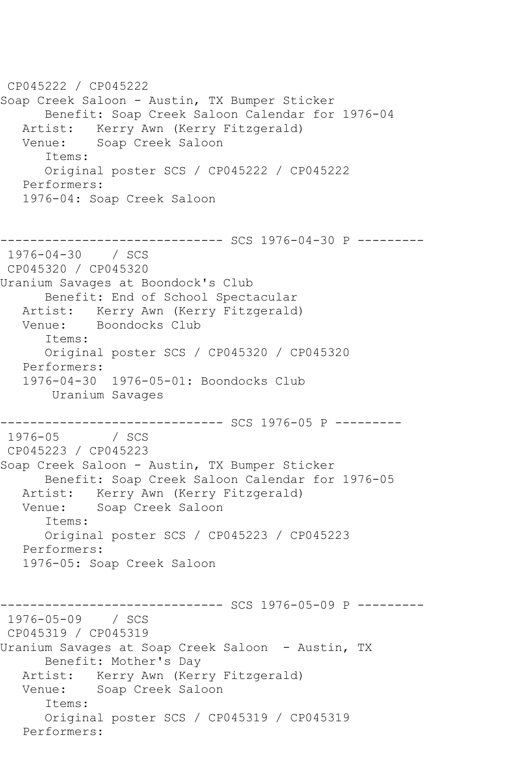CP045222 / CP045222 Soap Creek Saloon - Austin, TX Bumper Sticker Benefit: Soap Creek Saloon Calendar for 1976-04 Artist: Kerry Awn (Kerry Fitzgerald)<br>Venue: Soap Creek Saloon Soap Creek Saloon Items: Original poster SCS / CP045222 / CP045222 Performers: 1976-04: Soap Creek Saloon ------------------------------ SCS 1976-04-30 P --------- 1976-04-30 / SCS CP045320 / CP045320 Uranium Savages at Boondock's Club Benefit: End of School Spectacular Artist: Kerry Awn (Kerry Fitzgerald)<br>Venue: Boondocks Club Boondocks Club Items: Original poster SCS / CP045320 / CP045320 Performers: 1976-04-30 1976-05-01: Boondocks Club Uranium Savages ------------------------------ SCS 1976-05 P ---------  $1976 - 05$ CP045223 / CP045223 Soap Creek Saloon - Austin, TX Bumper Sticker Benefit: Soap Creek Saloon Calendar for 1976-05 Artist: Kerry Awn (Kerry Fitzgerald) Venue: Soap Creek Saloon Items: Original poster SCS / CP045223 / CP045223 Performers: 1976-05: Soap Creek Saloon ---------- SCS 1976-05-09 P ---------1976-05-09 / SCS CP045319 / CP045319 Uranium Savages at Soap Creek Saloon - Austin, TX Benefit: Mother's Day Artist: Kerry Awn (Kerry Fitzgerald) Venue: Soap Creek Saloon Items: Original poster SCS / CP045319 / CP045319 Performers: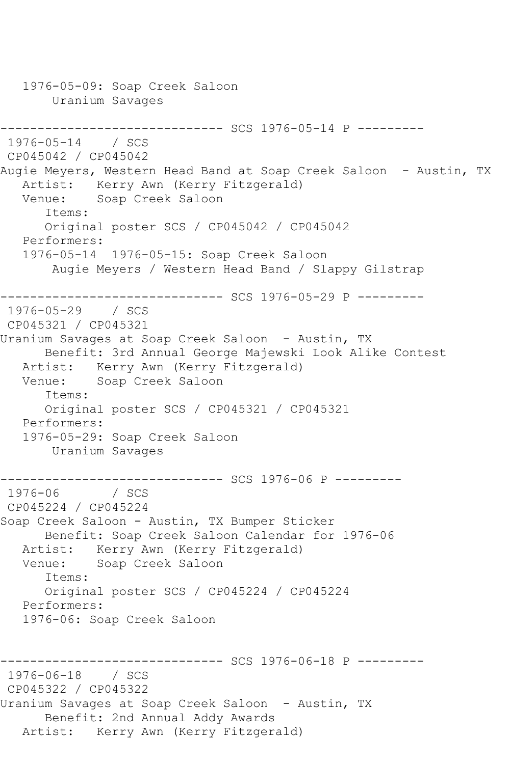1976-05-09: Soap Creek Saloon Uranium Savages ------------------------------ SCS 1976-05-14 P --------- 1976-05-14 / SCS CP045042 / CP045042 Augie Meyers, Western Head Band at Soap Creek Saloon - Austin, TX Artist: Kerry Awn (Kerry Fitzgerald) Venue: Soap Creek Saloon Items: Original poster SCS / CP045042 / CP045042 Performers: 1976-05-14 1976-05-15: Soap Creek Saloon Augie Meyers / Western Head Band / Slappy Gilstrap ----------- SCS 1976-05-29 P ----------1976-05-29 / SCS CP045321 / CP045321 Uranium Savages at Soap Creek Saloon - Austin, TX Benefit: 3rd Annual George Majewski Look Alike Contest Artist: Kerry Awn (Kerry Fitzgerald) Venue: Soap Creek Saloon Items: Original poster SCS / CP045321 / CP045321 Performers: 1976-05-29: Soap Creek Saloon Uranium Savages ----------- SCS 1976-06 P ---------1976-06 / SCS CP045224 / CP045224 Soap Creek Saloon - Austin, TX Bumper Sticker Benefit: Soap Creek Saloon Calendar for 1976-06 Artist: Kerry Awn (Kerry Fitzgerald) Venue: Soap Creek Saloon Items: Original poster SCS / CP045224 / CP045224 Performers: 1976-06: Soap Creek Saloon ----------- SCS 1976-06-18 P ---------1976-06-18 / SCS CP045322 / CP045322 Uranium Savages at Soap Creek Saloon - Austin, TX Benefit: 2nd Annual Addy Awards Artist: Kerry Awn (Kerry Fitzgerald)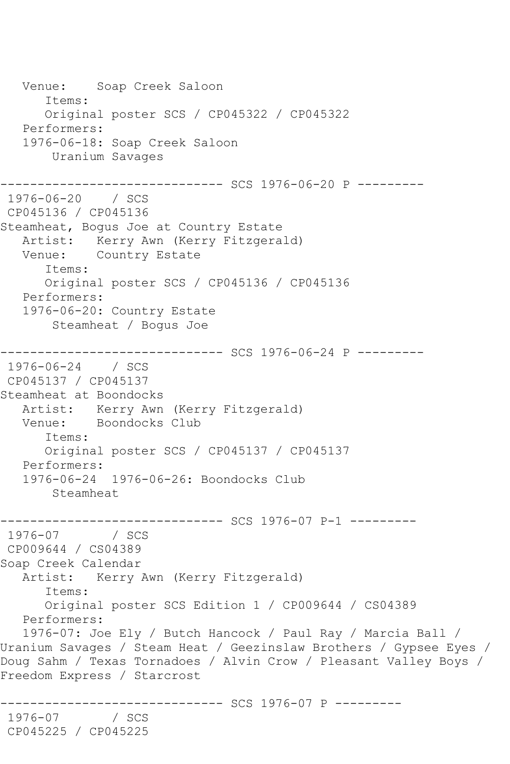Venue: Soap Creek Saloon Items: Original poster SCS / CP045322 / CP045322 Performers: 1976-06-18: Soap Creek Saloon Uranium Savages ------------------------------ SCS 1976-06-20 P --------- 1976-06-20 / SCS CP045136 / CP045136 Steamheat, Bogus Joe at Country Estate Artist: Kerry Awn (Kerry Fitzgerald) Venue: Country Estate Items: Original poster SCS / CP045136 / CP045136 Performers: 1976-06-20: Country Estate Steamheat / Bogus Joe ------------------------------ SCS 1976-06-24 P --------- 1976-06-24 / SCS CP045137 / CP045137 Steamheat at Boondocks Artist: Kerry Awn (Kerry Fitzgerald) Venue: Boondocks Club Items: Original poster SCS / CP045137 / CP045137 Performers: 1976-06-24 1976-06-26: Boondocks Club Steamheat ------------------------------ SCS 1976-07 P-1 --------- 1976-07 / SCS CP009644 / CS04389 Soap Creek Calendar Artist: Kerry Awn (Kerry Fitzgerald) Items: Original poster SCS Edition 1 / CP009644 / CS04389 Performers: 1976-07: Joe Ely / Butch Hancock / Paul Ray / Marcia Ball / Uranium Savages / Steam Heat / Geezinslaw Brothers / Gypsee Eyes / Doug Sahm / Texas Tornadoes / Alvin Crow / Pleasant Valley Boys / Freedom Express / Starcrost ------------------------------ SCS 1976-07 P --------- 1976-07 CP045225 / CP045225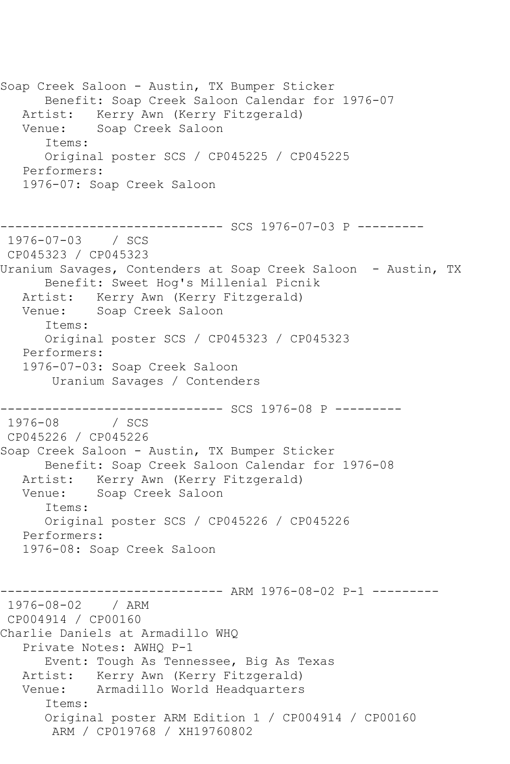Soap Creek Saloon - Austin, TX Bumper Sticker Benefit: Soap Creek Saloon Calendar for 1976-07 Artist: Kerry Awn (Kerry Fitzgerald) Venue: Soap Creek Saloon Items: Original poster SCS / CP045225 / CP045225 Performers: 1976-07: Soap Creek Saloon ------------------------------ SCS 1976-07-03 P --------- 1976-07-03 / SCS CP045323 / CP045323 Uranium Savages, Contenders at Soap Creek Saloon - Austin, TX Benefit: Sweet Hog's Millenial Picnik Artist: Kerry Awn (Kerry Fitzgerald) Venue: Soap Creek Saloon Items: Original poster SCS / CP045323 / CP045323 Performers: 1976-07-03: Soap Creek Saloon Uranium Savages / Contenders ------------------------------ SCS 1976-08 P ---------  $1976 - 08$ CP045226 / CP045226 Soap Creek Saloon - Austin, TX Bumper Sticker Benefit: Soap Creek Saloon Calendar for 1976-08 Artist: Kerry Awn (Kerry Fitzgerald) Venue: Soap Creek Saloon Items: Original poster SCS / CP045226 / CP045226 Performers: 1976-08: Soap Creek Saloon ------------------------------ ARM 1976-08-02 P-1 --------- 1976-08-02 / ARM CP004914 / CP00160 Charlie Daniels at Armadillo WHQ Private Notes: AWHQ P-1 Event: Tough As Tennessee, Big As Texas Artist: Kerry Awn (Kerry Fitzgerald) Venue: Armadillo World Headquarters Items: Original poster ARM Edition 1 / CP004914 / CP00160 ARM / CP019768 / XH19760802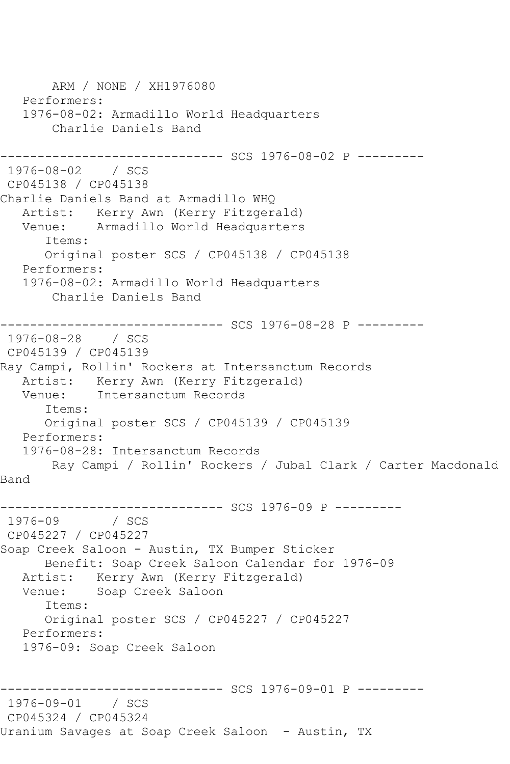ARM / NONE / XH1976080 Performers: 1976-08-02: Armadillo World Headquarters Charlie Daniels Band ------------------------------ SCS 1976-08-02 P --------- 1976-08-02 / SCS CP045138 / CP045138 Charlie Daniels Band at Armadillo WHQ Artist: Kerry Awn (Kerry Fitzgerald)<br>Venue: Armadillo World Headquarters Armadillo World Headquarters Items: Original poster SCS / CP045138 / CP045138 Performers: 1976-08-02: Armadillo World Headquarters Charlie Daniels Band ------------------------------ SCS 1976-08-28 P --------- 1976-08-28 / SCS CP045139 / CP045139 Ray Campi, Rollin' Rockers at Intersanctum Records Artist: Kerry Awn (Kerry Fitzgerald) Venue: Intersanctum Records Items: Original poster SCS / CP045139 / CP045139 Performers: 1976-08-28: Intersanctum Records Ray Campi / Rollin' Rockers / Jubal Clark / Carter Macdonald Band ------------------------------ SCS 1976-09 P --------- 1976 / SCS CP045227 / CP045227 Soap Creek Saloon - Austin, TX Bumper Sticker Benefit: Soap Creek Saloon Calendar for 1976-09 Artist: Kerry Awn (Kerry Fitzgerald)<br>Venue: Soap Creek Saloon Soap Creek Saloon Items: Original poster SCS / CP045227 / CP045227 Performers: 1976-09: Soap Creek Saloon ------------------------------ SCS 1976-09-01 P --------- 1976-09-01 / SCS CP045324 / CP045324 Uranium Savages at Soap Creek Saloon - Austin, TX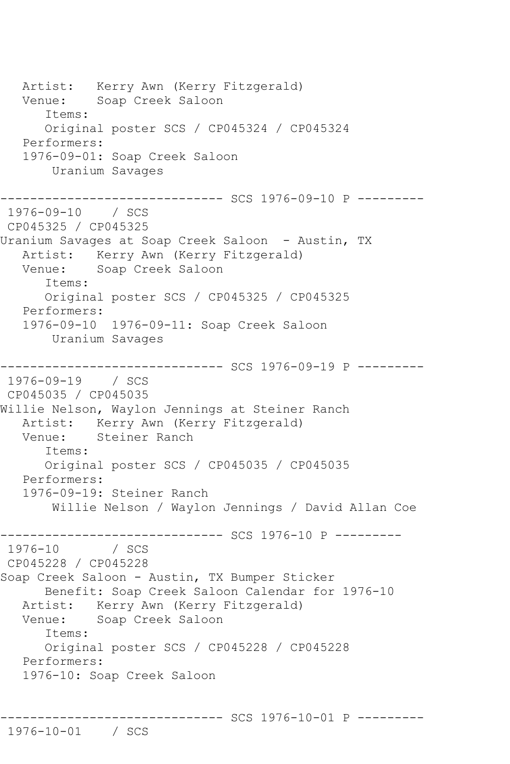Artist: Kerry Awn (Kerry Fitzgerald) Venue: Soap Creek Saloon Items: Original poster SCS / CP045324 / CP045324 Performers: 1976-09-01: Soap Creek Saloon Uranium Savages ------------------------------ SCS 1976-09-10 P --------- 1976-09-10 / SCS CP045325 / CP045325 Uranium Savages at Soap Creek Saloon - Austin, TX Artist: Kerry Awn (Kerry Fitzgerald) Venue: Soap Creek Saloon Items: Original poster SCS / CP045325 / CP045325 Performers: 1976-09-10 1976-09-11: Soap Creek Saloon Uranium Savages ------------------------------ SCS 1976-09-19 P --------- 1976-09-19 / SCS CP045035 / CP045035 Willie Nelson, Waylon Jennings at Steiner Ranch Artist: Kerry Awn (Kerry Fitzgerald)<br>Venue: Steiner Ranch Steiner Ranch Items: Original poster SCS / CP045035 / CP045035 Performers: 1976-09-19: Steiner Ranch Willie Nelson / Waylon Jennings / David Allan Coe -------------------------------- SCS 1976-10 P ---------<br>1976-10 / SCS  $1976 - 10$ CP045228 / CP045228 Soap Creek Saloon - Austin, TX Bumper Sticker Benefit: Soap Creek Saloon Calendar for 1976-10 Artist: Kerry Awn (Kerry Fitzgerald) Venue: Soap Creek Saloon Items: Original poster SCS / CP045228 / CP045228 Performers: 1976-10: Soap Creek Saloon

```
------------------------------ SCS 1976-10-01 P ---------
```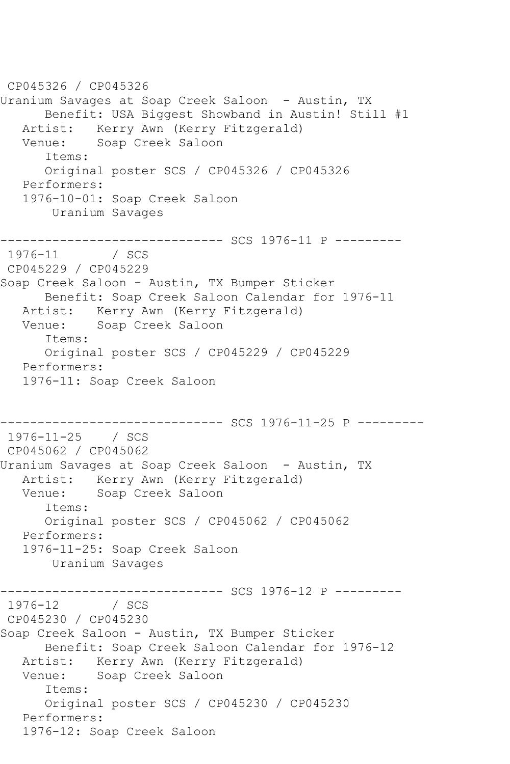CP045326 / CP045326 Uranium Savages at Soap Creek Saloon - Austin, TX Benefit: USA Biggest Showband in Austin! Still #1 Artist: Kerry Awn (Kerry Fitzgerald)<br>Venue: Soap Creek Saloon Soap Creek Saloon Items: Original poster SCS / CP045326 / CP045326 Performers: 1976-10-01: Soap Creek Saloon Uranium Savages -------------------------------- SCS 1976-11 P ---------<br>1976-11 / SCS  $1976 - 11$ CP045229 / CP045229 Soap Creek Saloon - Austin, TX Bumper Sticker Benefit: Soap Creek Saloon Calendar for 1976-11 Artist: Kerry Awn (Kerry Fitzgerald) Venue: Soap Creek Saloon Items: Original poster SCS / CP045229 / CP045229 Performers: 1976-11: Soap Creek Saloon ------------------------------ SCS 1976-11-25 P --------- 1976-11-25 / SCS CP045062 / CP045062 Uranium Savages at Soap Creek Saloon - Austin, TX Artist: Kerry Awn (Kerry Fitzgerald) Venue: Soap Creek Saloon Items: Original poster SCS / CP045062 / CP045062 Performers: 1976-11-25: Soap Creek Saloon Uranium Savages --------------------------------- SCS 1976-12 P ---------<br>1976-12 / SCS  $1976 - 12$ CP045230 / CP045230 Soap Creek Saloon - Austin, TX Bumper Sticker Benefit: Soap Creek Saloon Calendar for 1976-12 Artist: Kerry Awn (Kerry Fitzgerald) Venue: Soap Creek Saloon Items: Original poster SCS / CP045230 / CP045230 Performers: 1976-12: Soap Creek Saloon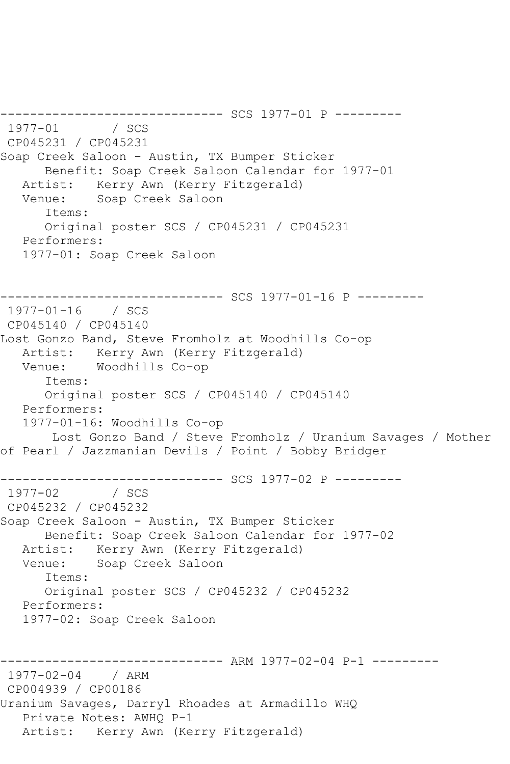------------------------------ SCS 1977-01 P --------- 1977-1978<br>1978-01 / SCS CP045231 / CP045231 Soap Creek Saloon - Austin, TX Bumper Sticker Benefit: Soap Creek Saloon Calendar for 1977-01 Artist: Kerry Awn (Kerry Fitzgerald) Venue: Soap Creek Saloon Items: Original poster SCS / CP045231 / CP045231 Performers: 1977-01: Soap Creek Saloon ---------- SCS 1977-01-16 P ---------1977-01-16 / SCS CP045140 / CP045140 Lost Gonzo Band, Steve Fromholz at Woodhills Co-op Artist: Kerry Awn (Kerry Fitzgerald)<br>Venue: Woodhills Co-op Woodhills Co-op Items: Original poster SCS / CP045140 / CP045140 Performers: 1977-01-16: Woodhills Co-op Lost Gonzo Band / Steve Fromholz / Uranium Savages / Mother of Pearl / Jazzmanian Devils / Point / Bobby Bridger ------------------------------ SCS 1977-02 P --------- 1977-02 / SCS CP045232 / CP045232 Soap Creek Saloon - Austin, TX Bumper Sticker Benefit: Soap Creek Saloon Calendar for 1977-02 Artist: Kerry Awn (Kerry Fitzgerald) Venue: Soap Creek Saloon Items: Original poster SCS / CP045232 / CP045232 Performers: 1977-02: Soap Creek Saloon ----------- ARM 1977-02-04 P-1 ---------1977-02-04 / ARM CP004939 / CP00186 Uranium Savages, Darryl Rhoades at Armadillo WHQ Private Notes: AWHQ P-1 Artist: Kerry Awn (Kerry Fitzgerald)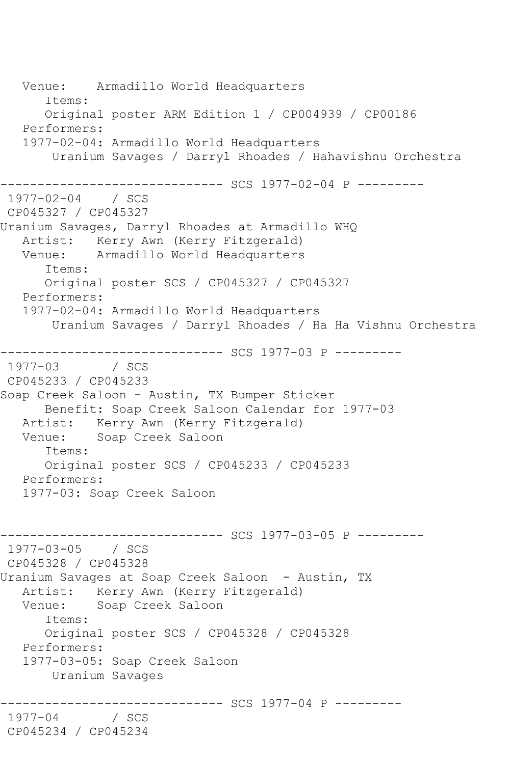Venue: Armadillo World Headquarters Items: Original poster ARM Edition 1 / CP004939 / CP00186 Performers: 1977-02-04: Armadillo World Headquarters Uranium Savages / Darryl Rhoades / Hahavishnu Orchestra ------------------------------ SCS 1977-02-04 P --------- 1977-02-04 / SCS CP045327 / CP045327 Uranium Savages, Darryl Rhoades at Armadillo WHQ Artist: Kerry Awn (Kerry Fitzgerald)<br>Venue: Armadillo World Headquarters Armadillo World Headquarters Items: Original poster SCS / CP045327 / CP045327 Performers: 1977-02-04: Armadillo World Headquarters Uranium Savages / Darryl Rhoades / Ha Ha Vishnu Orchestra ------------------------------ SCS 1977-03 P ---------  $1977 - 03$ CP045233 / CP045233 Soap Creek Saloon - Austin, TX Bumper Sticker Benefit: Soap Creek Saloon Calendar for 1977-03 Artist: Kerry Awn (Kerry Fitzgerald)<br>Venue: Soap Creek Saloon Soap Creek Saloon Items: Original poster SCS / CP045233 / CP045233 Performers: 1977-03: Soap Creek Saloon ------------------------------ SCS 1977-03-05 P --------- 1977-03-05 / SCS CP045328 / CP045328 Uranium Savages at Soap Creek Saloon - Austin, TX Artist: Kerry Awn (Kerry Fitzgerald) Venue: Soap Creek Saloon Items: Original poster SCS / CP045328 / CP045328 Performers: 1977-03-05: Soap Creek Saloon Uranium Savages ----------- SCS 1977-04 P ---------1977-04 / SCS CP045234 / CP045234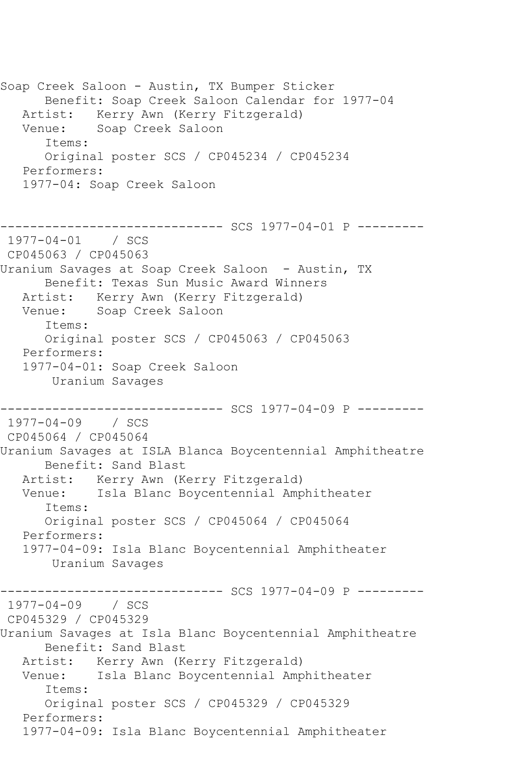Soap Creek Saloon - Austin, TX Bumper Sticker Benefit: Soap Creek Saloon Calendar for 1977-04 Artist: Kerry Awn (Kerry Fitzgerald) Venue: Soap Creek Saloon Items: Original poster SCS / CP045234 / CP045234 Performers: 1977-04: Soap Creek Saloon ------------------------------ SCS 1977-04-01 P --------- 1977-04-01 / SCS CP045063 / CP045063 Uranium Savages at Soap Creek Saloon - Austin, TX Benefit: Texas Sun Music Award Winners Artist: Kerry Awn (Kerry Fitzgerald) Venue: Soap Creek Saloon Items: Original poster SCS / CP045063 / CP045063 Performers: 1977-04-01: Soap Creek Saloon Uranium Savages ------------------------------ SCS 1977-04-09 P --------- 1977-04-09 / SCS CP045064 / CP045064 Uranium Savages at ISLA Blanca Boycentennial Amphitheatre Benefit: Sand Blast Artist: Kerry Awn (Kerry Fitzgerald) Venue: Isla Blanc Boycentennial Amphitheater Items: Original poster SCS / CP045064 / CP045064 Performers: 1977-04-09: Isla Blanc Boycentennial Amphitheater Uranium Savages ------------------------------ SCS 1977-04-09 P --------- 1977-04-09 / SCS CP045329 / CP045329 Uranium Savages at Isla Blanc Boycentennial Amphitheatre Benefit: Sand Blast Artist: Kerry Awn (Kerry Fitzgerald) Venue: Isla Blanc Boycentennial Amphitheater Items: Original poster SCS / CP045329 / CP045329 Performers: 1977-04-09: Isla Blanc Boycentennial Amphitheater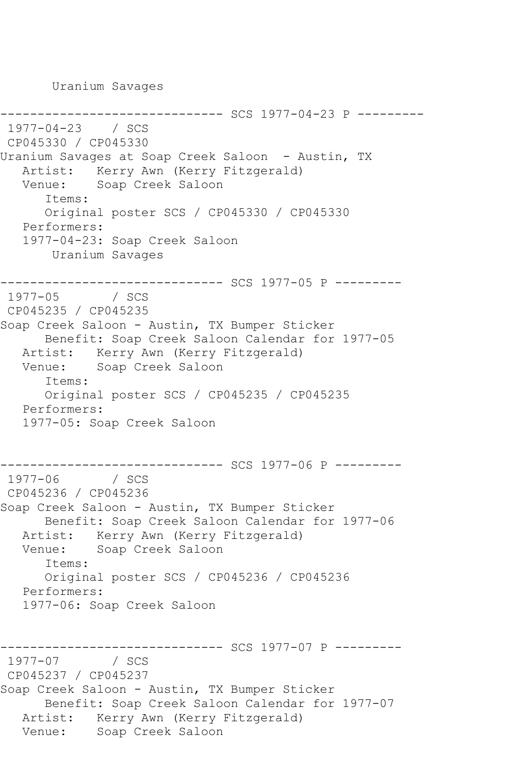Uranium Savages

```
----------- SCS 1977-04-23 P ---------
1977-04-23 / SCS 
CP045330 / CP045330
Uranium Savages at Soap Creek Saloon - Austin, TX
   Artist: Kerry Awn (Kerry Fitzgerald)
   Venue: Soap Creek Saloon
       Items:
       Original poster SCS / CP045330 / CP045330
   Performers:
    1977-04-23: Soap Creek Saloon
        Uranium Savages
       ------------------------------ SCS 1977-05 P ---------
1977 - 05CP045235 / CP045235
Soap Creek Saloon - Austin, TX Bumper Sticker
       Benefit: Soap Creek Saloon Calendar for 1977-05
   Artist: Kerry Awn (Kerry Fitzgerald)
   Venue: Soap Creek Saloon
       Items:
       Original poster SCS / CP045235 / CP045235
   Performers:
    1977-05: Soap Creek Saloon
       ------------------------------ SCS 1977-06 P ---------
1977 - 06CP045236 / CP045236
Soap Creek Saloon - Austin, TX Bumper Sticker
       Benefit: Soap Creek Saloon Calendar for 1977-06
  Artist: Kerry Awn (Kerry Fitzgerald)<br>Venue: Soap Creek Saloon
            Soap Creek Saloon
       Items:
       Original poster SCS / CP045236 / CP045236
   Performers:
    1977-06: Soap Creek Saloon
               ------------------------------ SCS 1977-07 P ---------
1977 - 07CP045237 / CP045237
Soap Creek Saloon - Austin, TX Bumper Sticker
       Benefit: Soap Creek Saloon Calendar for 1977-07
   Artist: Kerry Awn (Kerry Fitzgerald)
   Venue: Soap Creek Saloon
```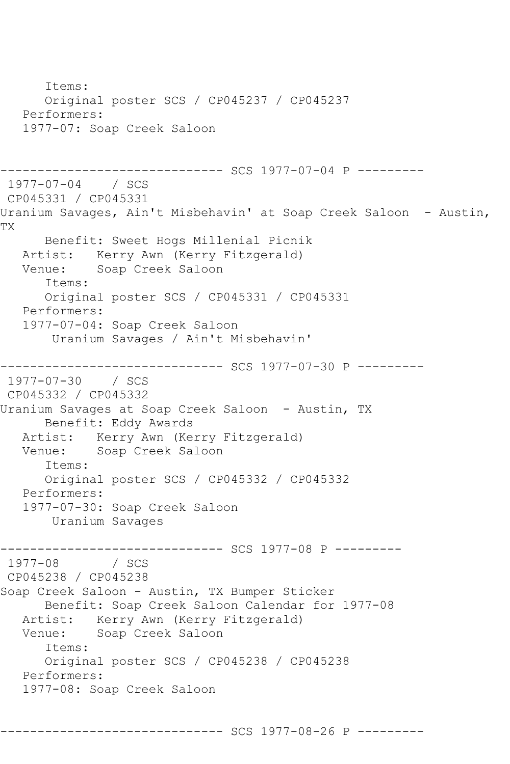```
 Items:
       Original poster SCS / CP045237 / CP045237
   Performers:
    1977-07: Soap Creek Saloon
------------------------------ SCS 1977-07-04 P ---------
1977-07-04 / SCS 
CP045331 / CP045331
Uranium Savages, Ain't Misbehavin' at Soap Creek Saloon - Austin,
TX
       Benefit: Sweet Hogs Millenial Picnik
   Artist: Kerry Awn (Kerry Fitzgerald)
   Venue: Soap Creek Saloon
       Items:
       Original poster SCS / CP045331 / CP045331
   Performers:
    1977-07-04: Soap Creek Saloon
        Uranium Savages / Ain't Misbehavin'
------------------------------ SCS 1977-07-30 P ---------
1977-07-30 / SCS 
CP045332 / CP045332
Uranium Savages at Soap Creek Saloon - Austin, TX
       Benefit: Eddy Awards
   Artist: Kerry Awn (Kerry Fitzgerald)
   Venue: Soap Creek Saloon
       Items:
       Original poster SCS / CP045332 / CP045332
   Performers:
    1977-07-30: Soap Creek Saloon
        Uranium Savages
------------------------------ SCS 1977-08 P ---------
1977 - 08CP045238 / CP045238
Soap Creek Saloon - Austin, TX Bumper Sticker
       Benefit: Soap Creek Saloon Calendar for 1977-08
  Artist: Kerry Awn (Kerry Fitzgerald)<br>Venue: Soap Creek Saloon
            Soap Creek Saloon
       Items:
       Original poster SCS / CP045238 / CP045238
   Performers:
    1977-08: Soap Creek Saloon
```
------------------------------ SCS 1977-08-26 P ---------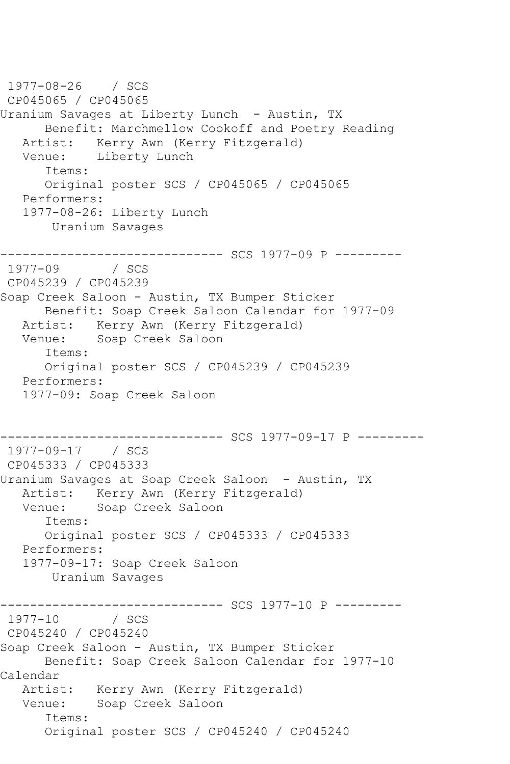1977-08-26 / SCS CP045065 / CP045065 Uranium Savages at Liberty Lunch - Austin, TX Benefit: Marchmellow Cookoff and Poetry Reading Artist: Kerry Awn (Kerry Fitzgerald) Venue: Liberty Lunch Items: Original poster SCS / CP045065 / CP045065 Performers: 1977-08-26: Liberty Lunch Uranium Savages ------------------------------ SCS 1977-09 P ---------  $1977 - 09$ CP045239 / CP045239 Soap Creek Saloon - Austin, TX Bumper Sticker Benefit: Soap Creek Saloon Calendar for 1977-09 Artist: Kerry Awn (Kerry Fitzgerald) Venue: Soap Creek Saloon Items: Original poster SCS / CP045239 / CP045239 Performers: 1977-09: Soap Creek Saloon ------------ SCS 1977-09-17 P ---------1977-09-17 / SCS CP045333 / CP045333 Uranium Savages at Soap Creek Saloon - Austin, TX Artist: Kerry Awn (Kerry Fitzgerald) Venue: Soap Creek Saloon Items: Original poster SCS / CP045333 / CP045333 Performers: 1977-09-17: Soap Creek Saloon Uranium Savages ------------------------------ SCS 1977-10 P ---------  $1977 - 10$ CP045240 / CP045240 Soap Creek Saloon - Austin, TX Bumper Sticker Benefit: Soap Creek Saloon Calendar for 1977-10 Calendar Artist: Kerry Awn (Kerry Fitzgerald) Venue: Soap Creek Saloon Items: Original poster SCS / CP045240 / CP045240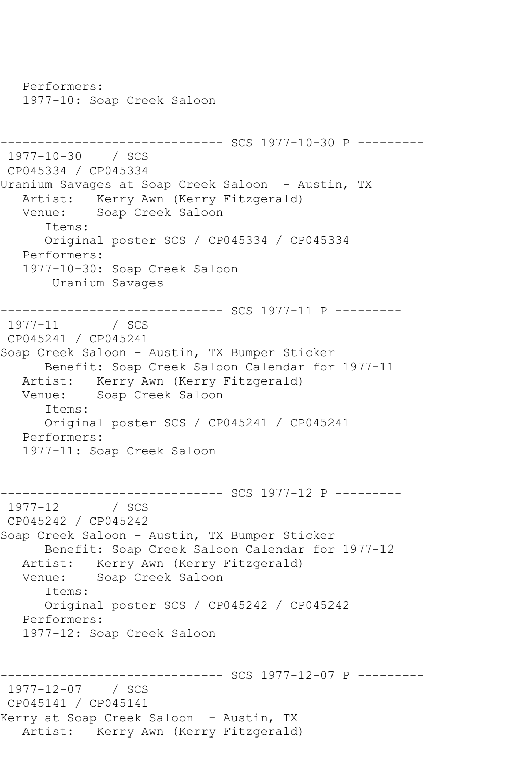Performers: 1977-10: Soap Creek Saloon ------------------------------ SCS 1977-10-30 P --------- 1977-10-30 / SCS CP045334 / CP045334 Uranium Savages at Soap Creek Saloon - Austin, TX Artist: Kerry Awn (Kerry Fitzgerald) Venue: Soap Creek Saloon Items: Original poster SCS / CP045334 / CP045334 Performers: 1977-10-30: Soap Creek Saloon Uranium Savages ------------------------------ SCS 1977-11 P --------- 1977-11 / SCS CP045241 / CP045241 Soap Creek Saloon - Austin, TX Bumper Sticker Benefit: Soap Creek Saloon Calendar for 1977-11 Artist: Kerry Awn (Kerry Fitzgerald) Venue: Soap Creek Saloon Items: Original poster SCS / CP045241 / CP045241 Performers: 1977-11: Soap Creek Saloon ------------------------------ SCS 1977-12 P ---------  $1977 - 12$ CP045242 / CP045242 Soap Creek Saloon - Austin, TX Bumper Sticker Benefit: Soap Creek Saloon Calendar for 1977-12 Artist: Kerry Awn (Kerry Fitzgerald) Venue: Soap Creek Saloon Items: Original poster SCS / CP045242 / CP045242 Performers: 1977-12: Soap Creek Saloon ------------------------------ SCS 1977-12-07 P --------- 1977-12-07 / SCS CP045141 / CP045141 Kerry at Soap Creek Saloon - Austin, TX Artist: Kerry Awn (Kerry Fitzgerald)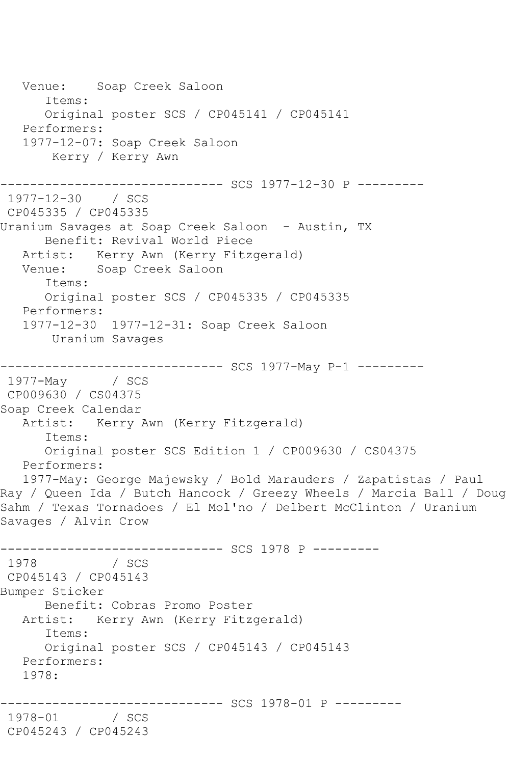Venue: Soap Creek Saloon Items: Original poster SCS / CP045141 / CP045141 Performers: 1977-12-07: Soap Creek Saloon Kerry / Kerry Awn ------------------------------ SCS 1977-12-30 P --------- 1977-12-30 / SCS CP045335 / CP045335 Uranium Savages at Soap Creek Saloon - Austin, TX Benefit: Revival World Piece Artist: Kerry Awn (Kerry Fitzgerald) Venue: Soap Creek Saloon Items: Original poster SCS / CP045335 / CP045335 Performers: 1977-12-30 1977-12-31: Soap Creek Saloon Uranium Savages ------------------------------ SCS 1977-May P-1 --------- 1977-May / SCS CP009630 / CS04375 Soap Creek Calendar Artist: Kerry Awn (Kerry Fitzgerald) Items: Original poster SCS Edition 1 / CP009630 / CS04375 Performers: 1977-May: George Majewsky / Bold Marauders / Zapatistas / Paul Ray / Queen Ida / Butch Hancock / Greezy Wheels / Marcia Ball / Doug Sahm / Texas Tornadoes / El Mol'no / Delbert McClinton / Uranium Savages / Alvin Crow ------------------------------ SCS 1978 P --------- 1978 / SCS CP045143 / CP045143 Bumper Sticker Benefit: Cobras Promo Poster Artist: Kerry Awn (Kerry Fitzgerald) Items: Original poster SCS / CP045143 / CP045143 Performers: 1978: ---------- SCS 1978-01 P ---------1978-01 / SCS CP045243 / CP045243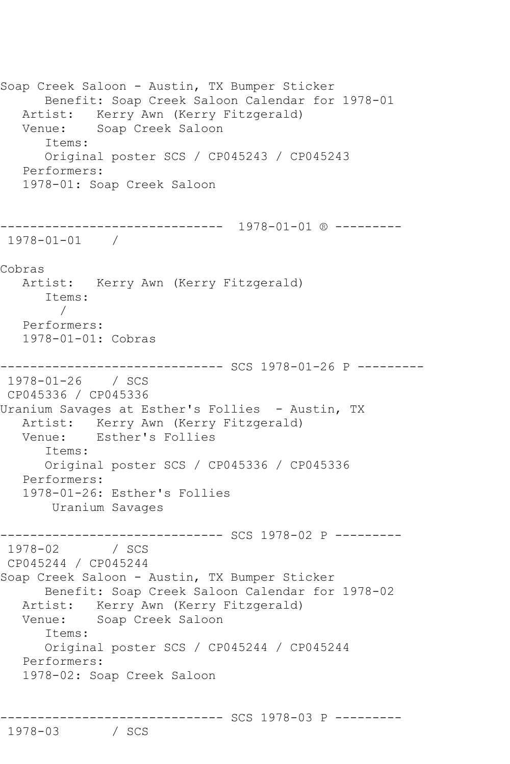```
Soap Creek Saloon - Austin, TX Bumper Sticker
      Benefit: Soap Creek Saloon Calendar for 1978-01
   Artist: Kerry Awn (Kerry Fitzgerald)
   Venue: Soap Creek Saloon
       Items:
       Original poster SCS / CP045243 / CP045243
   Performers:
   1978-01: Soap Creek Saloon
------------------------------ 1978-01-01 ® ---------
1978-01-01 / 
Cobras
   Artist: Kerry Awn (Kerry Fitzgerald)
       Items:
 / 
   Performers:
   1978-01-01: Cobras
------------------------------ SCS 1978-01-26 P ---------
1978-01-26 / SCS 
CP045336 / CP045336
Uranium Savages at Esther's Follies - Austin, TX
  Artist: Kerry Awn (Kerry Fitzgerald)<br>Venue: Esther's Follies
           Esther's Follies
       Items:
      Original poster SCS / CP045336 / CP045336
   Performers:
   1978-01-26: Esther's Follies
       Uranium Savages
------------------------------ SCS 1978-02 P ---------
1978-02 / SCS 
CP045244 / CP045244
Soap Creek Saloon - Austin, TX Bumper Sticker
      Benefit: Soap Creek Saloon Calendar for 1978-02
   Artist: Kerry Awn (Kerry Fitzgerald)
   Venue: Soap Creek Saloon
       Items:
      Original poster SCS / CP045244 / CP045244
   Performers:
   1978-02: Soap Creek Saloon
```

```
------------------------------ SCS 1978-03 P ---------
```
1978-03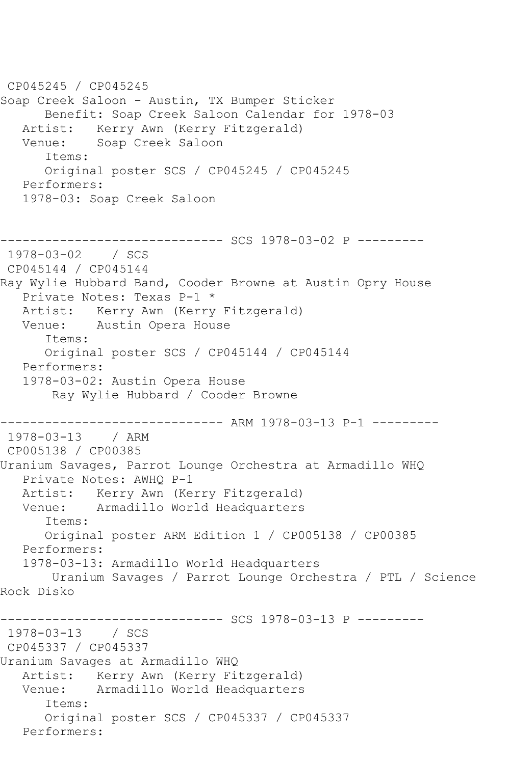CP045245 / CP045245 Soap Creek Saloon - Austin, TX Bumper Sticker Benefit: Soap Creek Saloon Calendar for 1978-03 Artist: Kerry Awn (Kerry Fitzgerald)<br>Venue: Soap Creek Saloon Soap Creek Saloon Items: Original poster SCS / CP045245 / CP045245 Performers: 1978-03: Soap Creek Saloon ------------------------------ SCS 1978-03-02 P --------- 1978-03-02 / SCS CP045144 / CP045144 Ray Wylie Hubbard Band, Cooder Browne at Austin Opry House Private Notes: Texas P-1 \* Artist: Kerry Awn (Kerry Fitzgerald) Venue: Austin Opera House Items: Original poster SCS / CP045144 / CP045144 Performers: 1978-03-02: Austin Opera House Ray Wylie Hubbard / Cooder Browne ------------------------------ ARM 1978-03-13 P-1 --------- 1978-03-13 / ARM CP005138 / CP00385 Uranium Savages, Parrot Lounge Orchestra at Armadillo WHQ Private Notes: AWHQ P-1 Artist: Kerry Awn (Kerry Fitzgerald) Venue: Armadillo World Headquarters Items: Original poster ARM Edition 1 / CP005138 / CP00385 Performers: 1978-03-13: Armadillo World Headquarters Uranium Savages / Parrot Lounge Orchestra / PTL / Science Rock Disko ------------------------------ SCS 1978-03-13 P --------- 1978-03-13 / SCS CP045337 / CP045337 Uranium Savages at Armadillo WHQ Artist: Kerry Awn (Kerry Fitzgerald) Venue: Armadillo World Headquarters Items: Original poster SCS / CP045337 / CP045337 Performers: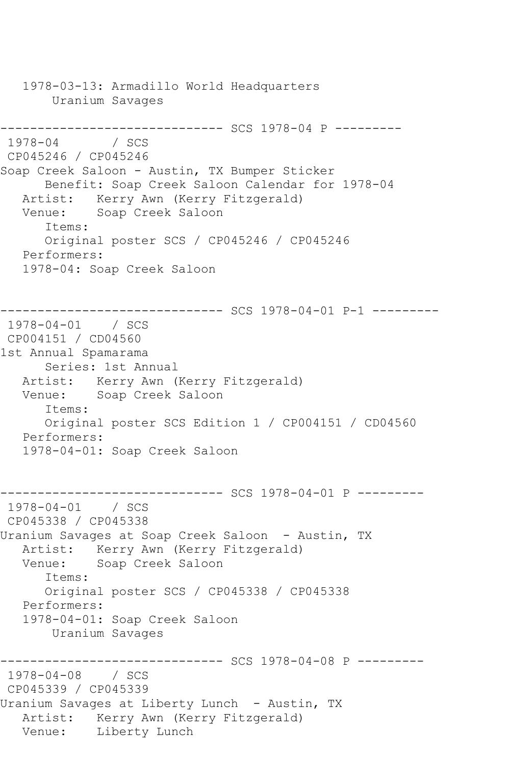1978-03-13: Armadillo World Headquarters Uranium Savages ------------------------------ SCS 1978-04 P --------- 1978-04 / SCS CP045246 / CP045246 Soap Creek Saloon - Austin, TX Bumper Sticker Benefit: Soap Creek Saloon Calendar for 1978-04 Artist: Kerry Awn (Kerry Fitzgerald) Venue: Soap Creek Saloon Items: Original poster SCS / CP045246 / CP045246 Performers: 1978-04: Soap Creek Saloon ------------------------------ SCS 1978-04-01 P-1 --------- 1978-04-01 / SCS CP004151 / CD04560 1st Annual Spamarama Series: 1st Annual Artist: Kerry Awn (Kerry Fitzgerald) Venue: Soap Creek Saloon Items: Original poster SCS Edition 1 / CP004151 / CD04560 Performers: 1978-04-01: Soap Creek Saloon ------------------------------ SCS 1978-04-01 P --------- 1978-04-01 / SCS CP045338 / CP045338 Uranium Savages at Soap Creek Saloon - Austin, TX Artist: Kerry Awn (Kerry Fitzgerald) Venue: Soap Creek Saloon Items: Original poster SCS / CP045338 / CP045338 Performers: 1978-04-01: Soap Creek Saloon Uranium Savages ------------------------------ SCS 1978-04-08 P --------- 1978-04-08 / SCS CP045339 / CP045339 Uranium Savages at Liberty Lunch - Austin, TX Artist: Kerry Awn (Kerry Fitzgerald) Venue: Liberty Lunch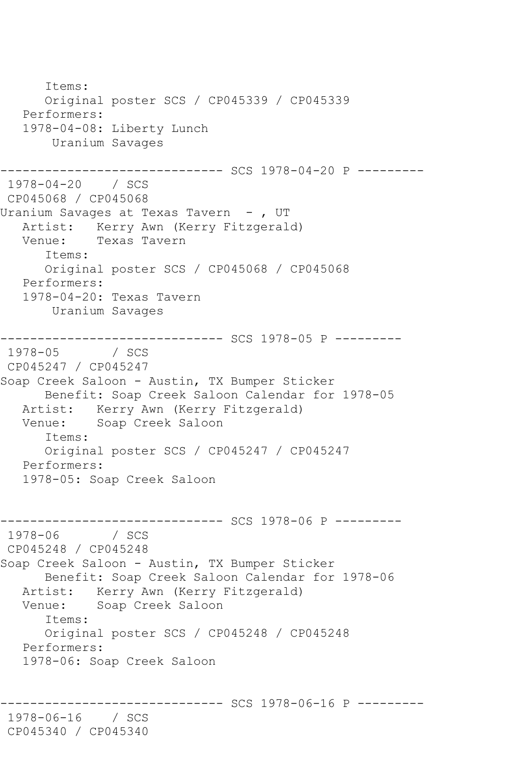Items: Original poster SCS / CP045339 / CP045339 Performers: 1978-04-08: Liberty Lunch Uranium Savages ------------------------------ SCS 1978-04-20 P --------- 1978-04-20 / SCS CP045068 / CP045068 Uranium Savages at Texas Tavern - , UT Artist: Kerry Awn (Kerry Fitzgerald) Venue: Texas Tavern Items: Original poster SCS / CP045068 / CP045068 Performers: 1978-04-20: Texas Tavern Uranium Savages ------------------------------ SCS 1978-05 P ---------  $1978 - 05$ CP045247 / CP045247 Soap Creek Saloon - Austin, TX Bumper Sticker Benefit: Soap Creek Saloon Calendar for 1978-05 Artist: Kerry Awn (Kerry Fitzgerald) Venue: Soap Creek Saloon Items: Original poster SCS / CP045247 / CP045247 Performers: 1978-05: Soap Creek Saloon ----------------- SCS 1978-06 P ----------<br>/ SCS  $1978 - 06$ CP045248 / CP045248 Soap Creek Saloon - Austin, TX Bumper Sticker Benefit: Soap Creek Saloon Calendar for 1978-06 Artist: Kerry Awn (Kerry Fitzgerald) Venue: Soap Creek Saloon Items: Original poster SCS / CP045248 / CP045248 Performers: 1978-06: Soap Creek Saloon --------- SCS 1978-06-16 P ---------1978-06-16 / SCS CP045340 / CP045340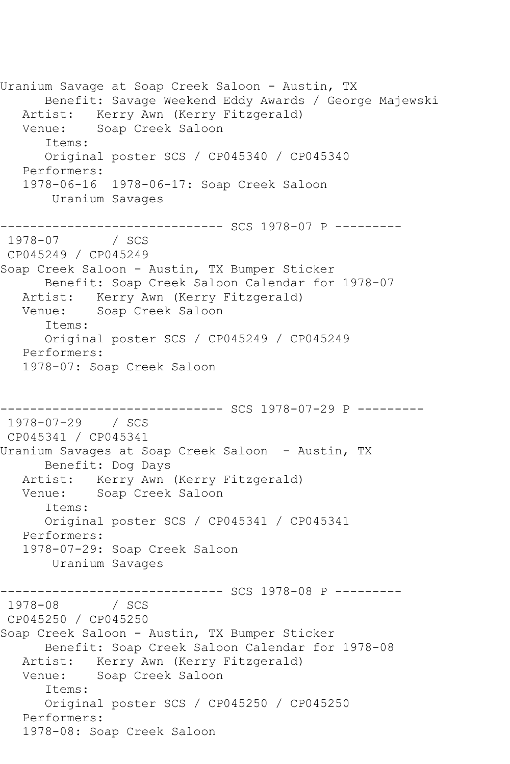Uranium Savage at Soap Creek Saloon - Austin, TX Benefit: Savage Weekend Eddy Awards / George Majewski Artist: Kerry Awn (Kerry Fitzgerald) Venue: Soap Creek Saloon Items: Original poster SCS / CP045340 / CP045340 Performers: 1978-06-16 1978-06-17: Soap Creek Saloon Uranium Savages ------------------------------ SCS 1978-07 P --------- 1978-07 / SCS CP045249 / CP045249 Soap Creek Saloon - Austin, TX Bumper Sticker Benefit: Soap Creek Saloon Calendar for 1978-07 Artist: Kerry Awn (Kerry Fitzgerald) Venue: Soap Creek Saloon Items: Original poster SCS / CP045249 / CP045249 Performers: 1978-07: Soap Creek Saloon ------------------------------ SCS 1978-07-29 P --------- 1978-07-29 / SCS CP045341 / CP045341 Uranium Savages at Soap Creek Saloon - Austin, TX Benefit: Dog Days Artist: Kerry Awn (Kerry Fitzgerald) Venue: Soap Creek Saloon Items: Original poster SCS / CP045341 / CP045341 Performers: 1978-07-29: Soap Creek Saloon Uranium Savages --------------------------------- SCS 1978-08 P ---------<br>1978-08 / SCS 1978-08 CP045250 / CP045250 Soap Creek Saloon - Austin, TX Bumper Sticker Benefit: Soap Creek Saloon Calendar for 1978-08 Artist: Kerry Awn (Kerry Fitzgerald) Venue: Soap Creek Saloon Items: Original poster SCS / CP045250 / CP045250 Performers: 1978-08: Soap Creek Saloon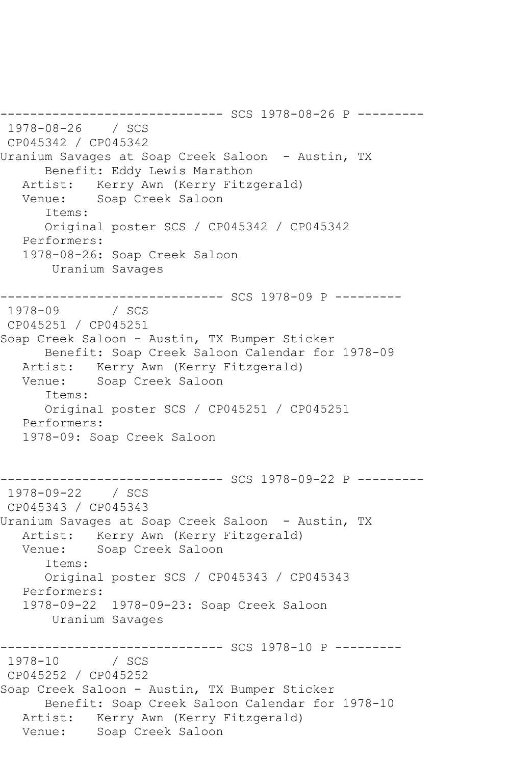------------ SCS 1978-08-26 P ---------1978-08-26 / SCS CP045342 / CP045342 Uranium Savages at Soap Creek Saloon - Austin, TX Benefit: Eddy Lewis Marathon Artist: Kerry Awn (Kerry Fitzgerald) Venue: Soap Creek Saloon Items: Original poster SCS / CP045342 / CP045342 Performers: 1978-08-26: Soap Creek Saloon Uranium Savages ------------------------------ SCS 1978-09 P --------- 1978-09 / SCS CP045251 / CP045251 Soap Creek Saloon - Austin, TX Bumper Sticker Benefit: Soap Creek Saloon Calendar for 1978-09 Artist: Kerry Awn (Kerry Fitzgerald) Venue: Soap Creek Saloon Items: Original poster SCS / CP045251 / CP045251 Performers: 1978-09: Soap Creek Saloon ---------- SCS 1978-09-22 P ----------1978-09-22 / SCS CP045343 / CP045343 Uranium Savages at Soap Creek Saloon - Austin, TX Artist: Kerry Awn (Kerry Fitzgerald)<br>Venue: Soap Creek Saloon Soap Creek Saloon Items: Original poster SCS / CP045343 / CP045343 Performers: 1978-09-22 1978-09-23: Soap Creek Saloon Uranium Savages ------------------------------ SCS 1978-10 P ---------  $1978 - 10$ CP045252 / CP045252 Soap Creek Saloon - Austin, TX Bumper Sticker Benefit: Soap Creek Saloon Calendar for 1978-10 Artist: Kerry Awn (Kerry Fitzgerald) Venue: Soap Creek Saloon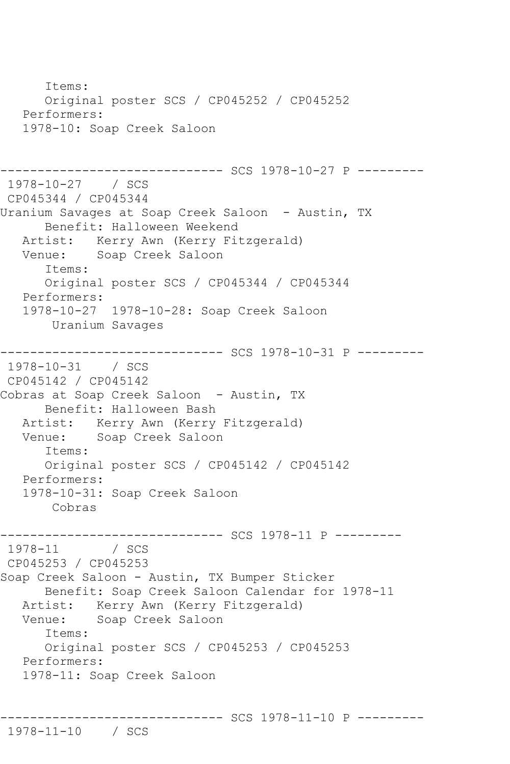Items: Original poster SCS / CP045252 / CP045252 Performers: 1978-10: Soap Creek Saloon ------------------------------ SCS 1978-10-27 P --------- 1978-10-27 / SCS CP045344 / CP045344 Uranium Savages at Soap Creek Saloon - Austin, TX Benefit: Halloween Weekend Artist: Kerry Awn (Kerry Fitzgerald) Venue: Soap Creek Saloon Items: Original poster SCS / CP045344 / CP045344 Performers: 1978-10-27 1978-10-28: Soap Creek Saloon Uranium Savages ------------------------------ SCS 1978-10-31 P --------- 1978-10-31 / SCS CP045142 / CP045142 Cobras at Soap Creek Saloon - Austin, TX Benefit: Halloween Bash Artist: Kerry Awn (Kerry Fitzgerald) Venue: Soap Creek Saloon Items: Original poster SCS / CP045142 / CP045142 Performers: 1978-10-31: Soap Creek Saloon Cobras ------------------------------ SCS 1978-11 P --------- 1978-11 / SCS CP045253 / CP045253 Soap Creek Saloon - Austin, TX Bumper Sticker Benefit: Soap Creek Saloon Calendar for 1978-11 Artist: Kerry Awn (Kerry Fitzgerald) Venue: Soap Creek Saloon Items: Original poster SCS / CP045253 / CP045253 Performers: 1978-11: Soap Creek Saloon

------------------------------ SCS 1978-11-10 P ---------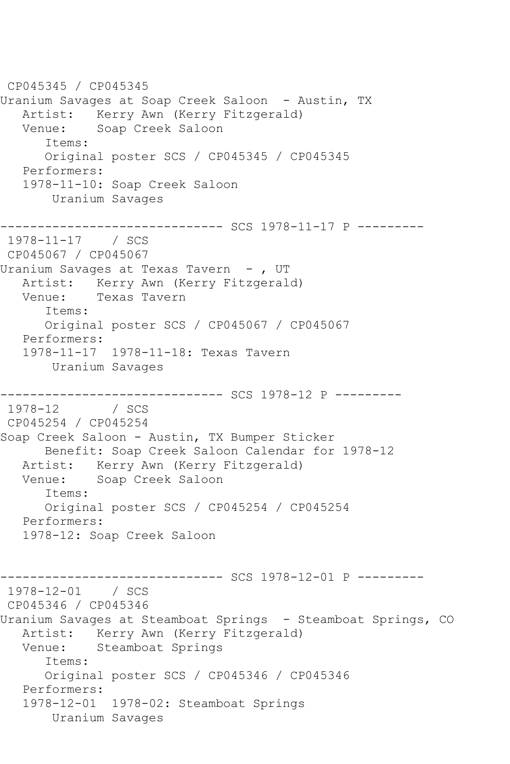CP045345 / CP045345 Uranium Savages at Soap Creek Saloon - Austin, TX Artist: Kerry Awn (Kerry Fitzgerald) Venue: Soap Creek Saloon Items: Original poster SCS / CP045345 / CP045345 Performers: 1978-11-10: Soap Creek Saloon Uranium Savages ------------------------------ SCS 1978-11-17 P --------- 1978-11-17 / SCS CP045067 / CP045067 Uranium Savages at Texas Tavern - , UT Artist: Kerry Awn (Kerry Fitzgerald) Venue: Texas Tavern Items: Original poster SCS / CP045067 / CP045067 Performers: 1978-11-17 1978-11-18: Texas Tavern Uranium Savages ------------------------------ SCS 1978-12 P ---------  $1978 - 12$ CP045254 / CP045254 Soap Creek Saloon - Austin, TX Bumper Sticker Benefit: Soap Creek Saloon Calendar for 1978-12 Artist: Kerry Awn (Kerry Fitzgerald) Venue: Soap Creek Saloon Items: Original poster SCS / CP045254 / CP045254 Performers: 1978-12: Soap Creek Saloon ------------------------------ SCS 1978-12-01 P --------- 1978-12-01 / SCS CP045346 / CP045346 Uranium Savages at Steamboat Springs - Steamboat Springs, CO Artist: Kerry Awn (Kerry Fitzgerald) Venue: Steamboat Springs Items: Original poster SCS / CP045346 / CP045346 Performers: 1978-12-01 1978-02: Steamboat Springs Uranium Savages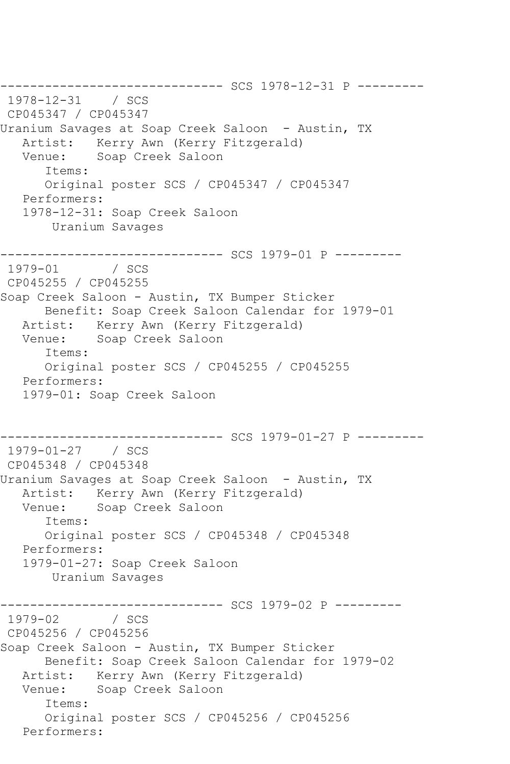------------------------------ SCS 1978-12-31 P --------- 1978-12-31 / SCS CP045347 / CP045347 Uranium Savages at Soap Creek Saloon - Austin, TX Artist: Kerry Awn (Kerry Fitzgerald) Venue: Soap Creek Saloon Items: Original poster SCS / CP045347 / CP045347 Performers: 1978-12-31: Soap Creek Saloon Uranium Savages ------------------------------ SCS 1979-01 P --------- 1979-01 / SCS CP045255 / CP045255 Soap Creek Saloon - Austin, TX Bumper Sticker Benefit: Soap Creek Saloon Calendar for 1979-01 Artist: Kerry Awn (Kerry Fitzgerald) Venue: Soap Creek Saloon Items: Original poster SCS / CP045255 / CP045255 Performers: 1979-01: Soap Creek Saloon ------------------------------ SCS 1979-01-27 P --------- 1979-01-27 / SCS CP045348 / CP045348 Uranium Savages at Soap Creek Saloon - Austin, TX Artist: Kerry Awn (Kerry Fitzgerald)<br>Venue: Soap Creek Saloon Soap Creek Saloon Items: Original poster SCS / CP045348 / CP045348 Performers: 1979-01-27: Soap Creek Saloon Uranium Savages ------------------------------ SCS 1979-02 P ---------  $1979 - 02$ CP045256 / CP045256 Soap Creek Saloon - Austin, TX Bumper Sticker Benefit: Soap Creek Saloon Calendar for 1979-02 Artist: Kerry Awn (Kerry Fitzgerald) Venue: Soap Creek Saloon Items: Original poster SCS / CP045256 / CP045256 Performers: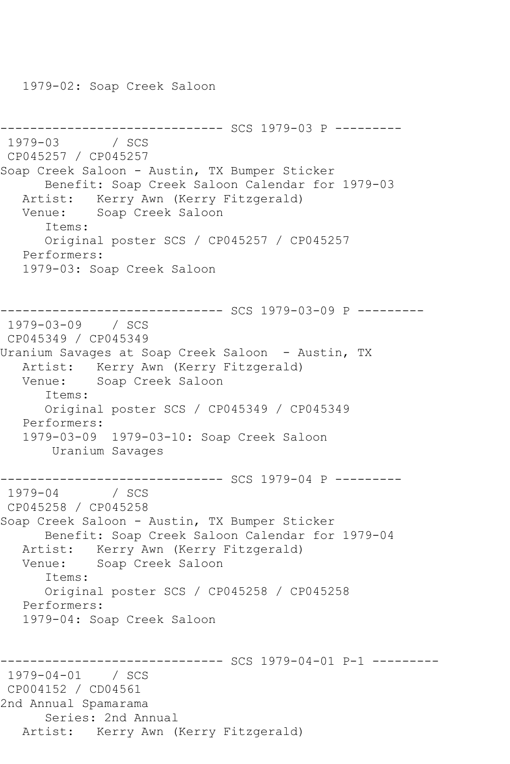1979-02: Soap Creek Saloon

```
------------------------------ SCS 1979-03 P ---------
1979-03 / SCS 
CP045257 / CP045257
Soap Creek Saloon - Austin, TX Bumper Sticker
      Benefit: Soap Creek Saloon Calendar for 1979-03
   Artist: Kerry Awn (Kerry Fitzgerald)
   Venue: Soap Creek Saloon
      Items:
      Original poster SCS / CP045257 / CP045257
   Performers:
   1979-03: Soap Creek Saloon
------------------------------ SCS 1979-03-09 P ---------
1979-03-09 / SCS 
CP045349 / CP045349
Uranium Savages at Soap Creek Saloon - Austin, TX
   Artist: Kerry Awn (Kerry Fitzgerald)
   Venue: Soap Creek Saloon
      Items:
      Original poster SCS / CP045349 / CP045349
   Performers:
   1979-03-09 1979-03-10: Soap Creek Saloon
       Uranium Savages
                    ---------- SCS 1979-04 P ---------
1979-04 / SCS 
CP045258 / CP045258
Soap Creek Saloon - Austin, TX Bumper Sticker
      Benefit: Soap Creek Saloon Calendar for 1979-04
   Artist: Kerry Awn (Kerry Fitzgerald)
   Venue: Soap Creek Saloon
      Items:
      Original poster SCS / CP045258 / CP045258
   Performers:
   1979-04: Soap Creek Saloon
                    ------------------------------ SCS 1979-04-01 P-1 ---------
1979-04-01 / SCS 
CP004152 / CD04561
2nd Annual Spamarama
      Series: 2nd Annual
   Artist: Kerry Awn (Kerry Fitzgerald)
```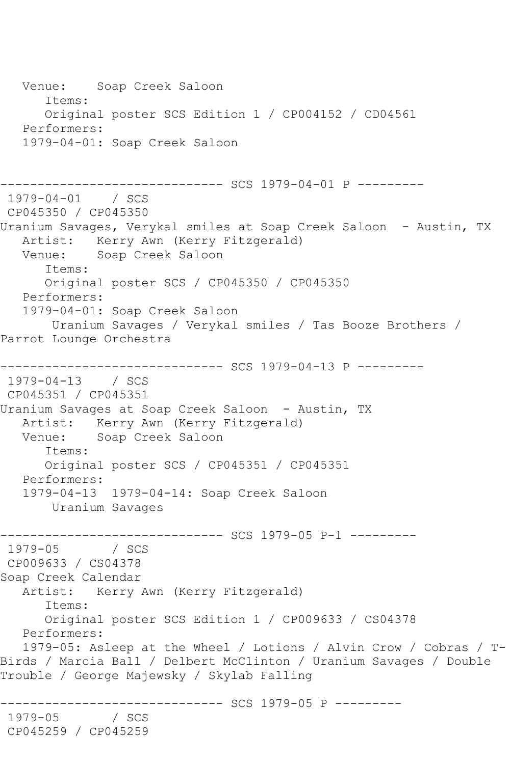Venue: Soap Creek Saloon Items: Original poster SCS Edition 1 / CP004152 / CD04561 Performers: 1979-04-01: Soap Creek Saloon ------------------------------ SCS 1979-04-01 P --------- 1979-04-01 / SCS CP045350 / CP045350 Uranium Savages, Verykal smiles at Soap Creek Saloon - Austin, TX Artist: Kerry Awn (Kerry Fitzgerald)<br>Venue: Soap Creek Saloon Soap Creek Saloon Items: Original poster SCS / CP045350 / CP045350 Performers: 1979-04-01: Soap Creek Saloon Uranium Savages / Verykal smiles / Tas Booze Brothers / Parrot Lounge Orchestra ------------------------------ SCS 1979-04-13 P --------- 1979-04-13 / SCS CP045351 / CP045351 Uranium Savages at Soap Creek Saloon - Austin, TX Artist: Kerry Awn (Kerry Fitzgerald)<br>Venue: Soap Creek Saloon Soap Creek Saloon Items: Original poster SCS / CP045351 / CP045351 Performers: 1979-04-13 1979-04-14: Soap Creek Saloon Uranium Savages ------------------------------ SCS 1979-05 P-1 --------- 1979-05 / SCS CP009633 / CS04378 Soap Creek Calendar Artist: Kerry Awn (Kerry Fitzgerald) Items: Original poster SCS Edition 1 / CP009633 / CS04378 Performers: 1979-05: Asleep at the Wheel / Lotions / Alvin Crow / Cobras / T-Birds / Marcia Ball / Delbert McClinton / Uranium Savages / Double Trouble / George Majewsky / Skylab Falling ------------------------------ SCS 1979-05 P --------- 1979-05 CP045259 / CP045259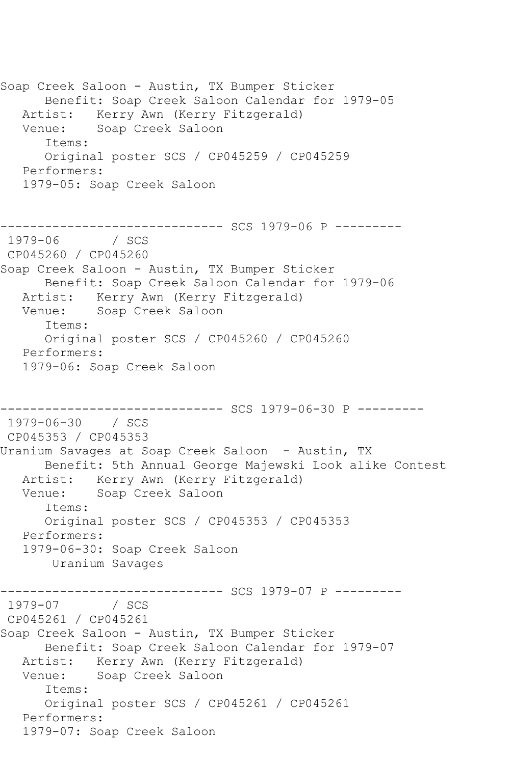Soap Creek Saloon - Austin, TX Bumper Sticker Benefit: Soap Creek Saloon Calendar for 1979-05 Artist: Kerry Awn (Kerry Fitzgerald) Venue: Soap Creek Saloon Items: Original poster SCS / CP045259 / CP045259 Performers: 1979-05: Soap Creek Saloon ------------------------------ SCS 1979-06 P --------- 1979-06 / SCS CP045260 / CP045260 Soap Creek Saloon - Austin, TX Bumper Sticker Benefit: Soap Creek Saloon Calendar for 1979-06 Artist: Kerry Awn (Kerry Fitzgerald) Venue: Soap Creek Saloon Items: Original poster SCS / CP045260 / CP045260 Performers: 1979-06: Soap Creek Saloon ------------------------------ SCS 1979-06-30 P --------- 1979-06-30 / SCS CP045353 / CP045353 Uranium Savages at Soap Creek Saloon - Austin, TX Benefit: 5th Annual George Majewski Look alike Contest Artist: Kerry Awn (Kerry Fitzgerald) Venue: Soap Creek Saloon Items: Original poster SCS / CP045353 / CP045353 Performers: 1979-06-30: Soap Creek Saloon Uranium Savages --------------------------------- SCS 1979-07 P ---------<br>1979-07 / SCS 1979-07 CP045261 / CP045261 Soap Creek Saloon - Austin, TX Bumper Sticker Benefit: Soap Creek Saloon Calendar for 1979-07 Artist: Kerry Awn (Kerry Fitzgerald) Venue: Soap Creek Saloon Items: Original poster SCS / CP045261 / CP045261 Performers: 1979-07: Soap Creek Saloon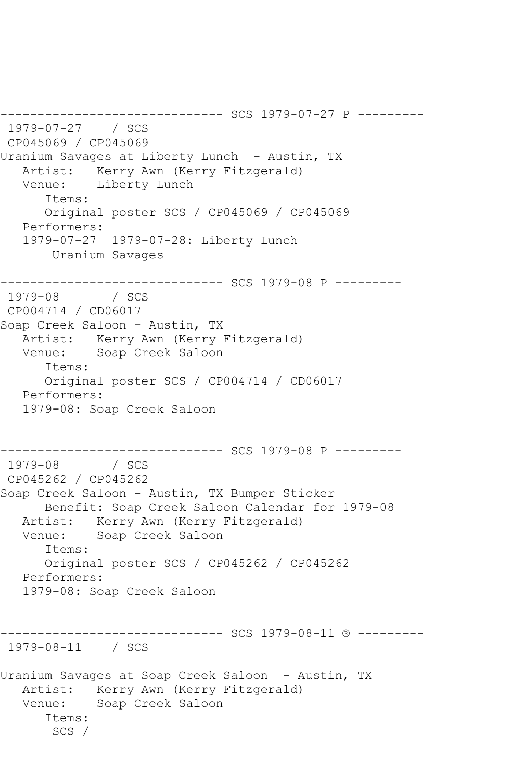------------------------------ SCS 1979-07-27 P --------- 1979-07-27 / SCS CP045069 / CP045069 Uranium Savages at Liberty Lunch - Austin, TX Artist: Kerry Awn (Kerry Fitzgerald) Venue: Liberty Lunch Items: Original poster SCS / CP045069 / CP045069 Performers: 1979-07-27 1979-07-28: Liberty Lunch Uranium Savages ------------------------------ SCS 1979-08 P --------- 1979-08 / SCS CP004714 / CD06017 Soap Creek Saloon - Austin, TX Artist: Kerry Awn (Kerry Fitzgerald) Venue: Soap Creek Saloon Items: Original poster SCS / CP004714 / CD06017 Performers: 1979-08: Soap Creek Saloon ------------------------------ SCS 1979-08 P --------- 1979-08 / SCS CP045262 / CP045262 Soap Creek Saloon - Austin, TX Bumper Sticker Benefit: Soap Creek Saloon Calendar for 1979-08 Artist: Kerry Awn (Kerry Fitzgerald) Venue: Soap Creek Saloon Items: Original poster SCS / CP045262 / CP045262 Performers: 1979-08: Soap Creek Saloon ------------------------------ SCS 1979-08-11 ® --------- 1979-08-11 / SCS Uranium Savages at Soap Creek Saloon - Austin, TX Artist: Kerry Awn (Kerry Fitzgerald) Venue: Soap Creek Saloon Items: SCS /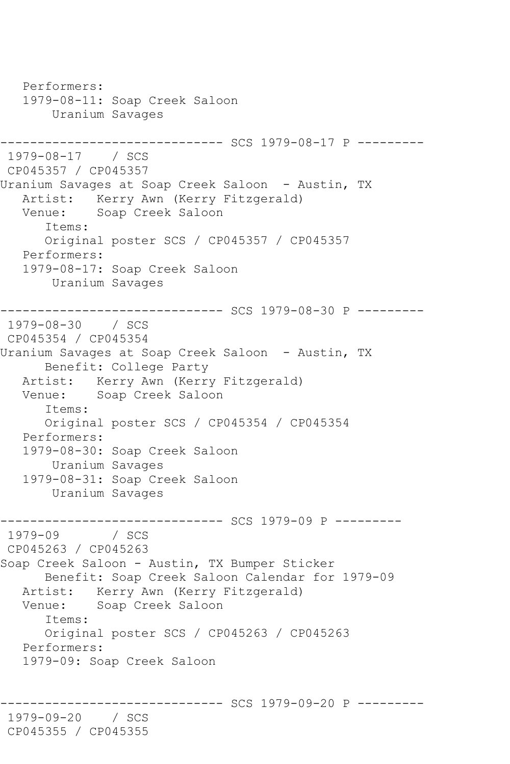Performers: 1979-08-11: Soap Creek Saloon Uranium Savages ------------------------------ SCS 1979-08-17 P --------- 1979-08-17 / SCS CP045357 / CP045357 Uranium Savages at Soap Creek Saloon - Austin, TX Artist: Kerry Awn (Kerry Fitzgerald) Venue: Soap Creek Saloon Items: Original poster SCS / CP045357 / CP045357 Performers: 1979-08-17: Soap Creek Saloon Uranium Savages ------------------------------ SCS 1979-08-30 P --------- 1979-08-30 / SCS CP045354 / CP045354 Uranium Savages at Soap Creek Saloon - Austin, TX Benefit: College Party Artist: Kerry Awn (Kerry Fitzgerald) Venue: Soap Creek Saloon Items: Original poster SCS / CP045354 / CP045354 Performers: 1979-08-30: Soap Creek Saloon Uranium Savages 1979-08-31: Soap Creek Saloon Uranium Savages ------------------------------ SCS 1979-09 P ---------  $1979 - 09$ CP045263 / CP045263 Soap Creek Saloon - Austin, TX Bumper Sticker Benefit: Soap Creek Saloon Calendar for 1979-09 Artist: Kerry Awn (Kerry Fitzgerald) Venue: Soap Creek Saloon Items: Original poster SCS / CP045263 / CP045263 Performers: 1979-09: Soap Creek Saloon --------- SCS 1979-09-20 P ---------1979-09-20 / SCS CP045355 / CP045355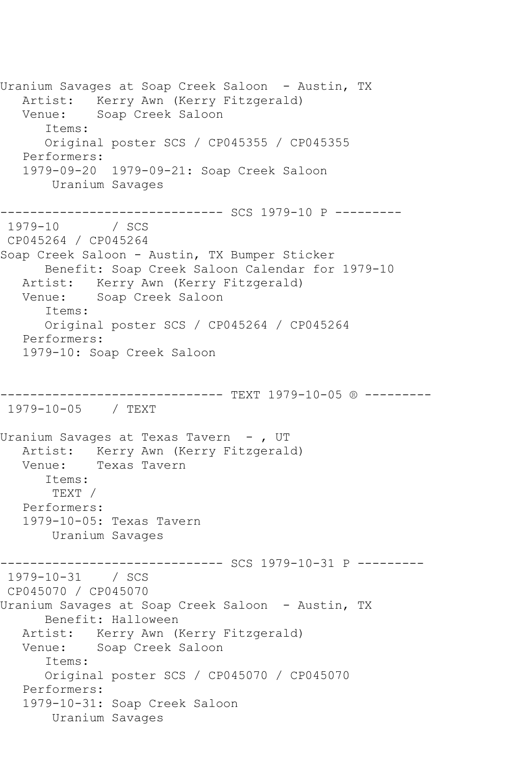Uranium Savages at Soap Creek Saloon - Austin, TX Artist: Kerry Awn (Kerry Fitzgerald) Venue: Soap Creek Saloon Items: Original poster SCS / CP045355 / CP045355 Performers: 1979-09-20 1979-09-21: Soap Creek Saloon Uranium Savages ------------------------------ SCS 1979-10 P ---------  $/$  SCS CP045264 / CP045264 Soap Creek Saloon - Austin, TX Bumper Sticker Benefit: Soap Creek Saloon Calendar for 1979-10 Artist: Kerry Awn (Kerry Fitzgerald) Venue: Soap Creek Saloon Items: Original poster SCS / CP045264 / CP045264 Performers: 1979-10: Soap Creek Saloon ------------------------------ TEXT 1979-10-05 ® --------- 1979-10-05 / TEXT Uranium Savages at Texas Tavern - , UT Artist: Kerry Awn (Kerry Fitzgerald) Venue: Texas Tavern Items: TEXT / Performers: 1979-10-05: Texas Tavern Uranium Savages ---------- SCS 1979-10-31 P ---------1979-10-31 / SCS CP045070 / CP045070 Uranium Savages at Soap Creek Saloon - Austin, TX Benefit: Halloween Artist: Kerry Awn (Kerry Fitzgerald) Venue: Soap Creek Saloon Items: Original poster SCS / CP045070 / CP045070 Performers: 1979-10-31: Soap Creek Saloon Uranium Savages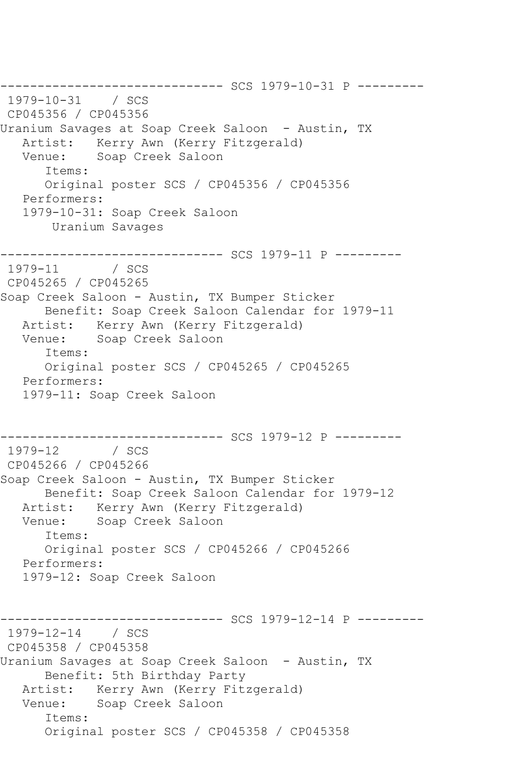------------------------------ SCS 1979-10-31 P --------- 1979-10-31 / SCS CP045356 / CP045356 Uranium Savages at Soap Creek Saloon - Austin, TX Artist: Kerry Awn (Kerry Fitzgerald) Venue: Soap Creek Saloon Items: Original poster SCS / CP045356 / CP045356 Performers: 1979-10-31: Soap Creek Saloon Uranium Savages ------------------------------ SCS 1979-11 P --------- 1979-11 / SCS CP045265 / CP045265 Soap Creek Saloon - Austin, TX Bumper Sticker Benefit: Soap Creek Saloon Calendar for 1979-11 Artist: Kerry Awn (Kerry Fitzgerald) Venue: Soap Creek Saloon Items: Original poster SCS / CP045265 / CP045265 Performers: 1979-11: Soap Creek Saloon -------------------------------- SCS 1979-12 P ---------<br>1979-12 / SCS 1979-12 / SCS CP045266 / CP045266 Soap Creek Saloon - Austin, TX Bumper Sticker Benefit: Soap Creek Saloon Calendar for 1979-12 Artist: Kerry Awn (Kerry Fitzgerald)<br>Venue: Soap Creek Saloon Soap Creek Saloon Items: Original poster SCS / CP045266 / CP045266 Performers: 1979-12: Soap Creek Saloon ------------------------------ SCS 1979-12-14 P --------- 1979-12-14 / SCS CP045358 / CP045358 Uranium Savages at Soap Creek Saloon - Austin, TX Benefit: 5th Birthday Party Artist: Kerry Awn (Kerry Fitzgerald) Venue: Soap Creek Saloon Items: Original poster SCS / CP045358 / CP045358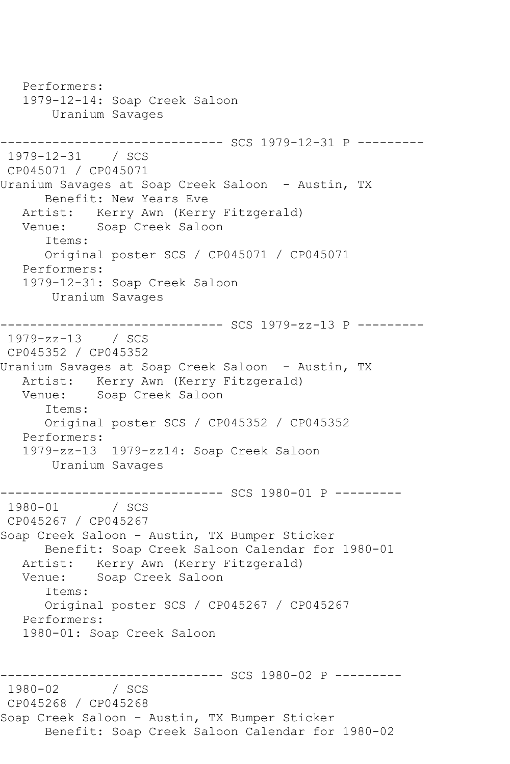Performers: 1979-12-14: Soap Creek Saloon Uranium Savages ------------------------------ SCS 1979-12-31 P --------- 1979-12-31 / SCS CP045071 / CP045071 Uranium Savages at Soap Creek Saloon - Austin, TX Benefit: New Years Eve Artist: Kerry Awn (Kerry Fitzgerald) Venue: Soap Creek Saloon Items: Original poster SCS / CP045071 / CP045071 Performers: 1979-12-31: Soap Creek Saloon Uranium Savages ------------------------------ SCS 1979-zz-13 P --------- 1979-zz-13 / SCS CP045352 / CP045352 Uranium Savages at Soap Creek Saloon - Austin, TX Artist: Kerry Awn (Kerry Fitzgerald) Venue: Soap Creek Saloon Items: Original poster SCS / CP045352 / CP045352 Performers: 1979-zz-13 1979-zz14: Soap Creek Saloon Uranium Savages --------------------------------- SCS 1980-01 P ---------<br>1980-01 / SCS  $1980 - 01$ CP045267 / CP045267 Soap Creek Saloon - Austin, TX Bumper Sticker Benefit: Soap Creek Saloon Calendar for 1980-01 Artist: Kerry Awn (Kerry Fitzgerald) Venue: Soap Creek Saloon Items: Original poster SCS / CP045267 / CP045267 Performers: 1980-01: Soap Creek Saloon ------------------------------ SCS 1980-02 P ---------  $1980 - 02$ CP045268 / CP045268 Soap Creek Saloon - Austin, TX Bumper Sticker Benefit: Soap Creek Saloon Calendar for 1980-02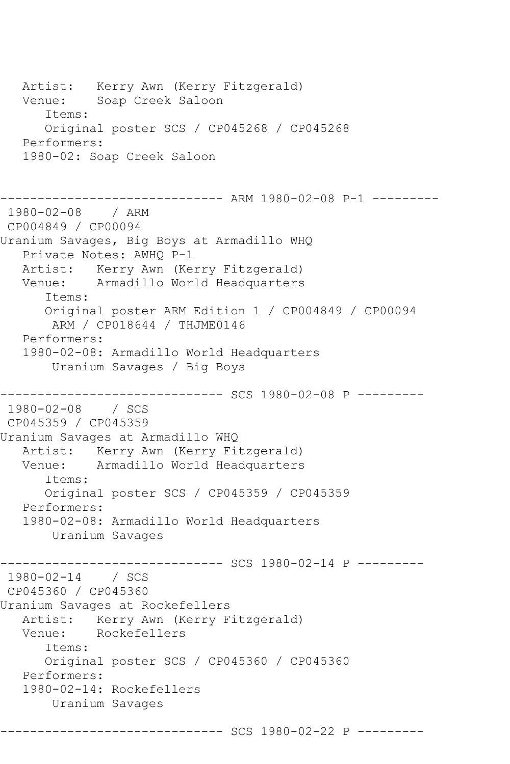Artist: Kerry Awn (Kerry Fitzgerald) Venue: Soap Creek Saloon Items: Original poster SCS / CP045268 / CP045268 Performers: 1980-02: Soap Creek Saloon ------------------------------ ARM 1980-02-08 P-1 --------- 1980-02-08 / ARM CP004849 / CP00094 Uranium Savages, Big Boys at Armadillo WHQ Private Notes: AWHQ P-1 Artist: Kerry Awn (Kerry Fitzgerald) Venue: Armadillo World Headquarters Items: Original poster ARM Edition 1 / CP004849 / CP00094 ARM / CP018644 / THJME0146 Performers: 1980-02-08: Armadillo World Headquarters Uranium Savages / Big Boys ------------------------------ SCS 1980-02-08 P --------- 1980-02-08 / SCS CP045359 / CP045359 Uranium Savages at Armadillo WHQ Artist: Kerry Awn (Kerry Fitzgerald)<br>Venue: Armadillo World Headquarters Armadillo World Headquarters Items: Original poster SCS / CP045359 / CP045359 Performers: 1980-02-08: Armadillo World Headquarters Uranium Savages ---------- SCS 1980-02-14 P ---------1980-02-14 / SCS CP045360 / CP045360 Uranium Savages at Rockefellers Artist: Kerry Awn (Kerry Fitzgerald)<br>Venue: Rockefellers Rockefellers Items: Original poster SCS / CP045360 / CP045360 Performers: 1980-02-14: Rockefellers Uranium Savages ------------------------------ SCS 1980-02-22 P ---------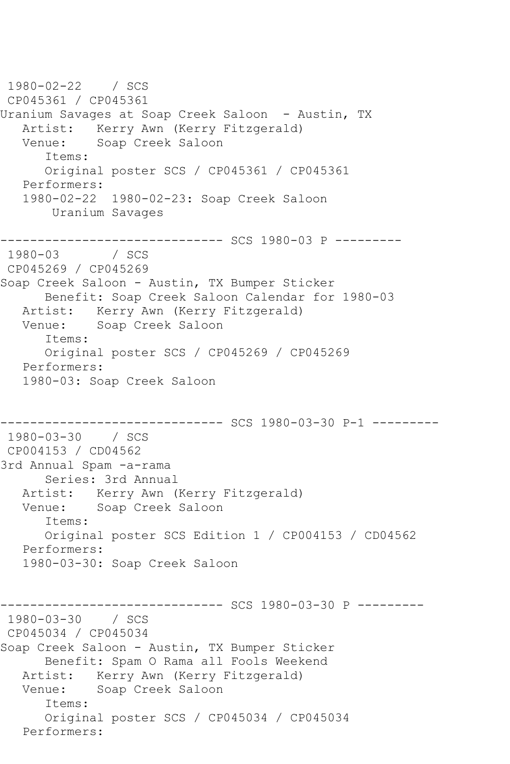1980-02-22 / SCS CP045361 / CP045361 Uranium Savages at Soap Creek Saloon - Austin, TX Artist: Kerry Awn (Kerry Fitzgerald)<br>Venue: Soap Creek Saloon Soap Creek Saloon Items: Original poster SCS / CP045361 / CP045361 Performers: 1980-02-22 1980-02-23: Soap Creek Saloon Uranium Savages ------------------------------ SCS 1980-03 P ---------  $1980 - 03$ CP045269 / CP045269 Soap Creek Saloon - Austin, TX Bumper Sticker Benefit: Soap Creek Saloon Calendar for 1980-03 Artist: Kerry Awn (Kerry Fitzgerald) Venue: Soap Creek Saloon Items: Original poster SCS / CP045269 / CP045269 Performers: 1980-03: Soap Creek Saloon ------------------------------ SCS 1980-03-30 P-1 --------- 1980-03-30 / SCS CP004153 / CD04562 3rd Annual Spam -a-rama Series: 3rd Annual Artist: Kerry Awn (Kerry Fitzgerald) Venue: Soap Creek Saloon Items: Original poster SCS Edition 1 / CP004153 / CD04562 Performers: 1980-03-30: Soap Creek Saloon ---------- SCS 1980-03-30 P ---------1980-03-30 / SCS CP045034 / CP045034 Soap Creek Saloon - Austin, TX Bumper Sticker Benefit: Spam O Rama all Fools Weekend Artist: Kerry Awn (Kerry Fitzgerald) Venue: Soap Creek Saloon Items: Original poster SCS / CP045034 / CP045034 Performers: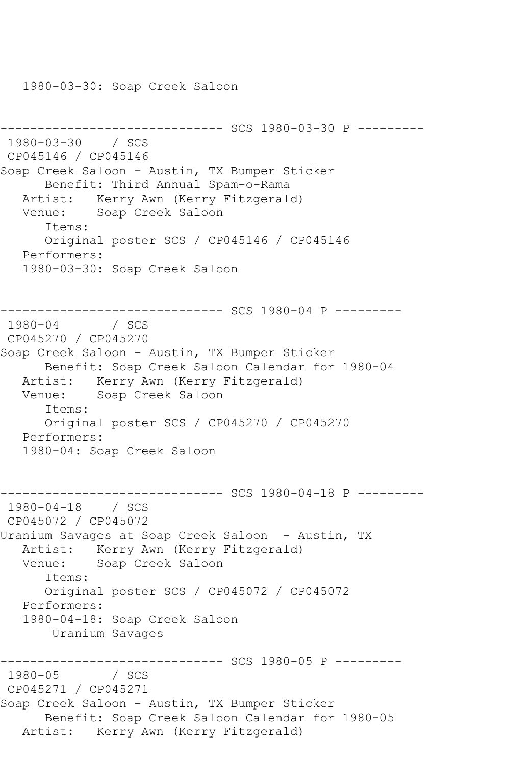1980-03-30: Soap Creek Saloon

```
------------------------------ SCS 1980-03-30 P ---------
1980-03-30 / SCS 
CP045146 / CP045146
Soap Creek Saloon - Austin, TX Bumper Sticker
       Benefit: Third Annual Spam-o-Rama
   Artist: Kerry Awn (Kerry Fitzgerald)
   Venue: Soap Creek Saloon
       Items:
       Original poster SCS / CP045146 / CP045146
   Performers:
    1980-03-30: Soap Creek Saloon
------------------------------ SCS 1980-04 P ---------
1980 - 04CP045270 / CP045270
Soap Creek Saloon - Austin, TX Bumper Sticker
       Benefit: Soap Creek Saloon Calendar for 1980-04
  Artist: Kerry Awn (Kerry Fitzgerald)<br>Venue: Soap Creek Saloon
            Soap Creek Saloon
       Items:
       Original poster SCS / CP045270 / CP045270
   Performers:
    1980-04: Soap Creek Saloon
------------------------------ SCS 1980-04-18 P ---------
1980-04-18 / SCS 
CP045072 / CP045072
Uranium Savages at Soap Creek Saloon - Austin, TX
   Artist: Kerry Awn (Kerry Fitzgerald)
   Venue: Soap Creek Saloon
       Items:
       Original poster SCS / CP045072 / CP045072
    Performers:
    1980-04-18: Soap Creek Saloon
        Uranium Savages
--------------------------------- SCS 1980-05 P ---------<br>1980-05     / SCS
1980-05
CP045271 / CP045271
Soap Creek Saloon - Austin, TX Bumper Sticker
       Benefit: Soap Creek Saloon Calendar for 1980-05
   Artist: Kerry Awn (Kerry Fitzgerald)
```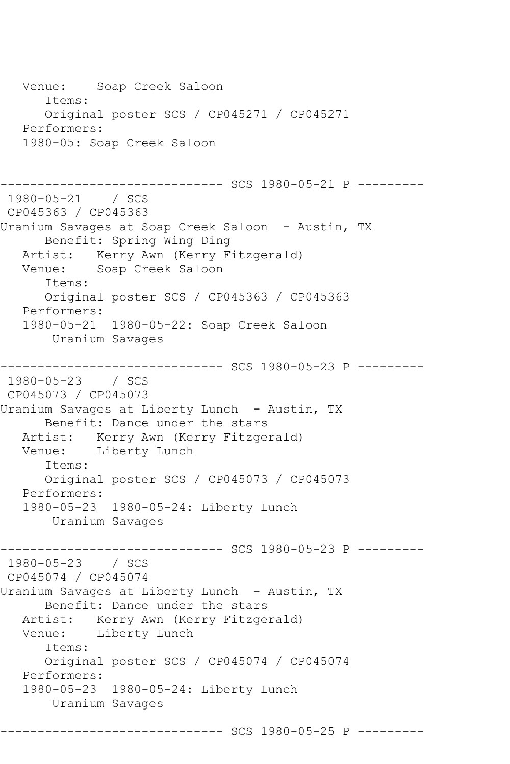Venue: Soap Creek Saloon Items: Original poster SCS / CP045271 / CP045271 Performers: 1980-05: Soap Creek Saloon ------------------------------ SCS 1980-05-21 P --------- 1980-05-21 / SCS CP045363 / CP045363 Uranium Savages at Soap Creek Saloon - Austin, TX Benefit: Spring Wing Ding Artist: Kerry Awn (Kerry Fitzgerald) Venue: Soap Creek Saloon Items: Original poster SCS / CP045363 / CP045363 Performers: 1980-05-21 1980-05-22: Soap Creek Saloon Uranium Savages ------------------------------ SCS 1980-05-23 P --------- 1980-05-23 / SCS CP045073 / CP045073 Uranium Savages at Liberty Lunch - Austin, TX Benefit: Dance under the stars Artist: Kerry Awn (Kerry Fitzgerald) Venue: Liberty Lunch Items: Original poster SCS / CP045073 / CP045073 Performers: 1980-05-23 1980-05-24: Liberty Lunch Uranium Savages ------------------------------ SCS 1980-05-23 P --------- 1980-05-23 / SCS CP045074 / CP045074 Uranium Savages at Liberty Lunch - Austin, TX Benefit: Dance under the stars Artist: Kerry Awn (Kerry Fitzgerald)<br>Venue: Liberty Lunch Liberty Lunch Items: Original poster SCS / CP045074 / CP045074 Performers: 1980-05-23 1980-05-24: Liberty Lunch Uranium Savages ------------------------------ SCS 1980-05-25 P ---------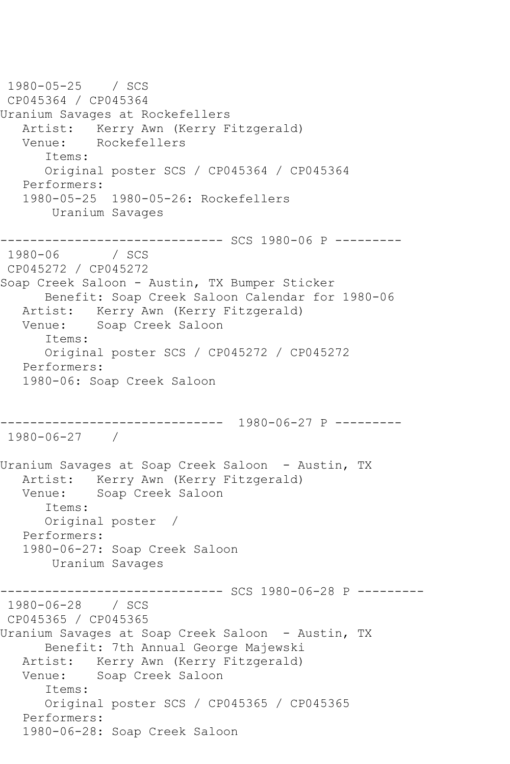1980-05-25 / SCS CP045364 / CP045364 Uranium Savages at Rockefellers Artist: Kerry Awn (Kerry Fitzgerald)<br>Venue: Rockefellers Rockefellers Items: Original poster SCS / CP045364 / CP045364 Performers: 1980-05-25 1980-05-26: Rockefellers Uranium Savages ------------------------------ SCS 1980-06 P ---------  $1980 - 06$ CP045272 / CP045272 Soap Creek Saloon - Austin, TX Bumper Sticker Benefit: Soap Creek Saloon Calendar for 1980-06 Artist: Kerry Awn (Kerry Fitzgerald) Venue: Soap Creek Saloon Items: Original poster SCS / CP045272 / CP045272 Performers: 1980-06: Soap Creek Saloon ------------------------------ 1980-06-27 P --------- 1980-06-27 / Uranium Savages at Soap Creek Saloon - Austin, TX Artist: Kerry Awn (Kerry Fitzgerald) Venue: Soap Creek Saloon Items: Original poster / Performers: 1980-06-27: Soap Creek Saloon Uranium Savages ------------------------------ SCS 1980-06-28 P --------- 1980-06-28 / SCS CP045365 / CP045365 Uranium Savages at Soap Creek Saloon - Austin, TX Benefit: 7th Annual George Majewski Artist: Kerry Awn (Kerry Fitzgerald) Venue: Soap Creek Saloon Items: Original poster SCS / CP045365 / CP045365 Performers: 1980-06-28: Soap Creek Saloon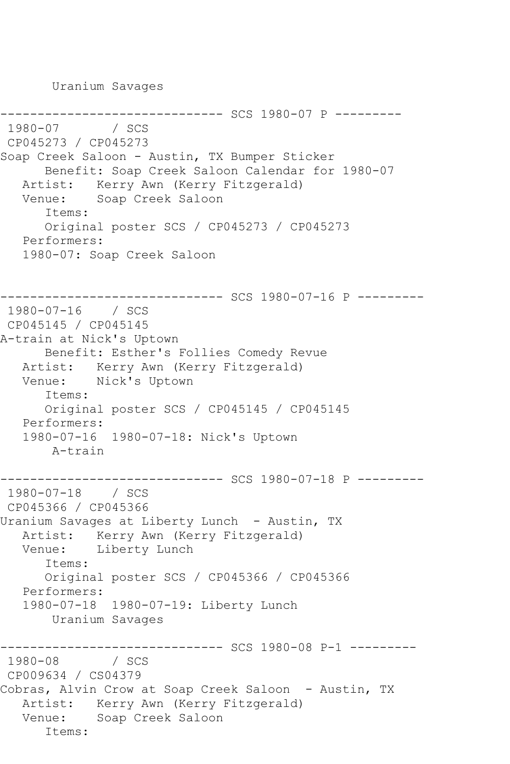Uranium Savages

```
------------------------------ SCS 1980-07 P ---------
1980-07
CP045273 / CP045273
Soap Creek Saloon - Austin, TX Bumper Sticker
       Benefit: Soap Creek Saloon Calendar for 1980-07
   Artist: Kerry Awn (Kerry Fitzgerald)
   Venue: Soap Creek Saloon
       Items:
       Original poster SCS / CP045273 / CP045273
   Performers:
    1980-07: Soap Creek Saloon
                     ---------- SCS 1980-07-16 P ---------
1980-07-16 / SCS 
CP045145 / CP045145
A-train at Nick's Uptown
       Benefit: Esther's Follies Comedy Revue
   Artist: Kerry Awn (Kerry Fitzgerald)
   Venue: Nick's Uptown
       Items:
       Original poster SCS / CP045145 / CP045145
   Performers:
    1980-07-16 1980-07-18: Nick's Uptown
        A-train
------------------------------ SCS 1980-07-18 P ---------
1980-07-18 / SCS 
CP045366 / CP045366
Uranium Savages at Liberty Lunch - Austin, TX
  Artist: Kerry Awn (Kerry Fitzgerald)<br>Venue: Liberty Lunch
            Liberty Lunch
       Items:
       Original poster SCS / CP045366 / CP045366
   Performers:
    1980-07-18 1980-07-19: Liberty Lunch
        Uranium Savages
               ------------------------------ SCS 1980-08 P-1 ---------
1980 - 08CP009634 / CS04379
Cobras, Alvin Crow at Soap Creek Saloon - Austin, TX
   Artist: Kerry Awn (Kerry Fitzgerald)
   Venue: Soap Creek Saloon
       Items:
```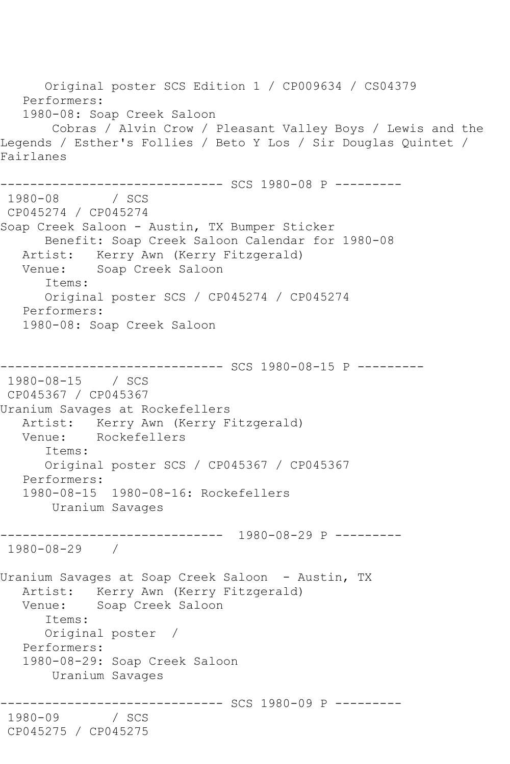Original poster SCS Edition 1 / CP009634 / CS04379 Performers: 1980-08: Soap Creek Saloon Cobras / Alvin Crow / Pleasant Valley Boys / Lewis and the Legends / Esther's Follies / Beto Y Los / Sir Douglas Quintet / Fairlanes --------------------------------- SCS 1980-08 P ---------<br>1980-08 / SCS 1980-08 CP045274 / CP045274 Soap Creek Saloon - Austin, TX Bumper Sticker Benefit: Soap Creek Saloon Calendar for 1980-08 Artist: Kerry Awn (Kerry Fitzgerald) Venue: Soap Creek Saloon Items: Original poster SCS / CP045274 / CP045274 Performers: 1980-08: Soap Creek Saloon ------------------------------ SCS 1980-08-15 P --------- 1980-08-15 / SCS CP045367 / CP045367 Uranium Savages at Rockefellers Artist: Kerry Awn (Kerry Fitzgerald)<br>Venue: Rockefellers Rockefellers Items: Original poster SCS / CP045367 / CP045367 Performers: 1980-08-15 1980-08-16: Rockefellers Uranium Savages ------------------------------ 1980-08-29 P --------- 1980-08-29 / Uranium Savages at Soap Creek Saloon - Austin, TX Artist: Kerry Awn (Kerry Fitzgerald) Venue: Soap Creek Saloon Items: Original poster / Performers: 1980-08-29: Soap Creek Saloon Uranium Savages ------------------------------ SCS 1980-09 P --------- 1980-09 CP045275 / CP045275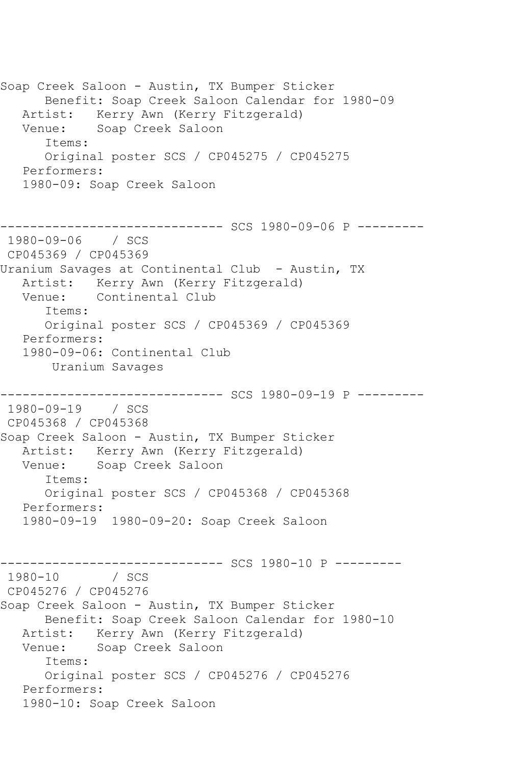Soap Creek Saloon - Austin, TX Bumper Sticker Benefit: Soap Creek Saloon Calendar for 1980-09 Artist: Kerry Awn (Kerry Fitzgerald) Venue: Soap Creek Saloon Items: Original poster SCS / CP045275 / CP045275 Performers: 1980-09: Soap Creek Saloon ------------------------------ SCS 1980-09-06 P --------- 1980-09-06 / SCS CP045369 / CP045369 Uranium Savages at Continental Club - Austin, TX Artist: Kerry Awn (Kerry Fitzgerald) Venue: Continental Club Items: Original poster SCS / CP045369 / CP045369 Performers: 1980-09-06: Continental Club Uranium Savages --------------- SCS 1980-09-19 P ---------1980-09-19 / SCS CP045368 / CP045368 Soap Creek Saloon - Austin, TX Bumper Sticker Artist: Kerry Awn (Kerry Fitzgerald) Venue: Soap Creek Saloon Items: Original poster SCS / CP045368 / CP045368 Performers: 1980-09-19 1980-09-20: Soap Creek Saloon --------------------------------- SCS 1980-10 P ----------<br>1980-10 / SCS / SCS CP045276 / CP045276 Soap Creek Saloon - Austin, TX Bumper Sticker Benefit: Soap Creek Saloon Calendar for 1980-10 Artist: Kerry Awn (Kerry Fitzgerald) Venue: Soap Creek Saloon Items: Original poster SCS / CP045276 / CP045276 Performers: 1980-10: Soap Creek Saloon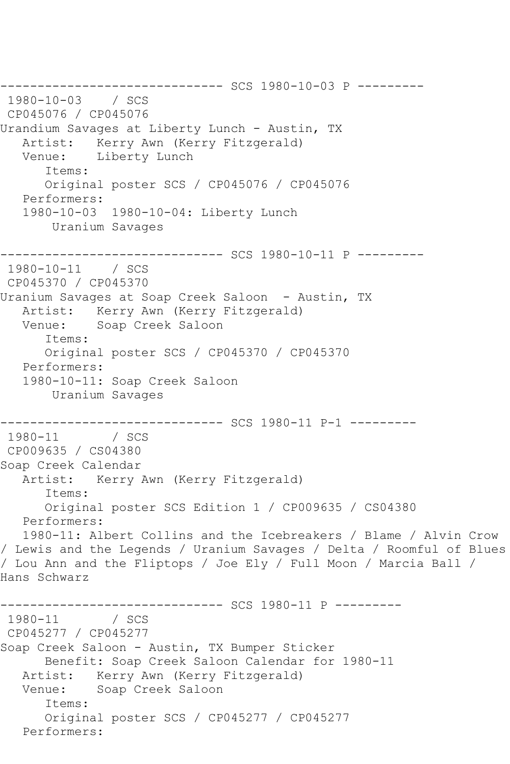------------------------------ SCS 1980-10-03 P --------- 1980-10-03 / SCS CP045076 / CP045076 Urandium Savages at Liberty Lunch - Austin, TX Artist: Kerry Awn (Kerry Fitzgerald) Venue: Liberty Lunch Items: Original poster SCS / CP045076 / CP045076 Performers: 1980-10-03 1980-10-04: Liberty Lunch Uranium Savages ------------------------------ SCS 1980-10-11 P --------- 1980-10-11 / SCS CP045370 / CP045370 Uranium Savages at Soap Creek Saloon - Austin, TX Artist: Kerry Awn (Kerry Fitzgerald)<br>Venue: Soap Creek Saloon Soap Creek Saloon Items: Original poster SCS / CP045370 / CP045370 Performers: 1980-10-11: Soap Creek Saloon Uranium Savages ------------------------------ SCS 1980-11 P-1 ---------  $1980 - 11$ CP009635 / CS04380 Soap Creek Calendar Artist: Kerry Awn (Kerry Fitzgerald) Items: Original poster SCS Edition 1 / CP009635 / CS04380 Performers: 1980-11: Albert Collins and the Icebreakers / Blame / Alvin Crow / Lewis and the Legends / Uranium Savages / Delta / Roomful of Blues / Lou Ann and the Fliptops / Joe Ely / Full Moon / Marcia Ball / Hans Schwarz ------------------------------ SCS 1980-11 P ---------  $1980 - 11$ CP045277 / CP045277 Soap Creek Saloon - Austin, TX Bumper Sticker Benefit: Soap Creek Saloon Calendar for 1980-11 Artist: Kerry Awn (Kerry Fitzgerald) Venue: Soap Creek Saloon Items: Original poster SCS / CP045277 / CP045277 Performers: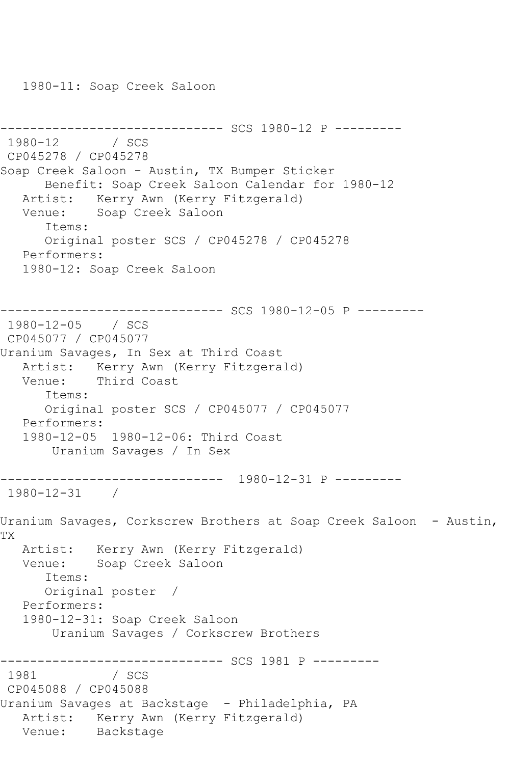1980-11: Soap Creek Saloon

```
--------------------------------- SCS 1980-12 P ----------<br>1980-12    / SCS
1980 - 12CP045278 / CP045278
Soap Creek Saloon - Austin, TX Bumper Sticker
       Benefit: Soap Creek Saloon Calendar for 1980-12
   Artist: Kerry Awn (Kerry Fitzgerald)
   Venue: Soap Creek Saloon
       Items:
      Original poster SCS / CP045278 / CP045278
   Performers:
   1980-12: Soap Creek Saloon
------------------------------ SCS 1980-12-05 P ---------
1980-12-05 / SCS 
CP045077 / CP045077
Uranium Savages, In Sex at Third Coast
   Artist: Kerry Awn (Kerry Fitzgerald)
   Venue: Third Coast
      Items:
       Original poster SCS / CP045077 / CP045077
   Performers:
   1980-12-05 1980-12-06: Third Coast
        Uranium Savages / In Sex
    ------------------------------ 1980-12-31 P ---------
1980-12-31 / 
Uranium Savages, Corkscrew Brothers at Soap Creek Saloon - Austin, 
TX
   Artist: Kerry Awn (Kerry Fitzgerald)
   Venue: Soap Creek Saloon
       Items:
      Original poster / 
   Performers:
   1980-12-31: Soap Creek Saloon
        Uranium Savages / Corkscrew Brothers
------------------------------ SCS 1981 P ---------
1981
CP045088 / CP045088
Uranium Savages at Backstage - Philadelphia, PA
   Artist: Kerry Awn (Kerry Fitzgerald)
   Venue: Backstage
```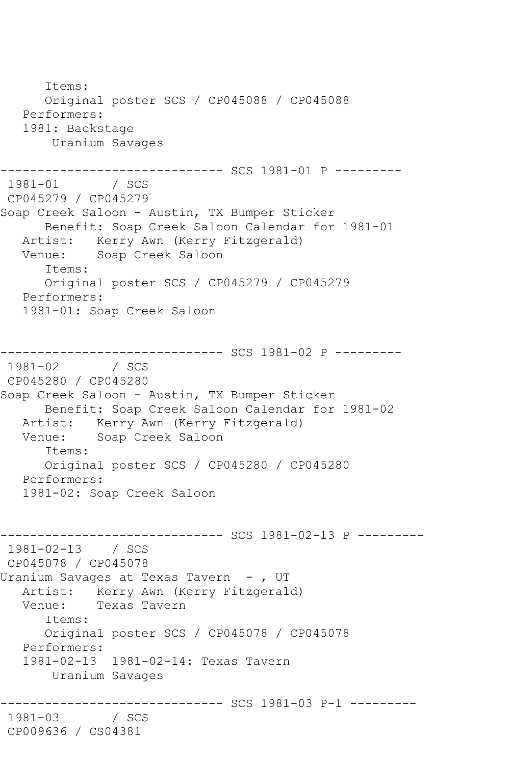Items: Original poster SCS / CP045088 / CP045088 Performers: 1981: Backstage Uranium Savages --------------------------------- SCS 1981-01 P ---------<br>1981-01 / SCS  $1981 - 01$ CP045279 / CP045279 Soap Creek Saloon - Austin, TX Bumper Sticker Benefit: Soap Creek Saloon Calendar for 1981-01 Artist: Kerry Awn (Kerry Fitzgerald)<br>Venue: Soap Creek Saloon Soap Creek Saloon Items: Original poster SCS / CP045279 / CP045279 Performers: 1981-01: Soap Creek Saloon ------------------------------ SCS 1981-02 P ---------  $1981 - 02$ CP045280 / CP045280 Soap Creek Saloon - Austin, TX Bumper Sticker Benefit: Soap Creek Saloon Calendar for 1981-02 Artist: Kerry Awn (Kerry Fitzgerald)<br>Venue: Soap Creek Saloon Soap Creek Saloon Items: Original poster SCS / CP045280 / CP045280 Performers: 1981-02: Soap Creek Saloon ------------------------------ SCS 1981-02-13 P --------- 1981-02-13 / SCS CP045078 / CP045078 Uranium Savages at Texas Tavern -, UT Artist: Kerry Awn (Kerry Fitzgerald) Venue: Texas Tavern Items: Original poster SCS / CP045078 / CP045078 Performers: 1981-02-13 1981-02-14: Texas Tavern Uranium Savages ------------------------------ SCS 1981-03 P-1 --------- 1981-03 CP009636 / CS04381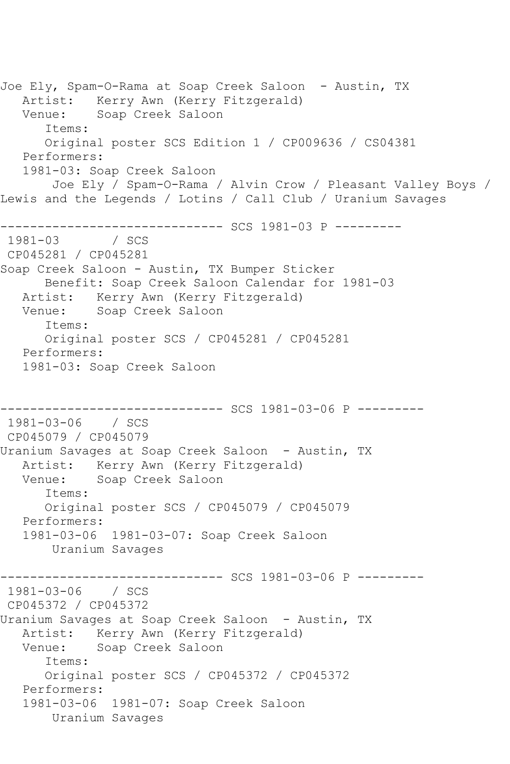Joe Ely, Spam-O-Rama at Soap Creek Saloon - Austin, TX Artist: Kerry Awn (Kerry Fitzgerald) Venue: Soap Creek Saloon Items: Original poster SCS Edition 1 / CP009636 / CS04381 Performers: 1981-03: Soap Creek Saloon Joe Ely / Spam-O-Rama / Alvin Crow / Pleasant Valley Boys / Lewis and the Legends / Lotins / Call Club / Uranium Savages ------------------------------ SCS 1981-03 P --------- 1981-03 / SCS CP045281 / CP045281 Soap Creek Saloon - Austin, TX Bumper Sticker Benefit: Soap Creek Saloon Calendar for 1981-03 Artist: Kerry Awn (Kerry Fitzgerald) Venue: Soap Creek Saloon Items: Original poster SCS / CP045281 / CP045281 Performers: 1981-03: Soap Creek Saloon ------------------------------ SCS 1981-03-06 P --------- 1981-03-06 / SCS CP045079 / CP045079 Uranium Savages at Soap Creek Saloon - Austin, TX Artist: Kerry Awn (Kerry Fitzgerald) Venue: Soap Creek Saloon Items: Original poster SCS / CP045079 / CP045079 Performers: 1981-03-06 1981-03-07: Soap Creek Saloon Uranium Savages ------------------------------ SCS 1981-03-06 P --------- 1981-03-06 / SCS CP045372 / CP045372 Uranium Savages at Soap Creek Saloon - Austin, TX Artist: Kerry Awn (Kerry Fitzgerald) Venue: Soap Creek Saloon Items: Original poster SCS / CP045372 / CP045372 Performers: 1981-03-06 1981-07: Soap Creek Saloon Uranium Savages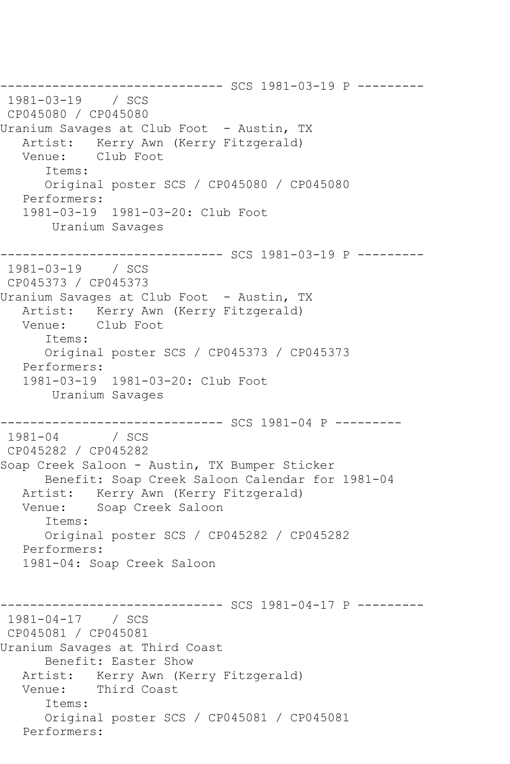------------------------------ SCS 1981-03-19 P --------- 1981-03-19 / SCS CP045080 / CP045080 Uranium Savages at Club Foot - Austin, TX Artist: Kerry Awn (Kerry Fitzgerald) Venue: Club Foot Items: Original poster SCS / CP045080 / CP045080 Performers: 1981-03-19 1981-03-20: Club Foot Uranium Savages ------------------------------ SCS 1981-03-19 P --------- 1981-03-19 / SCS CP045373 / CP045373 Uranium Savages at Club Foot - Austin, TX Artist: Kerry Awn (Kerry Fitzgerald)<br>Venue: Club Foot Club Foot Items: Original poster SCS / CP045373 / CP045373 Performers: 1981-03-19 1981-03-20: Club Foot Uranium Savages ------------------------------ SCS 1981-04 P ---------  $1981 - 04$ CP045282 / CP045282 Soap Creek Saloon - Austin, TX Bumper Sticker Benefit: Soap Creek Saloon Calendar for 1981-04 Artist: Kerry Awn (Kerry Fitzgerald) Venue: Soap Creek Saloon Items: Original poster SCS / CP045282 / CP045282 Performers: 1981-04: Soap Creek Saloon ----------- SCS 1981-04-17 P ---------1981-04-17 / SCS CP045081 / CP045081 Uranium Savages at Third Coast Benefit: Easter Show Artist: Kerry Awn (Kerry Fitzgerald)<br>Venue: Third Coast Third Coast Items: Original poster SCS / CP045081 / CP045081 Performers: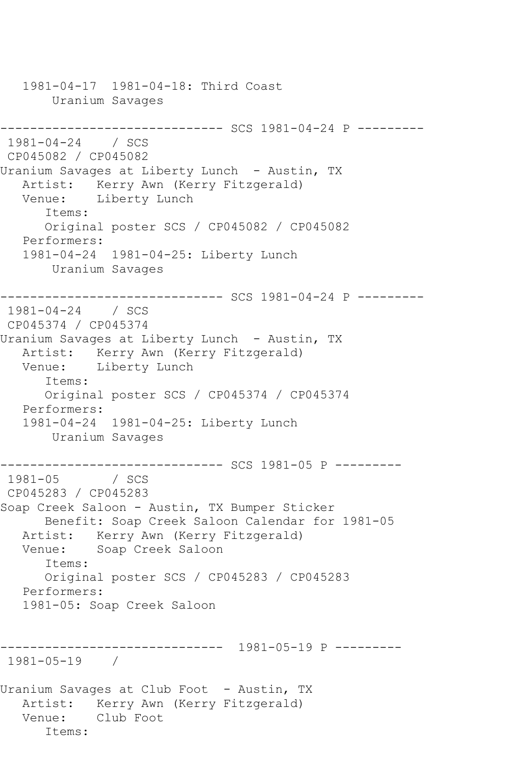1981-04-17 1981-04-18: Third Coast Uranium Savages ------------------------------ SCS 1981-04-24 P --------- 1981-04-24 / SCS CP045082 / CP045082 Uranium Savages at Liberty Lunch - Austin, TX Artist: Kerry Awn (Kerry Fitzgerald) Venue: Liberty Lunch Items: Original poster SCS / CP045082 / CP045082 Performers: 1981-04-24 1981-04-25: Liberty Lunch Uranium Savages ------------------------------ SCS 1981-04-24 P --------- 1981-04-24 / SCS CP045374 / CP045374 Uranium Savages at Liberty Lunch - Austin, TX Artist: Kerry Awn (Kerry Fitzgerald)<br>Venue: Liberty Lunch Liberty Lunch Items: Original poster SCS / CP045374 / CP045374 Performers: 1981-04-24 1981-04-25: Liberty Lunch Uranium Savages ------------------------------ SCS 1981-05 P ---------  $1981 - 05$ CP045283 / CP045283 Soap Creek Saloon - Austin, TX Bumper Sticker Benefit: Soap Creek Saloon Calendar for 1981-05 Artist: Kerry Awn (Kerry Fitzgerald)<br>Venue: Soap Creek Saloon Soap Creek Saloon Items: Original poster SCS / CP045283 / CP045283 Performers: 1981-05: Soap Creek Saloon ------------------------------ 1981-05-19 P --------- 1981-05-19 / Uranium Savages at Club Foot - Austin, TX Artist: Kerry Awn (Kerry Fitzgerald) Venue: Club Foot Items: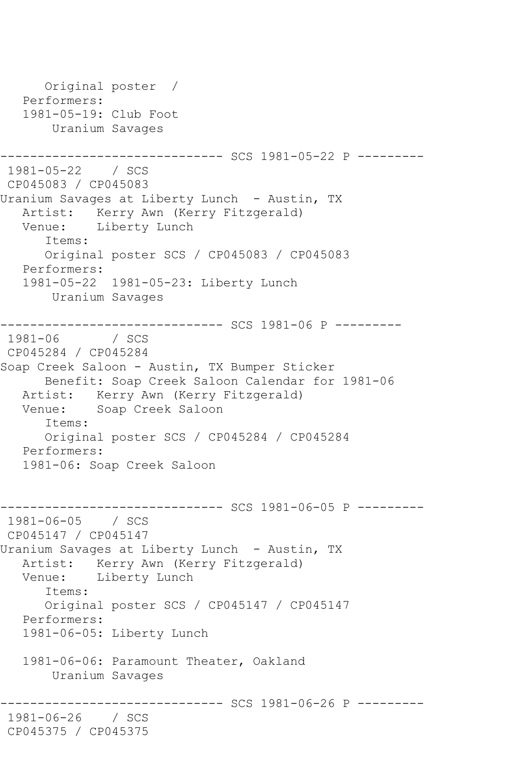Original poster / Performers: 1981-05-19: Club Foot Uranium Savages ---------- SCS 1981-05-22 P ---------1981-05-22 / SCS CP045083 / CP045083 Uranium Savages at Liberty Lunch - Austin, TX Artist: Kerry Awn (Kerry Fitzgerald)<br>Venue: Liberty Lunch Liberty Lunch Items: Original poster SCS / CP045083 / CP045083 Performers: 1981-05-22 1981-05-23: Liberty Lunch Uranium Savages ------------------------------ SCS 1981-06 P ---------  $1981 - 06$ CP045284 / CP045284 Soap Creek Saloon - Austin, TX Bumper Sticker Benefit: Soap Creek Saloon Calendar for 1981-06 Artist: Kerry Awn (Kerry Fitzgerald) Venue: Soap Creek Saloon Items: Original poster SCS / CP045284 / CP045284 Performers: 1981-06: Soap Creek Saloon ------------------------------ SCS 1981-06-05 P --------- 1981-06-05 / SCS CP045147 / CP045147 Uranium Savages at Liberty Lunch - Austin, TX Artist: Kerry Awn (Kerry Fitzgerald)<br>Venue: Liberty Lunch Liberty Lunch Items: Original poster SCS / CP045147 / CP045147 Performers: 1981-06-05: Liberty Lunch 1981-06-06: Paramount Theater, Oakland Uranium Savages --------- SCS 1981-06-26 P ---------1981-06-26 / SCS CP045375 / CP045375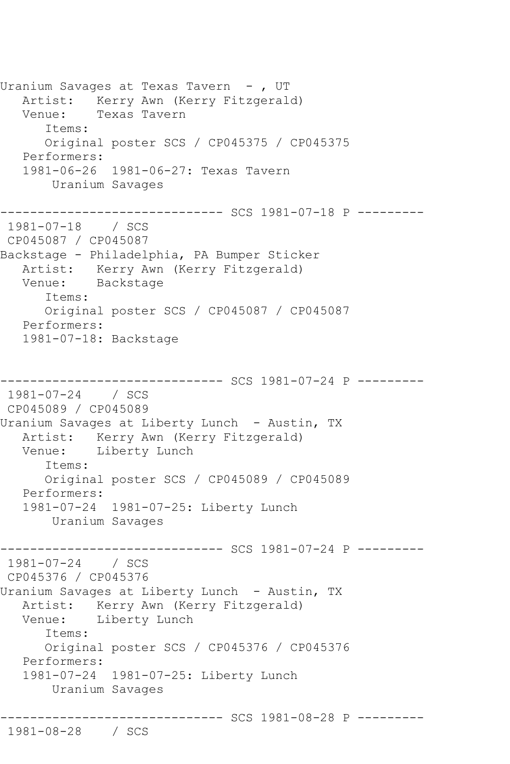Uranium Savages at Texas Tavern - , UT Artist: Kerry Awn (Kerry Fitzgerald) Venue: Texas Tavern Items: Original poster SCS / CP045375 / CP045375 Performers: 1981-06-26 1981-06-27: Texas Tavern Uranium Savages ------------------------------ SCS 1981-07-18 P --------- 1981-07-18 / SCS CP045087 / CP045087 Backstage - Philadelphia, PA Bumper Sticker Artist: Kerry Awn (Kerry Fitzgerald) Venue: Backstage Items: Original poster SCS / CP045087 / CP045087 Performers: 1981-07-18: Backstage ---------- SCS 1981-07-24 P ---------1981-07-24 / SCS CP045089 / CP045089 Uranium Savages at Liberty Lunch - Austin, TX Artist: Kerry Awn (Kerry Fitzgerald)<br>Venue: Liberty Lunch Liberty Lunch Items: Original poster SCS / CP045089 / CP045089 Performers: 1981-07-24 1981-07-25: Liberty Lunch Uranium Savages ------------------------------ SCS 1981-07-24 P --------- 1981-07-24 / SCS CP045376 / CP045376 Uranium Savages at Liberty Lunch - Austin, TX Artist: Kerry Awn (Kerry Fitzgerald) Venue: Liberty Lunch Items: Original poster SCS / CP045376 / CP045376 Performers: 1981-07-24 1981-07-25: Liberty Lunch Uranium Savages ------------------------------ SCS 1981-08-28 P --------- 1981-08-28 / SCS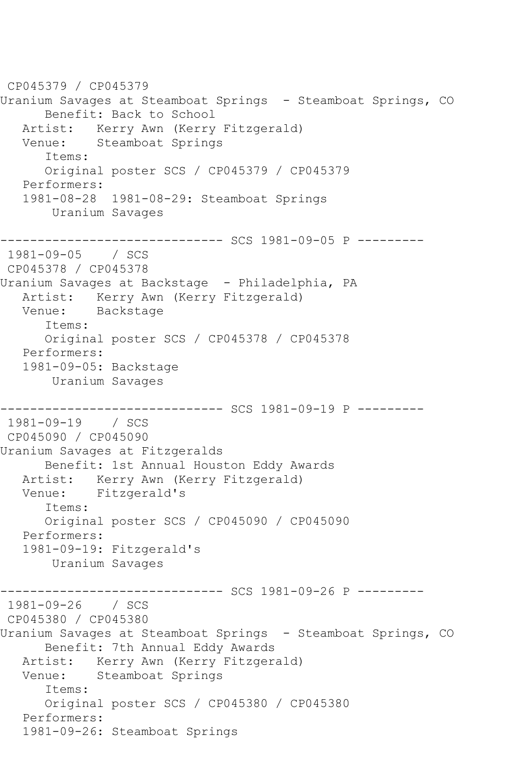```
CP045379 / CP045379
Uranium Savages at Steamboat Springs - Steamboat Springs, CO
       Benefit: Back to School
  Artist: Kerry Awn (Kerry Fitzgerald)<br>Venue: Steamboat Springs
            Steamboat Springs
       Items:
       Original poster SCS / CP045379 / CP045379
   Performers:
    1981-08-28 1981-08-29: Steamboat Springs
        Uranium Savages
         ------------------------------ SCS 1981-09-05 P ---------
1981-09-05 / SCS 
CP045378 / CP045378
Uranium Savages at Backstage - Philadelphia, PA
   Artist: Kerry Awn (Kerry Fitzgerald)
   Venue: Backstage
       Items:
       Original poster SCS / CP045378 / CP045378
   Performers:
    1981-09-05: Backstage
        Uranium Savages
------------------------------ SCS 1981-09-19 P ---------
1981-09-19 / SCS 
CP045090 / CP045090
Uranium Savages at Fitzgeralds
       Benefit: 1st Annual Houston Eddy Awards
   Artist: Kerry Awn (Kerry Fitzgerald)
   Venue: Fitzgerald's
       Items:
       Original poster SCS / CP045090 / CP045090
   Performers:
    1981-09-19: Fitzgerald's
        Uranium Savages
------------------------------ SCS 1981-09-26 P ---------
1981-09-26 / SCS 
CP045380 / CP045380
Uranium Savages at Steamboat Springs - Steamboat Springs, CO
       Benefit: 7th Annual Eddy Awards
   Artist: Kerry Awn (Kerry Fitzgerald)
   Venue: Steamboat Springs
       Items:
       Original poster SCS / CP045380 / CP045380
   Performers:
    1981-09-26: Steamboat Springs
```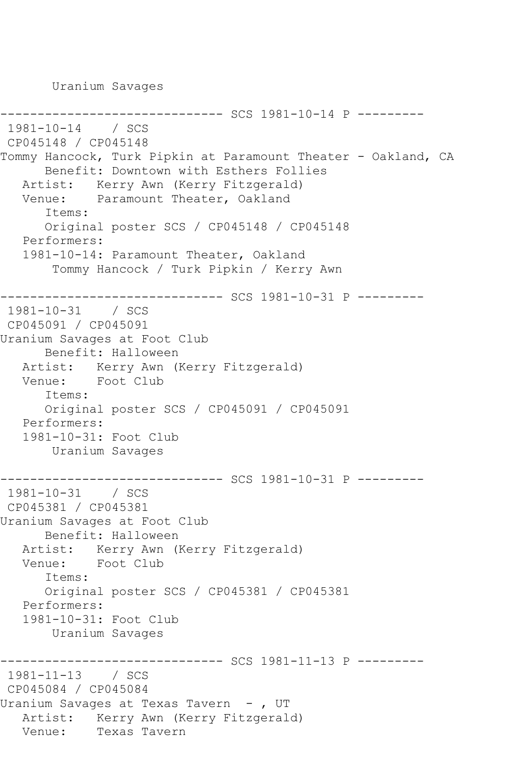Uranium Savages

```
---------- SCS 1981-10-14 P ---------
1981-10-14 / SCS 
CP045148 / CP045148
Tommy Hancock, Turk Pipkin at Paramount Theater - Oakland, CA
      Benefit: Downtown with Esthers Follies
   Artist: Kerry Awn (Kerry Fitzgerald)
   Venue: Paramount Theater, Oakland
       Items:
       Original poster SCS / CP045148 / CP045148
   Performers:
   1981-10-14: Paramount Theater, Oakland
        Tommy Hancock / Turk Pipkin / Kerry Awn
                  ------------- SCS 1981-10-31 P ---------
1981-10-31 / SCS 
CP045091 / CP045091
Uranium Savages at Foot Club
      Benefit: Halloween
   Artist: Kerry Awn (Kerry Fitzgerald)
   Venue: Foot Club
       Items:
       Original poster SCS / CP045091 / CP045091
   Performers:
   1981-10-31: Foot Club
        Uranium Savages
                  ------------ SCS 1981-10-31 P ---------
1981-10-31 / SCS 
CP045381 / CP045381
Uranium Savages at Foot Club
      Benefit: Halloween
   Artist: Kerry Awn (Kerry Fitzgerald)
   Venue: Foot Club
       Items:
       Original poster SCS / CP045381 / CP045381
   Performers:
   1981-10-31: Foot Club
        Uranium Savages
------------------------------ SCS 1981-11-13 P ---------
1981-11-13 / SCS 
CP045084 / CP045084
Uranium Savages at Texas Tavern - , UT
  Artist: Kerry Awn (Kerry Fitzgerald)<br>Venue: Texas Tavern
            Texas Tavern
```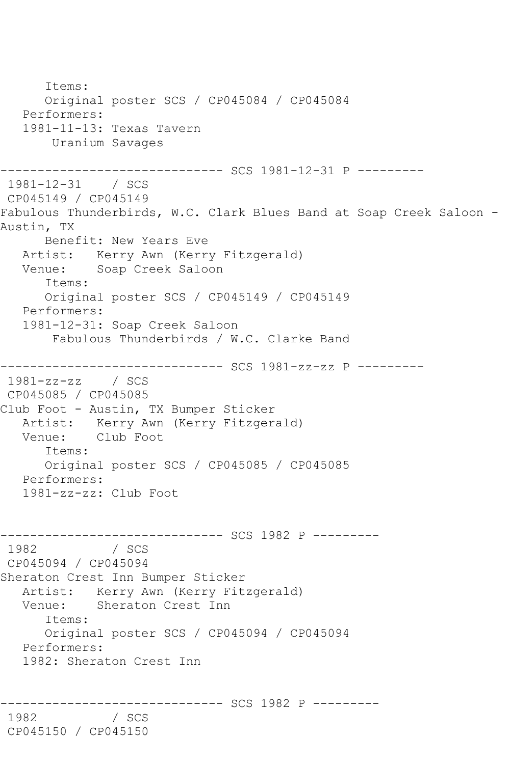Items: Original poster SCS / CP045084 / CP045084 Performers: 1981-11-13: Texas Tavern Uranium Savages ------------------------------ SCS 1981-12-31 P --------- 1981-12-31 / SCS CP045149 / CP045149 Fabulous Thunderbirds, W.C. Clark Blues Band at Soap Creek Saloon - Austin, TX Benefit: New Years Eve Artist: Kerry Awn (Kerry Fitzgerald) Venue: Soap Creek Saloon Items: Original poster SCS / CP045149 / CP045149 Performers: 1981-12-31: Soap Creek Saloon Fabulous Thunderbirds / W.C. Clarke Band ------------------------------ SCS 1981-zz-zz P --------- 1981-zz-zz / SCS CP045085 / CP045085 Club Foot - Austin, TX Bumper Sticker Artist: Kerry Awn (Kerry Fitzgerald)<br>Venue: Club Foot Club Foot Items: Original poster SCS / CP045085 / CP045085 Performers: 1981-zz-zz: Club Foot ------------------------------ SCS 1982 P --------- 1982 / SCS CP045094 / CP045094 Sheraton Crest Inn Bumper Sticker Artist: Kerry Awn (Kerry Fitzgerald) Venue: Sheraton Crest Inn Items: Original poster SCS / CP045094 / CP045094 Performers: 1982: Sheraton Crest Inn ------------------------------ SCS 1982 P --------- 1982 CP045150 / CP045150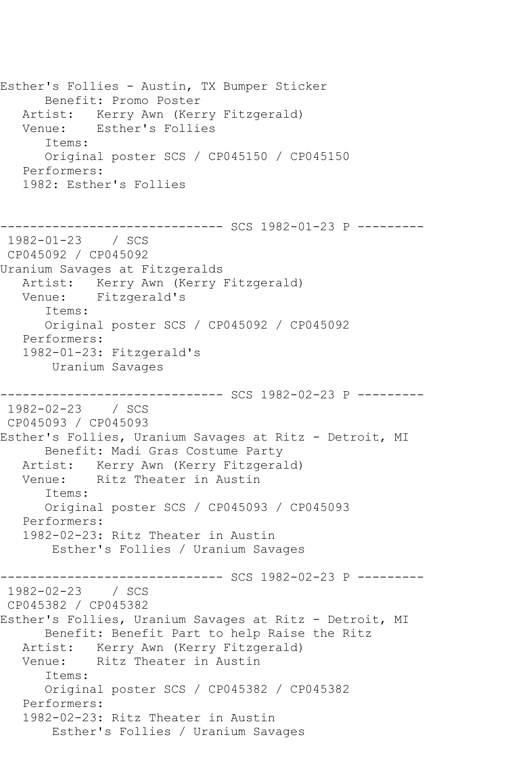Esther's Follies - Austin, TX Bumper Sticker Benefit: Promo Poster Artist: Kerry Awn (Kerry Fitzgerald) Venue: Esther's Follies Items: Original poster SCS / CP045150 / CP045150 Performers: 1982: Esther's Follies ------------------------------ SCS 1982-01-23 P --------- 1982-01-23 / SCS CP045092 / CP045092 Uranium Savages at Fitzgeralds Artist: Kerry Awn (Kerry Fitzgerald) Venue: Fitzgerald's Items: Original poster SCS / CP045092 / CP045092 Performers: 1982-01-23: Fitzgerald's Uranium Savages ------------------------------ SCS 1982-02-23 P --------- 1982-02-23 / SCS CP045093 / CP045093 Esther's Follies, Uranium Savages at Ritz - Detroit, MI Benefit: Madi Gras Costume Party Artist: Kerry Awn (Kerry Fitzgerald) Venue: Ritz Theater in Austin Items: Original poster SCS / CP045093 / CP045093 Performers: 1982-02-23: Ritz Theater in Austin Esther's Follies / Uranium Savages ------------------------------ SCS 1982-02-23 P --------- 1982-02-23 / SCS CP045382 / CP045382 Esther's Follies, Uranium Savages at Ritz - Detroit, MI Benefit: Benefit Part to help Raise the Ritz Artist: Kerry Awn (Kerry Fitzgerald) Venue: Ritz Theater in Austin Items: Original poster SCS / CP045382 / CP045382 Performers: 1982-02-23: Ritz Theater in Austin Esther's Follies / Uranium Savages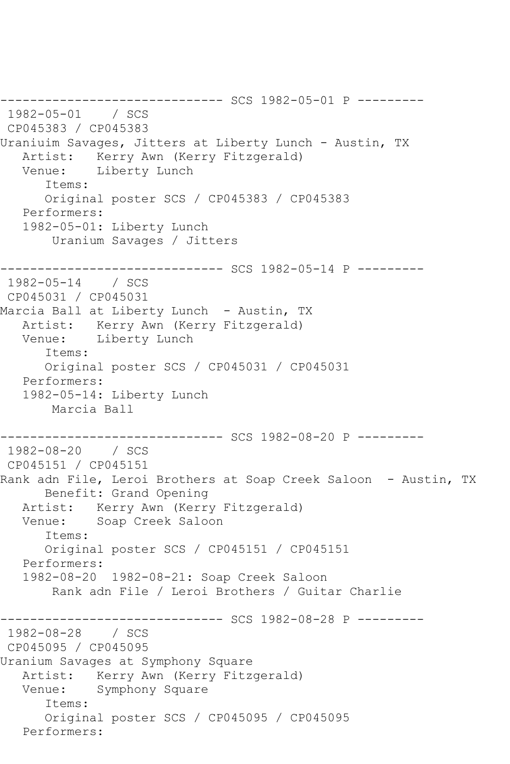```
------------------------------ SCS 1982-05-01 P ---------
1982-05-01 / SCS 
CP045383 / CP045383
Uraniuim Savages, Jitters at Liberty Lunch - Austin, TX
  Artist: Kerry Awn (Kerry Fitzgerald)<br>Venue: Liberty Lunch
            Liberty Lunch
       Items:
       Original poster SCS / CP045383 / CP045383
   Performers:
    1982-05-01: Liberty Lunch
        Uranium Savages / Jitters
------------------------------ SCS 1982-05-14 P ---------
1982-05-14 / SCS 
CP045031 / CP045031
Marcia Ball at Liberty Lunch - Austin, TX
   Artist: Kerry Awn (Kerry Fitzgerald)
   Venue: Liberty Lunch
       Items:
       Original poster SCS / CP045031 / CP045031
   Performers:
    1982-05-14: Liberty Lunch
        Marcia Ball
------------------------------ SCS 1982-08-20 P ---------
1982-08-20 / SCS 
CP045151 / CP045151
Rank adn File, Leroi Brothers at Soap Creek Saloon - Austin, TX
       Benefit: Grand Opening
   Artist: Kerry Awn (Kerry Fitzgerald)
   Venue: Soap Creek Saloon
       Items:
       Original poster SCS / CP045151 / CP045151
   Performers:
   1982-08-20 1982-08-21: Soap Creek Saloon
        Rank adn File / Leroi Brothers / Guitar Charlie
                ------------------------------ SCS 1982-08-28 P ---------
1982-08-28 / SCS 
CP045095 / CP045095
Uranium Savages at Symphony Square
   Artist: Kerry Awn (Kerry Fitzgerald)
   Venue: Symphony Square
       Items:
       Original poster SCS / CP045095 / CP045095
   Performers:
```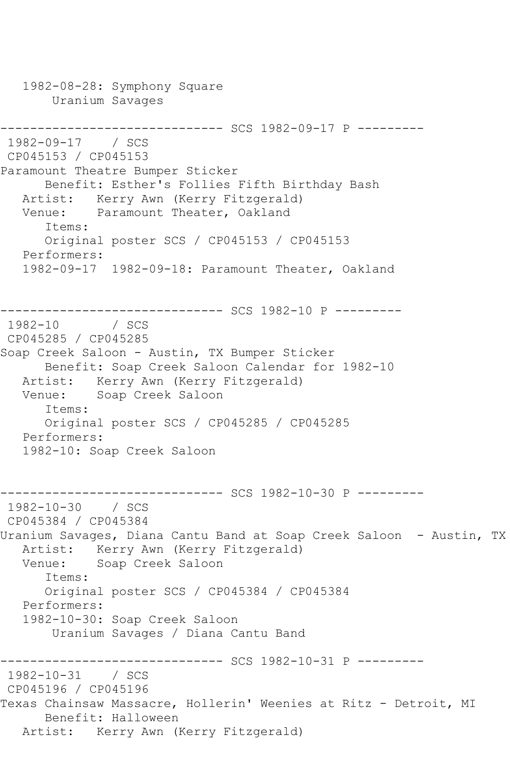1982-08-28: Symphony Square Uranium Savages ------------------------------ SCS 1982-09-17 P --------- 1982-09-17 / SCS CP045153 / CP045153 Paramount Theatre Bumper Sticker Benefit: Esther's Follies Fifth Birthday Bash Artist: Kerry Awn (Kerry Fitzgerald) Venue: Paramount Theater, Oakland Items: Original poster SCS / CP045153 / CP045153 Performers: 1982-09-17 1982-09-18: Paramount Theater, Oakland ------------------------------ SCS 1982-10 P ---------  $1982 - 10$ CP045285 / CP045285 Soap Creek Saloon - Austin, TX Bumper Sticker Benefit: Soap Creek Saloon Calendar for 1982-10 Artist: Kerry Awn (Kerry Fitzgerald) Venue: Soap Creek Saloon Items: Original poster SCS / CP045285 / CP045285 Performers: 1982-10: Soap Creek Saloon ------------------------------ SCS 1982-10-30 P --------- 1982-10-30 / SCS CP045384 / CP045384 Uranium Savages, Diana Cantu Band at Soap Creek Saloon - Austin, TX Artist: Kerry Awn (Kerry Fitzgerald) Venue: Soap Creek Saloon Items: Original poster SCS / CP045384 / CP045384 Performers: 1982-10-30: Soap Creek Saloon Uranium Savages / Diana Cantu Band ------------------------------ SCS 1982-10-31 P --------- 1982-10-31 / SCS CP045196 / CP045196 Texas Chainsaw Massacre, Hollerin' Weenies at Ritz - Detroit, MI Benefit: Halloween Artist: Kerry Awn (Kerry Fitzgerald)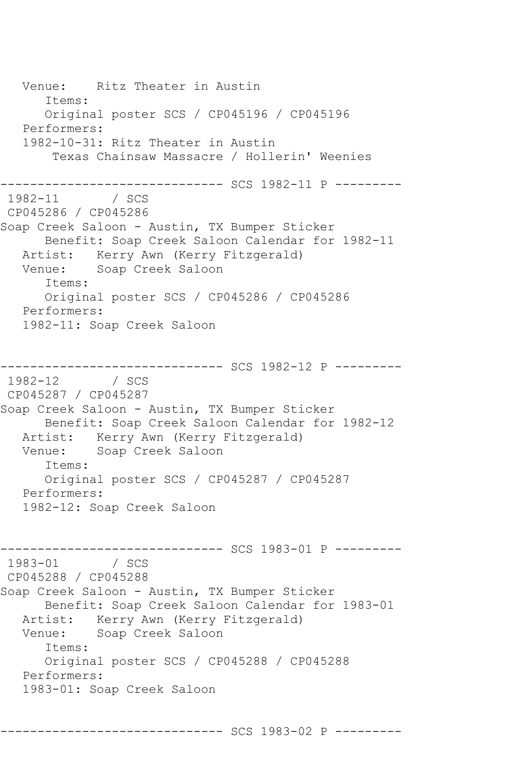Venue: Ritz Theater in Austin Items: Original poster SCS / CP045196 / CP045196 Performers: 1982-10-31: Ritz Theater in Austin Texas Chainsaw Massacre / Hollerin' Weenies ------------------------------ SCS 1982-11 P --------- 1982-11 / SCS CP045286 / CP045286 Soap Creek Saloon - Austin, TX Bumper Sticker Benefit: Soap Creek Saloon Calendar for 1982-11 Artist: Kerry Awn (Kerry Fitzgerald) Venue: Soap Creek Saloon Items: Original poster SCS / CP045286 / CP045286 Performers: 1982-11: Soap Creek Saloon ------------------------------ SCS 1982-12 P --------- 1982-12 / SCS CP045287 / CP045287 Soap Creek Saloon - Austin, TX Bumper Sticker Benefit: Soap Creek Saloon Calendar for 1982-12 Artist: Kerry Awn (Kerry Fitzgerald)<br>Venue: Soap Creek Saloon Soap Creek Saloon Items: Original poster SCS / CP045287 / CP045287 Performers: 1982-12: Soap Creek Saloon ------------------------------ SCS 1983-01 P --------- 1983-01 / SCS CP045288 / CP045288 Soap Creek Saloon - Austin, TX Bumper Sticker Benefit: Soap Creek Saloon Calendar for 1983-01 Artist: Kerry Awn (Kerry Fitzgerald)<br>Venue: Soap Creek Saloon Soap Creek Saloon Items: Original poster SCS / CP045288 / CP045288 Performers: 1983-01: Soap Creek Saloon

------------------------------ SCS 1983-02 P ---------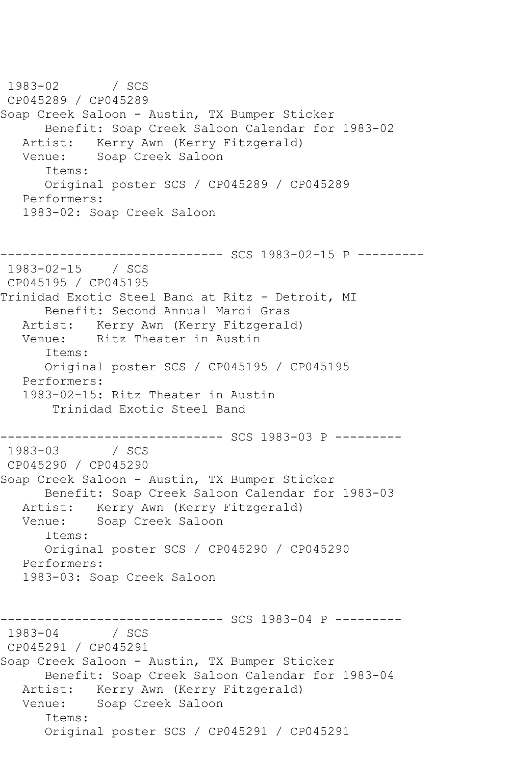1983-02 / SCS CP045289 / CP045289 Soap Creek Saloon - Austin, TX Bumper Sticker Benefit: Soap Creek Saloon Calendar for 1983-02 Artist: Kerry Awn (Kerry Fitzgerald) Venue: Soap Creek Saloon Items: Original poster SCS / CP045289 / CP045289 Performers: 1983-02: Soap Creek Saloon  $--------$  SCS 1983-02-15 P  $------$ 1983-02-15 / SCS CP045195 / CP045195 Trinidad Exotic Steel Band at Ritz - Detroit, MI Benefit: Second Annual Mardi Gras Artist: Kerry Awn (Kerry Fitzgerald) Venue: Ritz Theater in Austin Items: Original poster SCS / CP045195 / CP045195 Performers: 1983-02-15: Ritz Theater in Austin Trinidad Exotic Steel Band -------------------------------- SCS 1983-03 P ---------<br>1983-03 / SCS  $1983 - 03$ CP045290 / CP045290 Soap Creek Saloon - Austin, TX Bumper Sticker Benefit: Soap Creek Saloon Calendar for 1983-03 Artist: Kerry Awn (Kerry Fitzgerald)<br>Venue: Soap Creek Saloon Soap Creek Saloon Items: Original poster SCS / CP045290 / CP045290 Performers: 1983-03: Soap Creek Saloon ------------------------------ SCS 1983-04 P --------- 1983-04 / SCS CP045291 / CP045291 Soap Creek Saloon - Austin, TX Bumper Sticker Benefit: Soap Creek Saloon Calendar for 1983-04 Artist: Kerry Awn (Kerry Fitzgerald) Venue: Soap Creek Saloon Items: Original poster SCS / CP045291 / CP045291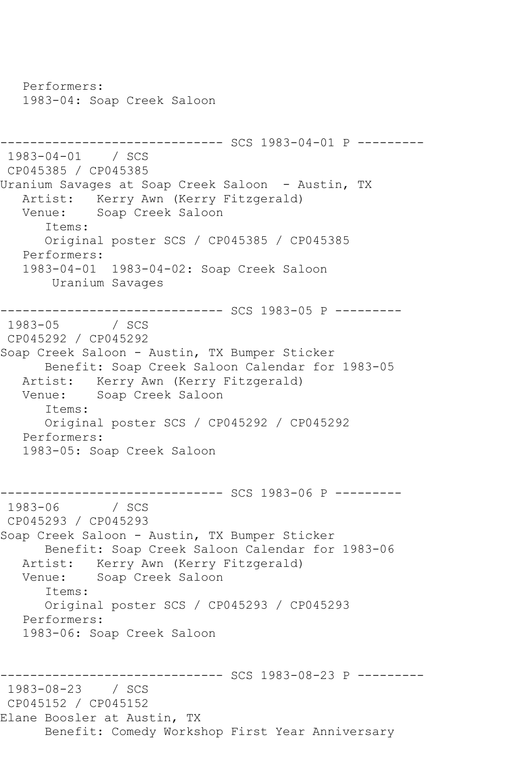Performers: 1983-04: Soap Creek Saloon ------------------------------ SCS 1983-04-01 P --------- 1983-04-01 / SCS CP045385 / CP045385 Uranium Savages at Soap Creek Saloon - Austin, TX Artist: Kerry Awn (Kerry Fitzgerald) Venue: Soap Creek Saloon Items: Original poster SCS / CP045385 / CP045385 Performers: 1983-04-01 1983-04-02: Soap Creek Saloon Uranium Savages ------------------------------ SCS 1983-05 P --------- 1983-05 / SCS CP045292 / CP045292 Soap Creek Saloon - Austin, TX Bumper Sticker Benefit: Soap Creek Saloon Calendar for 1983-05 Artist: Kerry Awn (Kerry Fitzgerald)<br>Venue: Soap Creek Saloon Soap Creek Saloon Items: Original poster SCS / CP045292 / CP045292 Performers: 1983-05: Soap Creek Saloon --------------------------------- SCS 1983-06 P ----------<br>1983-06 / SCS  $1983 - 06$ CP045293 / CP045293 Soap Creek Saloon - Austin, TX Bumper Sticker Benefit: Soap Creek Saloon Calendar for 1983-06 Artist: Kerry Awn (Kerry Fitzgerald) Venue: Soap Creek Saloon Items: Original poster SCS / CP045293 / CP045293 Performers: 1983-06: Soap Creek Saloon ------------------------------ SCS 1983-08-23 P --------- 1983-08-23 / SCS CP045152 / CP045152 Elane Boosler at Austin, TX Benefit: Comedy Workshop First Year Anniversary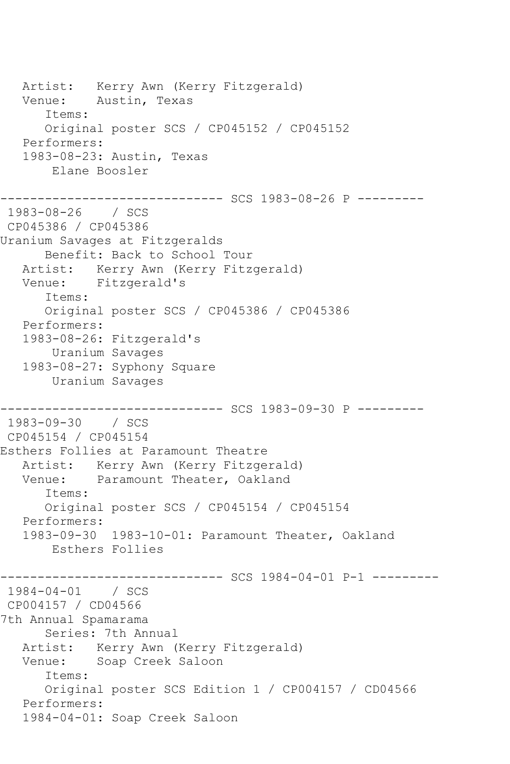Artist: Kerry Awn (Kerry Fitzgerald) Venue: Austin, Texas Items: Original poster SCS / CP045152 / CP045152 Performers: 1983-08-23: Austin, Texas Elane Boosler ----------- SCS 1983-08-26 P ---------1983-08-26 / SCS CP045386 / CP045386 Uranium Savages at Fitzgeralds Benefit: Back to School Tour Artist: Kerry Awn (Kerry Fitzgerald) Venue: Fitzgerald's Items: Original poster SCS / CP045386 / CP045386 Performers: 1983-08-26: Fitzgerald's Uranium Savages 1983-08-27: Syphony Square Uranium Savages ------------------------------ SCS 1983-09-30 P --------- 1983-09-30 / SCS CP045154 / CP045154 Esthers Follies at Paramount Theatre Artist: Kerry Awn (Kerry Fitzgerald) Venue: Paramount Theater, Oakland Items: Original poster SCS / CP045154 / CP045154 Performers: 1983-09-30 1983-10-01: Paramount Theater, Oakland Esthers Follies ------------------------------ SCS 1984-04-01 P-1 --------- 1984-04-01 / SCS CP004157 / CD04566 7th Annual Spamarama Series: 7th Annual Artist: Kerry Awn (Kerry Fitzgerald) Venue: Soap Creek Saloon Items: Original poster SCS Edition 1 / CP004157 / CD04566 Performers: 1984-04-01: Soap Creek Saloon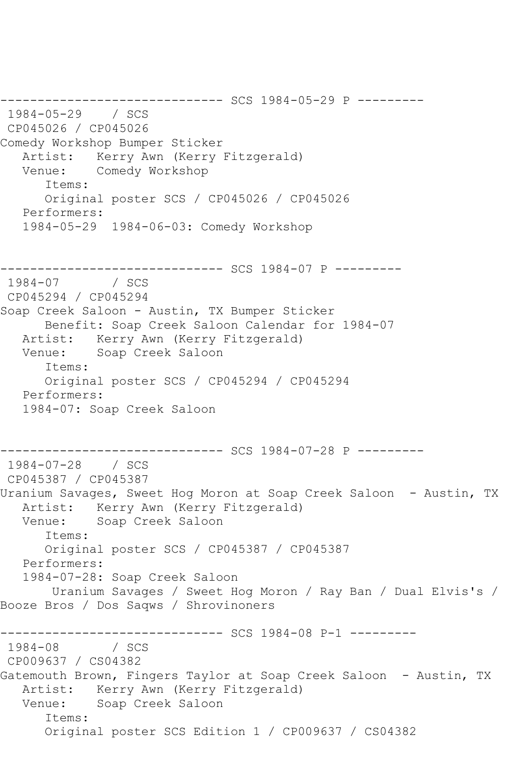------------------------------ SCS 1984-05-29 P --------- 1984-05-29 / SCS CP045026 / CP045026 Comedy Workshop Bumper Sticker Artist: Kerry Awn (Kerry Fitzgerald) Venue: Comedy Workshop Items: Original poster SCS / CP045026 / CP045026 Performers: 1984-05-29 1984-06-03: Comedy Workshop --------------------------------- SCS 1984-07 P ---------<br>1984-07 / SCS  $1984 - 07$ CP045294 / CP045294 Soap Creek Saloon - Austin, TX Bumper Sticker Benefit: Soap Creek Saloon Calendar for 1984-07 Artist: Kerry Awn (Kerry Fitzgerald) Venue: Soap Creek Saloon Items: Original poster SCS / CP045294 / CP045294 Performers: 1984-07: Soap Creek Saloon ------------------------------ SCS 1984-07-28 P --------- 1984-07-28 / SCS CP045387 / CP045387 Uranium Savages, Sweet Hog Moron at Soap Creek Saloon - Austin, TX Artist: Kerry Awn (Kerry Fitzgerald) Venue: Soap Creek Saloon Items: Original poster SCS / CP045387 / CP045387 Performers: 1984-07-28: Soap Creek Saloon Uranium Savages / Sweet Hog Moron / Ray Ban / Dual Elvis's / Booze Bros / Dos Saqws / Shrovinoners ----------------------------- SCS 1984-08 P-1 ---------1984-08 / SCS CP009637 / CS04382 Gatemouth Brown, Fingers Taylor at Soap Creek Saloon - Austin, TX Artist: Kerry Awn (Kerry Fitzgerald) Venue: Soap Creek Saloon Items: Original poster SCS Edition 1 / CP009637 / CS04382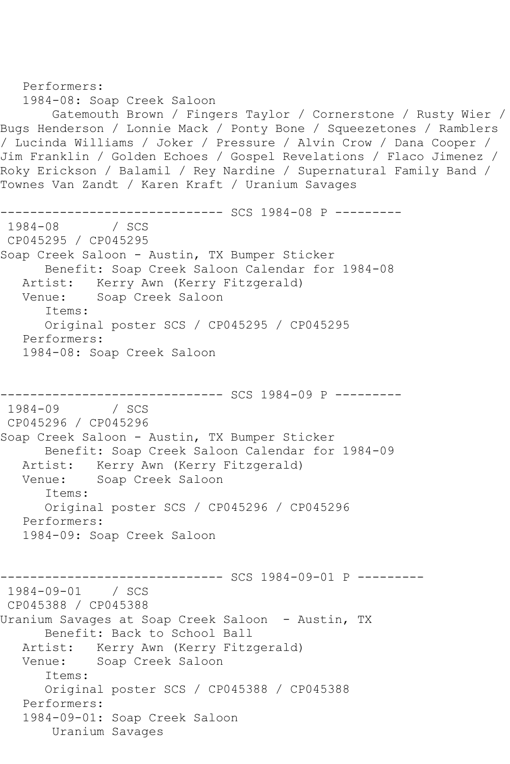```
 Performers:
    1984-08: Soap Creek Saloon
        Gatemouth Brown / Fingers Taylor / Cornerstone / Rusty Wier / 
Bugs Henderson / Lonnie Mack / Ponty Bone / Squeezetones / Ramblers 
/ Lucinda Williams / Joker / Pressure / Alvin Crow / Dana Cooper / 
Jim Franklin / Golden Echoes / Gospel Revelations / Flaco Jimenez / 
Roky Erickson / Balamil / Rey Nardine / Supernatural Family Band / 
Townes Van Zandt / Karen Kraft / Uranium Savages
---------------------------------- SCS 1984-08 P ----------<br>1984-08    / SCS
1984 - 08CP045295 / CP045295
Soap Creek Saloon - Austin, TX Bumper Sticker
       Benefit: Soap Creek Saloon Calendar for 1984-08
   Artist: Kerry Awn (Kerry Fitzgerald)
   Venue: Soap Creek Saloon
       Items:
       Original poster SCS / CP045295 / CP045295
   Performers:
    1984-08: Soap Creek Saloon
            ------------------------------ SCS 1984-09 P ---------
1984-09
CP045296 / CP045296
Soap Creek Saloon - Austin, TX Bumper Sticker
       Benefit: Soap Creek Saloon Calendar for 1984-09
   Artist: Kerry Awn (Kerry Fitzgerald)
   Venue: Soap Creek Saloon
       Items:
       Original poster SCS / CP045296 / CP045296
    Performers:
    1984-09: Soap Creek Saloon
------------------------------ SCS 1984-09-01 P ---------
1984-09-01 / SCS 
CP045388 / CP045388
Uranium Savages at Soap Creek Saloon - Austin, TX
       Benefit: Back to School Ball
   Artist: Kerry Awn (Kerry Fitzgerald)
   Venue: Soap Creek Saloon
       Items:
       Original poster SCS / CP045388 / CP045388
    Performers:
    1984-09-01: Soap Creek Saloon
        Uranium Savages
```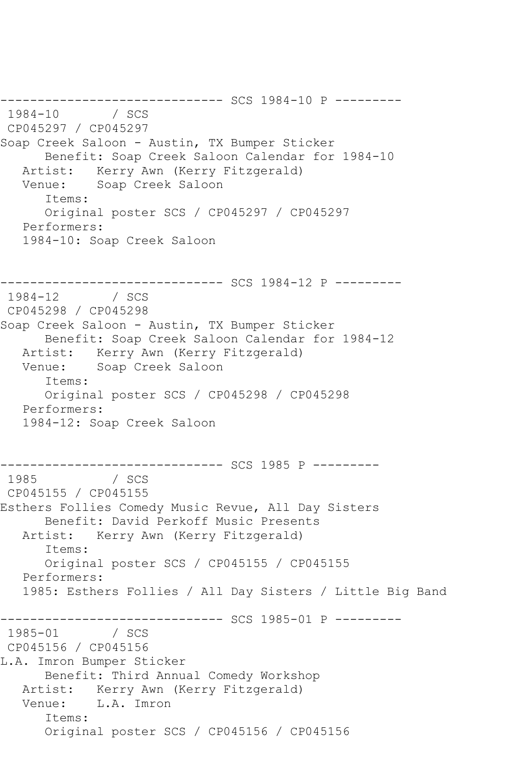--------------------------------- SCS 1984-10 P ---------<br>1984-10 / SCS 1984 / SCS CP045297 / CP045297 Soap Creek Saloon - Austin, TX Bumper Sticker Benefit: Soap Creek Saloon Calendar for 1984-10 Artist: Kerry Awn (Kerry Fitzgerald) Venue: Soap Creek Saloon Items: Original poster SCS / CP045297 / CP045297 Performers: 1984-10: Soap Creek Saloon ------------------------------ SCS 1984-12 P --------- 1984-12 / SCS CP045298 / CP045298 Soap Creek Saloon - Austin, TX Bumper Sticker Benefit: Soap Creek Saloon Calendar for 1984-12 Artist: Kerry Awn (Kerry Fitzgerald) Venue: Soap Creek Saloon Items: Original poster SCS / CP045298 / CP045298 Performers: 1984-12: Soap Creek Saloon ------------------------------ SCS 1985 P --------- 1985 / SCS CP045155 / CP045155 Esthers Follies Comedy Music Revue, All Day Sisters Benefit: David Perkoff Music Presents Artist: Kerry Awn (Kerry Fitzgerald) Items: Original poster SCS / CP045155 / CP045155 Performers: 1985: Esthers Follies / All Day Sisters / Little Big Band ---------------------------------- SCS 1985-01 P ---------<br>1985-01 / SCS 1985-01 / SCS CP045156 / CP045156 L.A. Imron Bumper Sticker Benefit: Third Annual Comedy Workshop Artist: Kerry Awn (Kerry Fitzgerald) Venue: L.A. Imron Items: Original poster SCS / CP045156 / CP045156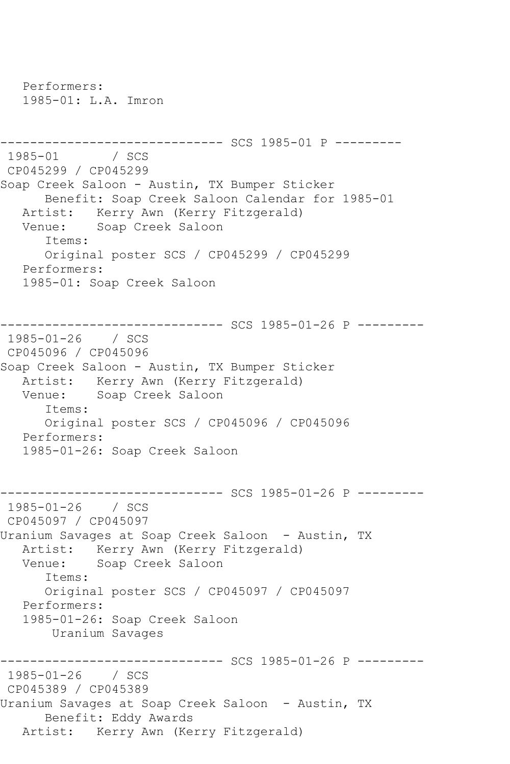Performers: 1985-01: L.A. Imron ------------------------------ SCS 1985-01 P --------- 1985-01 / SCS CP045299 / CP045299 Soap Creek Saloon - Austin, TX Bumper Sticker Benefit: Soap Creek Saloon Calendar for 1985-01 Artist: Kerry Awn (Kerry Fitzgerald)<br>Venue: Soap Creek Saloon Soap Creek Saloon Items: Original poster SCS / CP045299 / CP045299 Performers: 1985-01: Soap Creek Saloon ------------------------------ SCS 1985-01-26 P --------- 1985-01-26 / SCS CP045096 / CP045096 Soap Creek Saloon - Austin, TX Bumper Sticker Artist: Kerry Awn (Kerry Fitzgerald) Venue: Soap Creek Saloon Items: Original poster SCS / CP045096 / CP045096 Performers: 1985-01-26: Soap Creek Saloon ------------------------------ SCS 1985-01-26 P --------- 1985-01-26 / SCS CP045097 / CP045097 Uranium Savages at Soap Creek Saloon - Austin, TX Artist: Kerry Awn (Kerry Fitzgerald) Venue: Soap Creek Saloon Items: Original poster SCS / CP045097 / CP045097 Performers: 1985-01-26: Soap Creek Saloon Uranium Savages ----------------- SCS 1985-01-26 P ---------1985-01-26 / SCS CP045389 / CP045389 Uranium Savages at Soap Creek Saloon - Austin, TX Benefit: Eddy Awards Artist: Kerry Awn (Kerry Fitzgerald)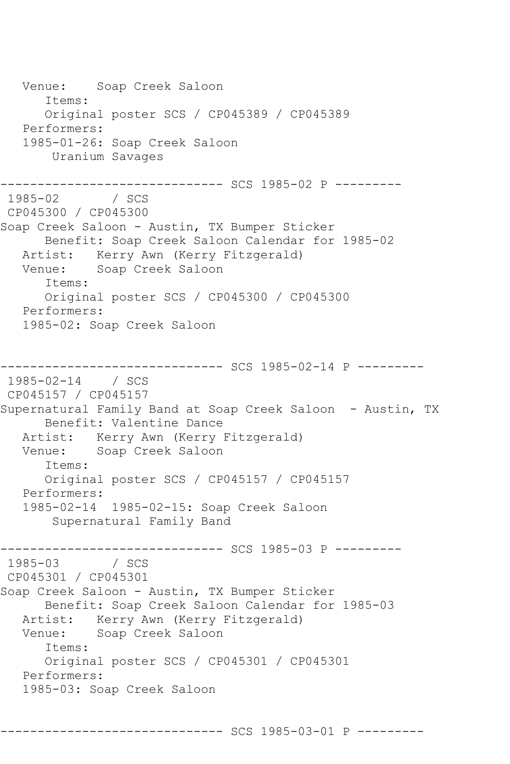Venue: Soap Creek Saloon Items: Original poster SCS / CP045389 / CP045389 Performers: 1985-01-26: Soap Creek Saloon Uranium Savages ------------------------------ SCS 1985-02 P ---------  $1985 - 02$ CP045300 / CP045300 Soap Creek Saloon - Austin, TX Bumper Sticker Benefit: Soap Creek Saloon Calendar for 1985-02 Artist: Kerry Awn (Kerry Fitzgerald) Venue: Soap Creek Saloon Items: Original poster SCS / CP045300 / CP045300 Performers: 1985-02: Soap Creek Saloon ------------------------------ SCS 1985-02-14 P --------- 1985-02-14 / SCS CP045157 / CP045157 Supernatural Family Band at Soap Creek Saloon - Austin, TX Benefit: Valentine Dance Artist: Kerry Awn (Kerry Fitzgerald) Venue: Soap Creek Saloon Items: Original poster SCS / CP045157 / CP045157 Performers: 1985-02-14 1985-02-15: Soap Creek Saloon Supernatural Family Band ------------------------------ SCS 1985-03 P --------- 1985-03 / SCS CP045301 / CP045301 Soap Creek Saloon - Austin, TX Bumper Sticker Benefit: Soap Creek Saloon Calendar for 1985-03 Artist: Kerry Awn (Kerry Fitzgerald)<br>Venue: Soap Creek Saloon Soap Creek Saloon Items: Original poster SCS / CP045301 / CP045301 Performers: 1985-03: Soap Creek Saloon

------------------------------ SCS 1985-03-01 P ---------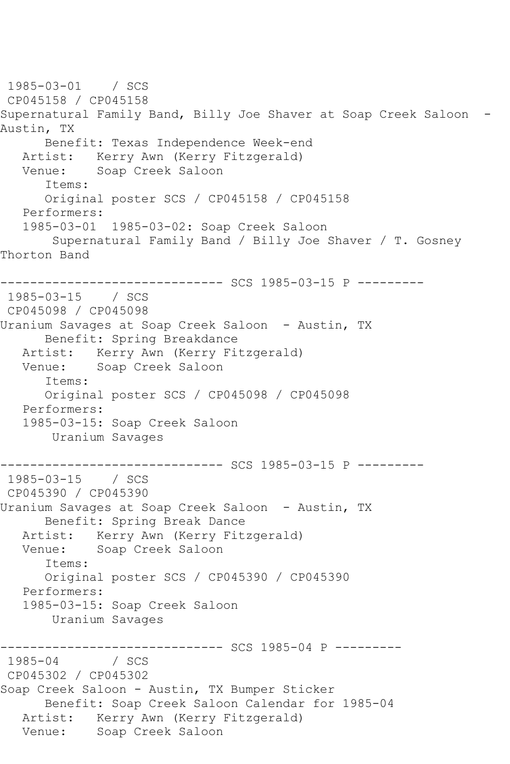1985-03-01 / SCS CP045158 / CP045158 Supernatural Family Band, Billy Joe Shaver at Soap Creek Saloon -Austin, TX Benefit: Texas Independence Week-end Artist: Kerry Awn (Kerry Fitzgerald) Venue: Soap Creek Saloon Items: Original poster SCS / CP045158 / CP045158 Performers: 1985-03-01 1985-03-02: Soap Creek Saloon Supernatural Family Band / Billy Joe Shaver / T. Gosney Thorton Band ------------------------------ SCS 1985-03-15 P --------- 1985-03-15 / SCS CP045098 / CP045098 Uranium Savages at Soap Creek Saloon - Austin, TX Benefit: Spring Breakdance Artist: Kerry Awn (Kerry Fitzgerald) Venue: Soap Creek Saloon Items: Original poster SCS / CP045098 / CP045098 Performers: 1985-03-15: Soap Creek Saloon Uranium Savages ------------------------------ SCS 1985-03-15 P --------- 1985-03-15 / SCS CP045390 / CP045390 Uranium Savages at Soap Creek Saloon - Austin, TX Benefit: Spring Break Dance Artist: Kerry Awn (Kerry Fitzgerald)<br>Venue: Soap Creek Saloon Soap Creek Saloon Items: Original poster SCS / CP045390 / CP045390 Performers: 1985-03-15: Soap Creek Saloon Uranium Savages ------------------------------ SCS 1985-04 P ---------  $1985 - 04$ CP045302 / CP045302 Soap Creek Saloon - Austin, TX Bumper Sticker Benefit: Soap Creek Saloon Calendar for 1985-04 Artist: Kerry Awn (Kerry Fitzgerald) Venue: Soap Creek Saloon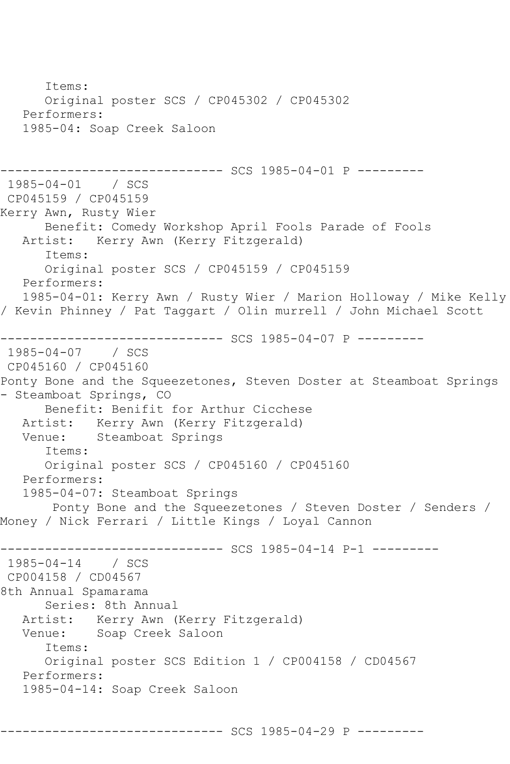```
 Items:
       Original poster SCS / CP045302 / CP045302
    Performers:
    1985-04: Soap Creek Saloon
------------------------------ SCS 1985-04-01 P ---------
1985-04-01 / SCS 
CP045159 / CP045159
Kerry Awn, Rusty Wier
   Benefit: Comedy Workshop April Fools Parade of Fools<br>Artist: Kerry Awn (Kerry Fitzgerald)
            Kerry Awn (Kerry Fitzgerald)
       Items:
       Original poster SCS / CP045159 / CP045159
    Performers:
    1985-04-01: Kerry Awn / Rusty Wier / Marion Holloway / Mike Kelly 
/ Kevin Phinney / Pat Taggart / Olin murrell / John Michael Scott
------------------------------ SCS 1985-04-07 P ---------
1985-04-07 / SCS 
CP045160 / CP045160
Ponty Bone and the Squeezetones, Steven Doster at Steamboat Springs 
- Steamboat Springs, CO
       Benefit: Benifit for Arthur Cicchese
   Artist: Kerry Awn (Kerry Fitzgerald)<br>Venue: Steamboat Springs
            Steamboat Springs
       Items:
       Original poster SCS / CP045160 / CP045160
    Performers:
    1985-04-07: Steamboat Springs
        Ponty Bone and the Squeezetones / Steven Doster / Senders / 
Money / Nick Ferrari / Little Kings / Loyal Cannon
------------------------------ SCS 1985-04-14 P-1 ---------
1985-04-14 / SCS 
CP004158 / CD04567
8th Annual Spamarama
       Series: 8th Annual
   Artist: Kerry Awn (Kerry Fitzgerald)<br>Venue: Soap Creek Saloon
           Soap Creek Saloon
       Items:
       Original poster SCS Edition 1 / CP004158 / CD04567
   Performers:
    1985-04-14: Soap Creek Saloon
```
------------------------------ SCS 1985-04-29 P ---------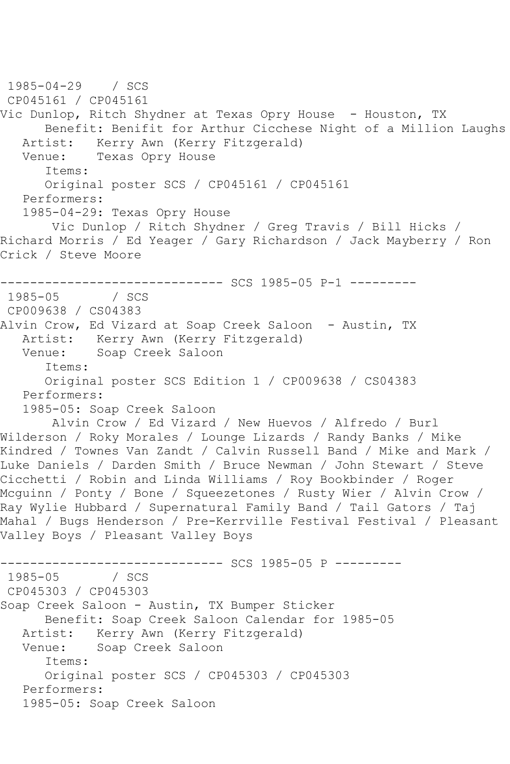```
1985-04-29 / SCS 
CP045161 / CP045161
Vic Dunlop, Ritch Shydner at Texas Opry House - Houston, TX
       Benefit: Benifit for Arthur Cicchese Night of a Million Laughs
   Artist: Kerry Awn (Kerry Fitzgerald)
   Venue: Texas Opry House
       Items:
       Original poster SCS / CP045161 / CP045161
    Performers:
    1985-04-29: Texas Opry House
        Vic Dunlop / Ritch Shydner / Greg Travis / Bill Hicks / 
Richard Morris / Ed Yeager / Gary Richardson / Jack Mayberry / Ron 
Crick / Steve Moore
------------------------------ SCS 1985-05 P-1 ---------
1985-05
CP009638 / CS04383
Alvin Crow, Ed Vizard at Soap Creek Saloon - Austin, TX
  Artist: Kerry Awn (Kerry Fitzgerald)<br>Venue: Soap Creek Saloon
            Soap Creek Saloon
       Items:
       Original poster SCS Edition 1 / CP009638 / CS04383
   Performers:
    1985-05: Soap Creek Saloon
        Alvin Crow / Ed Vizard / New Huevos / Alfredo / Burl 
Wilderson / Roky Morales / Lounge Lizards / Randy Banks / Mike 
Kindred / Townes Van Zandt / Calvin Russell Band / Mike and Mark / 
Luke Daniels / Darden Smith / Bruce Newman / John Stewart / Steve 
Cicchetti / Robin and Linda Williams / Roy Bookbinder / Roger 
Mcguinn / Ponty / Bone / Squeezetones / Rusty Wier / Alvin Crow / 
Ray Wylie Hubbard / Supernatural Family Band / Tail Gators / Taj 
Mahal / Bugs Henderson / Pre-Kerrville Festival Festival / Pleasant 
Valley Boys / Pleasant Valley Boys
               ------------------------------ SCS 1985-05 P ---------
1985 - 05CP045303 / CP045303
Soap Creek Saloon - Austin, TX Bumper Sticker
       Benefit: Soap Creek Saloon Calendar for 1985-05
  Artist: Kerry Awn (Kerry Fitzgerald)<br>Venue: Soap Creek Saloon
            Soap Creek Saloon
       Items:
       Original poster SCS / CP045303 / CP045303
   Performers:
    1985-05: Soap Creek Saloon
```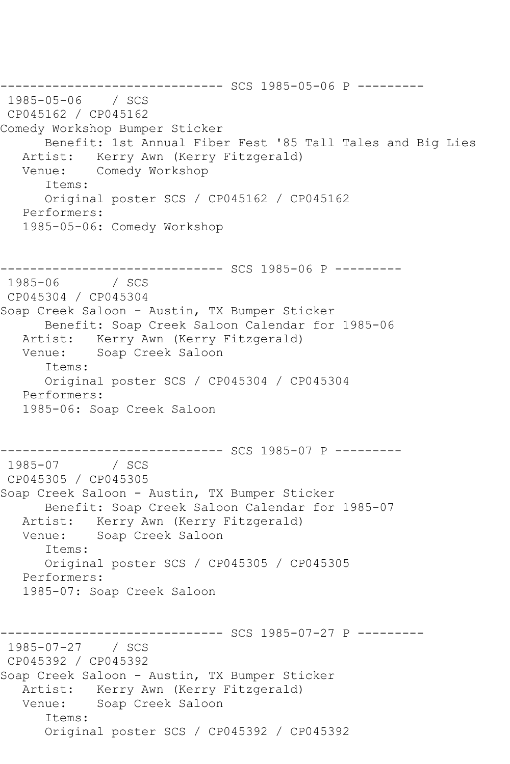------------------------------ SCS 1985-05-06 P --------- 1985-05-06 / SCS CP045162 / CP045162 Comedy Workshop Bumper Sticker Benefit: 1st Annual Fiber Fest '85 Tall Tales and Big Lies Artist: Kerry Awn (Kerry Fitzgerald) Venue: Comedy Workshop Items: Original poster SCS / CP045162 / CP045162 Performers: 1985-05-06: Comedy Workshop --------------------------------- SCS 1985-06 P ---------<br>1985-06 / SCS  $1985 - 06$ CP045304 / CP045304 Soap Creek Saloon - Austin, TX Bumper Sticker Benefit: Soap Creek Saloon Calendar for 1985-06 Artist: Kerry Awn (Kerry Fitzgerald) Venue: Soap Creek Saloon Items: Original poster SCS / CP045304 / CP045304 Performers: 1985-06: Soap Creek Saloon ------------------------------ SCS 1985-07 P --------- 1985-07 / SCS CP045305 / CP045305 Soap Creek Saloon - Austin, TX Bumper Sticker Benefit: Soap Creek Saloon Calendar for 1985-07 Artist: Kerry Awn (Kerry Fitzgerald) Venue: Soap Creek Saloon Items: Original poster SCS / CP045305 / CP045305 Performers: 1985-07: Soap Creek Saloon ------------------------------ SCS 1985-07-27 P --------- 1985-07-27 / SCS CP045392 / CP045392 Soap Creek Saloon - Austin, TX Bumper Sticker Artist: Kerry Awn (Kerry Fitzgerald) Venue: Soap Creek Saloon Items: Original poster SCS / CP045392 / CP045392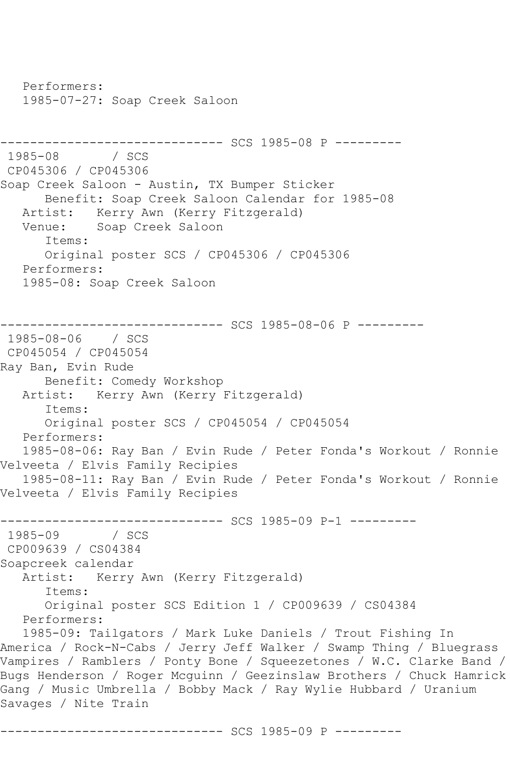Performers: 1985-07-27: Soap Creek Saloon ------------------------------ SCS 1985-08 P --------- 1985-08 / SCS CP045306 / CP045306 Soap Creek Saloon - Austin, TX Bumper Sticker Benefit: Soap Creek Saloon Calendar for 1985-08 Artist: Kerry Awn (Kerry Fitzgerald)<br>Venue: Soap Creek Saloon Soap Creek Saloon Items: Original poster SCS / CP045306 / CP045306 Performers: 1985-08: Soap Creek Saloon ------------------------------ SCS 1985-08-06 P --------- 1985-08-06 / SCS CP045054 / CP045054 Ray Ban, Evin Rude Benefit: Comedy Workshop Artist: Kerry Awn (Kerry Fitzgerald) Items: Original poster SCS / CP045054 / CP045054 Performers: 1985-08-06: Ray Ban / Evin Rude / Peter Fonda's Workout / Ronnie Velveeta / Elvis Family Recipies 1985-08-11: Ray Ban / Evin Rude / Peter Fonda's Workout / Ronnie Velveeta / Elvis Family Recipies ------------------------------ SCS 1985-09 P-1 --------- 1985-09 / SCS CP009639 / CS04384 Soapcreek calendar Artist: Kerry Awn (Kerry Fitzgerald) Items: Original poster SCS Edition 1 / CP009639 / CS04384 Performers: 1985-09: Tailgators / Mark Luke Daniels / Trout Fishing In America / Rock-N-Cabs / Jerry Jeff Walker / Swamp Thing / Bluegrass Vampires / Ramblers / Ponty Bone / Squeezetones / W.C. Clarke Band / Bugs Henderson / Roger Mcguinn / Geezinslaw Brothers / Chuck Hamrick Gang / Music Umbrella / Bobby Mack / Ray Wylie Hubbard / Uranium Savages / Nite Train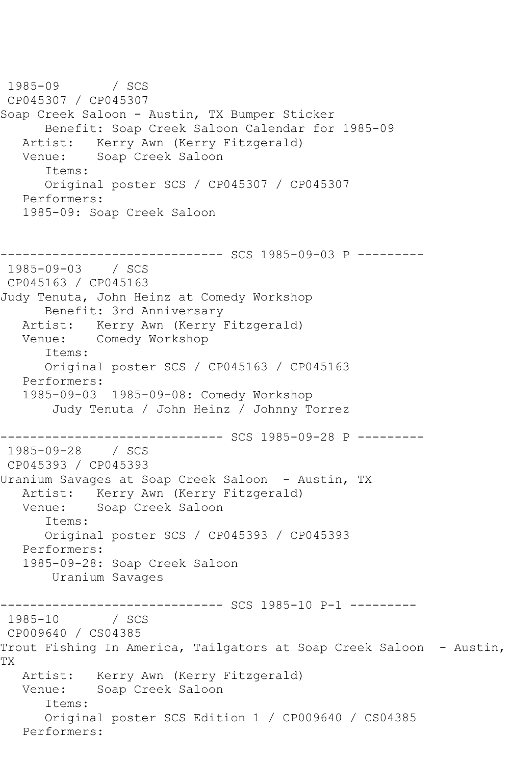1985-09 / SCS CP045307 / CP045307 Soap Creek Saloon - Austin, TX Bumper Sticker Benefit: Soap Creek Saloon Calendar for 1985-09 Artist: Kerry Awn (Kerry Fitzgerald) Venue: Soap Creek Saloon Items: Original poster SCS / CP045307 / CP045307 Performers: 1985-09: Soap Creek Saloon ------------------------------ SCS 1985-09-03 P --------- 1985-09-03 / SCS CP045163 / CP045163 Judy Tenuta, John Heinz at Comedy Workshop Benefit: 3rd Anniversary Artist: Kerry Awn (Kerry Fitzgerald) Venue: Comedy Workshop Items: Original poster SCS / CP045163 / CP045163 Performers: 1985-09-03 1985-09-08: Comedy Workshop Judy Tenuta / John Heinz / Johnny Torrez -------------- SCS 1985-09-28 P ---------1985-09-28 / SCS CP045393 / CP045393 Uranium Savages at Soap Creek Saloon - Austin, TX Artist: Kerry Awn (Kerry Fitzgerald)<br>Venue: Soap Creek Saloon Soap Creek Saloon Items: Original poster SCS / CP045393 / CP045393 Performers: 1985-09-28: Soap Creek Saloon Uranium Savages ------------------------------ SCS 1985-10 P-1 ---------  $1985 - 10$ CP009640 / CS04385 Trout Fishing In America, Tailgators at Soap Creek Saloon - Austin, TX Artist: Kerry Awn (Kerry Fitzgerald) Venue: Soap Creek Saloon Items: Original poster SCS Edition 1 / CP009640 / CS04385 Performers: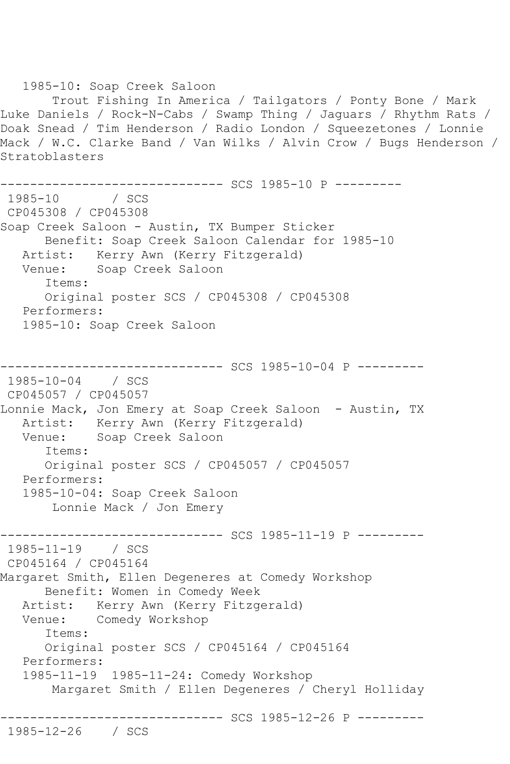1985-10: Soap Creek Saloon Trout Fishing In America / Tailgators / Ponty Bone / Mark Luke Daniels / Rock-N-Cabs / Swamp Thing / Jaguars / Rhythm Rats / Doak Snead / Tim Henderson / Radio London / Squeezetones / Lonnie Mack / W.C. Clarke Band / Van Wilks / Alvin Crow / Bugs Henderson / Stratoblasters --------------------------------- SCS 1985-10 P ---------<br>1985-10 / SCS 1985-10 CP045308 / CP045308 Soap Creek Saloon - Austin, TX Bumper Sticker Benefit: Soap Creek Saloon Calendar for 1985-10 Artist: Kerry Awn (Kerry Fitzgerald) Venue: Soap Creek Saloon Items: Original poster SCS / CP045308 / CP045308 Performers: 1985-10: Soap Creek Saloon ------------------------------ SCS 1985-10-04 P --------- 1985-10-04 / SCS CP045057 / CP045057 Lonnie Mack, Jon Emery at Soap Creek Saloon - Austin, TX Artist: Kerry Awn (Kerry Fitzgerald) Venue: Soap Creek Saloon Items: Original poster SCS / CP045057 / CP045057 Performers: 1985-10-04: Soap Creek Saloon Lonnie Mack / Jon Emery ------------------------------ SCS 1985-11-19 P --------- 1985-11-19 / SCS CP045164 / CP045164 Margaret Smith, Ellen Degeneres at Comedy Workshop Benefit: Women in Comedy Week Artist: Kerry Awn (Kerry Fitzgerald) Venue: Comedy Workshop Items: Original poster SCS / CP045164 / CP045164 Performers: 1985-11-19 1985-11-24: Comedy Workshop Margaret Smith / Ellen Degeneres / Cheryl Holliday ------------------------------ SCS 1985-12-26 P --------- 1985-12-26 / SCS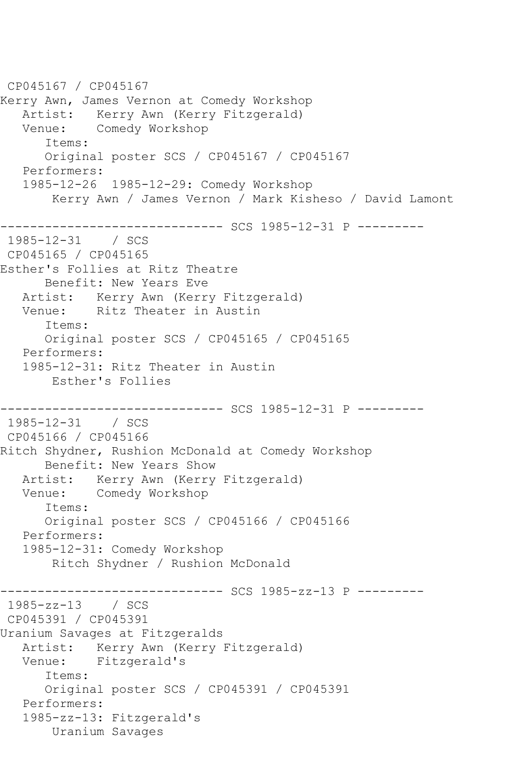```
CP045167 / CP045167
Kerry Awn, James Vernon at Comedy Workshop
  Artist: Kerry Awn (Kerry Fitzgerald)<br>Venue: Comedy Workshop
           Comedy Workshop
       Items:
       Original poster SCS / CP045167 / CP045167
   Performers:
   1985-12-26 1985-12-29: Comedy Workshop
        Kerry Awn / James Vernon / Mark Kisheso / David Lamont
------------------------------ SCS 1985-12-31 P ---------
1985-12-31 / SCS 
CP045165 / CP045165
Esther's Follies at Ritz Theatre
      Benefit: New Years Eve
   Artist: Kerry Awn (Kerry Fitzgerald)
   Venue: Ritz Theater in Austin
       Items:
       Original poster SCS / CP045165 / CP045165
   Performers:
   1985-12-31: Ritz Theater in Austin
        Esther's Follies
------------------------------ SCS 1985-12-31 P ---------
1985-12-31 / SCS 
CP045166 / CP045166
Ritch Shydner, Rushion McDonald at Comedy Workshop
      Benefit: New Years Show
   Artist: Kerry Awn (Kerry Fitzgerald)
   Venue: Comedy Workshop
       Items:
       Original poster SCS / CP045166 / CP045166
   Performers:
   1985-12-31: Comedy Workshop
        Ritch Shydner / Rushion McDonald
------------------------------ SCS 1985-zz-13 P ---------
1985-zz-13 / SCS 
CP045391 / CP045391
Uranium Savages at Fitzgeralds
   Artist: Kerry Awn (Kerry Fitzgerald)
   Venue: Fitzgerald's
       Items:
      Original poster SCS / CP045391 / CP045391
   Performers:
   1985-zz-13: Fitzgerald's
        Uranium Savages
```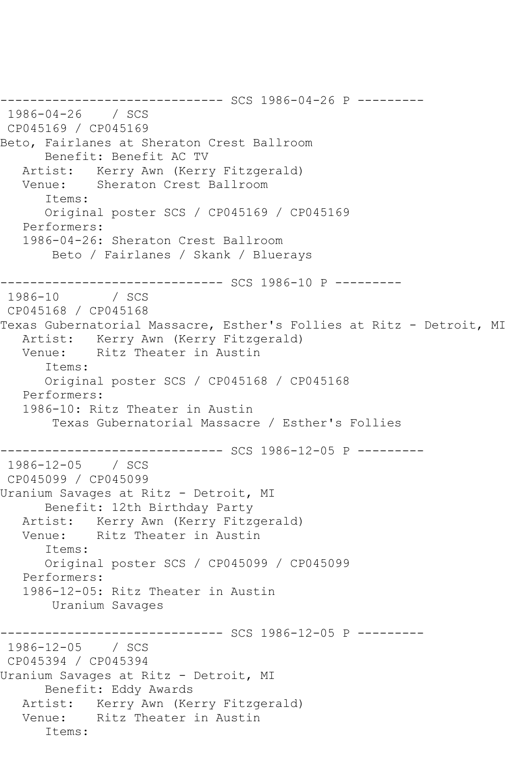------------------------------ SCS 1986-04-26 P --------- 1986-04-26 / SCS CP045169 / CP045169 Beto, Fairlanes at Sheraton Crest Ballroom Benefit: Benefit AC TV Artist: Kerry Awn (Kerry Fitzgerald) Venue: Sheraton Crest Ballroom Items: Original poster SCS / CP045169 / CP045169 Performers: 1986-04-26: Sheraton Crest Ballroom Beto / Fairlanes / Skank / Bluerays ------------------------------ SCS 1986-10 P --------- 1986-10 CP045168 / CP045168 Texas Gubernatorial Massacre, Esther's Follies at Ritz - Detroit, MI Artist: Kerry Awn (Kerry Fitzgerald)<br>Venue: Ritz Theater in Austin Ritz Theater in Austin Items: Original poster SCS / CP045168 / CP045168 Performers: 1986-10: Ritz Theater in Austin Texas Gubernatorial Massacre / Esther's Follies ------------------------------ SCS 1986-12-05 P --------- 1986-12-05 / SCS CP045099 / CP045099 Uranium Savages at Ritz - Detroit, MI Benefit: 12th Birthday Party Artist: Kerry Awn (Kerry Fitzgerald) Venue: Ritz Theater in Austin Items: Original poster SCS / CP045099 / CP045099 Performers: 1986-12-05: Ritz Theater in Austin Uranium Savages ------------------------------ SCS 1986-12-05 P --------- 1986-12-05 / SCS CP045394 / CP045394 Uranium Savages at Ritz - Detroit, MI Benefit: Eddy Awards Artist: Kerry Awn (Kerry Fitzgerald) Venue: Ritz Theater in Austin Items: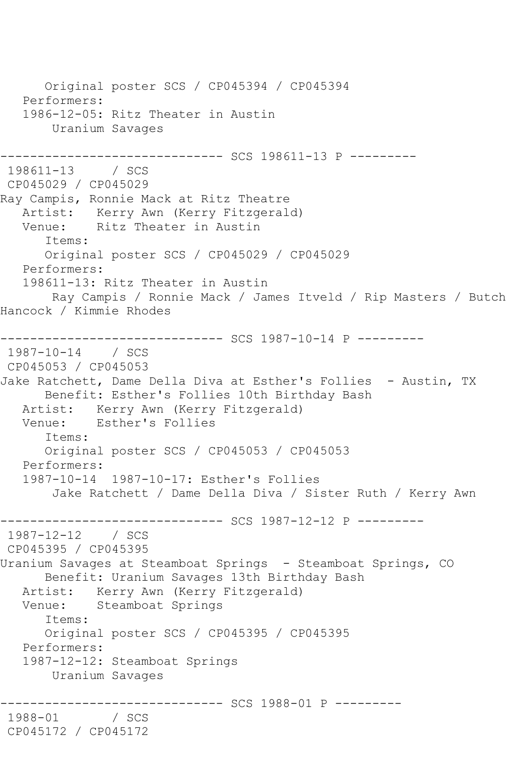Original poster SCS / CP045394 / CP045394 Performers: 1986-12-05: Ritz Theater in Austin Uranium Savages ------------------------------ SCS 198611-13 P --------- 198611-13 CP045029 / CP045029 Ray Campis, Ronnie Mack at Ritz Theatre Artist: Kerry Awn (Kerry Fitzgerald) Venue: Ritz Theater in Austin Items: Original poster SCS / CP045029 / CP045029 Performers: 198611-13: Ritz Theater in Austin Ray Campis / Ronnie Mack / James Itveld / Rip Masters / Butch Hancock / Kimmie Rhodes ------------------------------ SCS 1987-10-14 P --------- 1987-10-14 / SCS CP045053 / CP045053 Jake Ratchett, Dame Della Diva at Esther's Follies - Austin, TX Benefit: Esther's Follies 10th Birthday Bash Artist: Kerry Awn (Kerry Fitzgerald) Venue: Esther's Follies Items: Original poster SCS / CP045053 / CP045053 Performers: 1987-10-14 1987-10-17: Esther's Follies Jake Ratchett / Dame Della Diva / Sister Ruth / Kerry Awn ------------------------------ SCS 1987-12-12 P --------- 1987-12-12 / SCS CP045395 / CP045395 Uranium Savages at Steamboat Springs - Steamboat Springs, CO Benefit: Uranium Savages 13th Birthday Bash Artist: Kerry Awn (Kerry Fitzgerald) Venue: Steamboat Springs Items: Original poster SCS / CP045395 / CP045395 Performers: 1987-12-12: Steamboat Springs Uranium Savages ------------------------------ SCS 1988-01 P --------- 1988-01 CP045172 / CP045172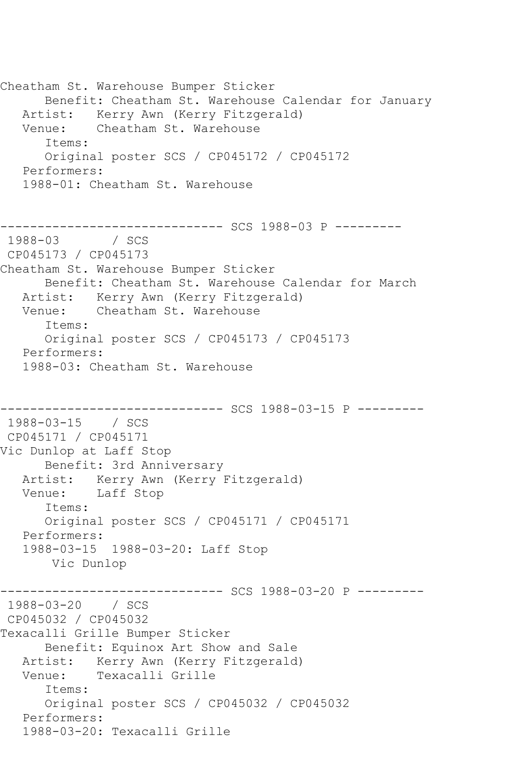Cheatham St. Warehouse Bumper Sticker Benefit: Cheatham St. Warehouse Calendar for January Artist: Kerry Awn (Kerry Fitzgerald) Venue: Cheatham St. Warehouse Items: Original poster SCS / CP045172 / CP045172 Performers: 1988-01: Cheatham St. Warehouse ------------------------------ SCS 1988-03 P --------- 1988-03 / SCS CP045173 / CP045173 Cheatham St. Warehouse Bumper Sticker Benefit: Cheatham St. Warehouse Calendar for March Artist: Kerry Awn (Kerry Fitzgerald) Venue: Cheatham St. Warehouse Items: Original poster SCS / CP045173 / CP045173 Performers: 1988-03: Cheatham St. Warehouse ------------------------------ SCS 1988-03-15 P --------- 1988-03-15 / SCS CP045171 / CP045171 Vic Dunlop at Laff Stop Benefit: 3rd Anniversary Artist: Kerry Awn (Kerry Fitzgerald) Venue: Laff Stop Items: Original poster SCS / CP045171 / CP045171 Performers: 1988-03-15 1988-03-20: Laff Stop Vic Dunlop ------------------------------ SCS 1988-03-20 P --------- 1988-03-20 / SCS CP045032 / CP045032 Texacalli Grille Bumper Sticker Benefit: Equinox Art Show and Sale Artist: Kerry Awn (Kerry Fitzgerald) Venue: Texacalli Grille Items: Original poster SCS / CP045032 / CP045032 Performers: 1988-03-20: Texacalli Grille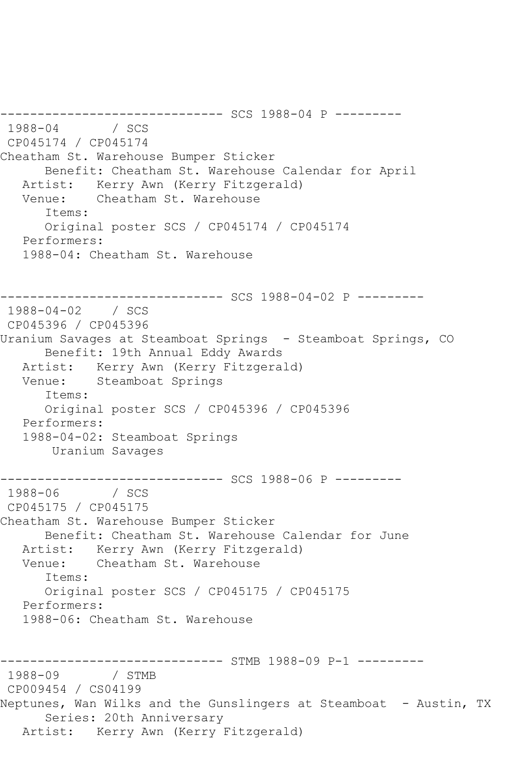---------------------------------- SCS 1988-04 P ----------<br>1988-04 / SCS 1988-04 / SCS CP045174 / CP045174 Cheatham St. Warehouse Bumper Sticker Benefit: Cheatham St. Warehouse Calendar for April Artist: Kerry Awn (Kerry Fitzgerald) Venue: Cheatham St. Warehouse Items: Original poster SCS / CP045174 / CP045174 Performers: 1988-04: Cheatham St. Warehouse ----------- SCS 1988-04-02 P ----------1988-04-02 / SCS CP045396 / CP045396 Uranium Savages at Steamboat Springs - Steamboat Springs, CO Benefit: 19th Annual Eddy Awards Artist: Kerry Awn (Kerry Fitzgerald) Venue: Steamboat Springs Items: Original poster SCS / CP045396 / CP045396 Performers: 1988-04-02: Steamboat Springs Uranium Savages ------------------------------ SCS 1988-06 P --------- 1988-06 / SCS CP045175 / CP045175 Cheatham St. Warehouse Bumper Sticker Benefit: Cheatham St. Warehouse Calendar for June Artist: Kerry Awn (Kerry Fitzgerald) Venue: Cheatham St. Warehouse Items: Original poster SCS / CP045175 / CP045175 Performers: 1988-06: Cheatham St. Warehouse ---------------------- STMB 1988-09 P-1 ---------1988-09 / STMB CP009454 / CS04199 Neptunes, Wan Wilks and the Gunslingers at Steamboat - Austin, TX Series: 20th Anniversary Artist: Kerry Awn (Kerry Fitzgerald)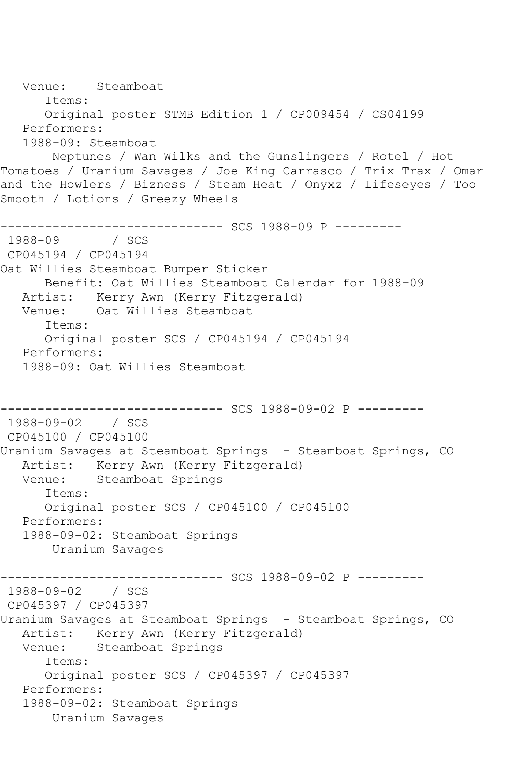Venue: Steamboat Items: Original poster STMB Edition 1 / CP009454 / CS04199 Performers: 1988-09: Steamboat Neptunes / Wan Wilks and the Gunslingers / Rotel / Hot Tomatoes / Uranium Savages / Joe King Carrasco / Trix Trax / Omar and the Howlers / Bizness / Steam Heat / Onyxz / Lifeseyes / Too Smooth / Lotions / Greezy Wheels ------------------------------ SCS 1988-09 P --------- 1988-09 / SCS CP045194 / CP045194 Oat Willies Steamboat Bumper Sticker Benefit: Oat Willies Steamboat Calendar for 1988-09 Artist: Kerry Awn (Kerry Fitzgerald) Venue: Oat Willies Steamboat Items: Original poster SCS / CP045194 / CP045194 Performers: 1988-09: Oat Willies Steamboat ------------------------------ SCS 1988-09-02 P --------- 1988-09-02 / SCS CP045100 / CP045100 Uranium Savages at Steamboat Springs - Steamboat Springs, CO Artist: Kerry Awn (Kerry Fitzgerald) Venue: Steamboat Springs Items: Original poster SCS / CP045100 / CP045100 Performers: 1988-09-02: Steamboat Springs Uranium Savages ------------------------------ SCS 1988-09-02 P --------- 1988-09-02 / SCS CP045397 / CP045397 Uranium Savages at Steamboat Springs - Steamboat Springs, CO Artist: Kerry Awn (Kerry Fitzgerald) Venue: Steamboat Springs Items: Original poster SCS / CP045397 / CP045397 Performers: 1988-09-02: Steamboat Springs Uranium Savages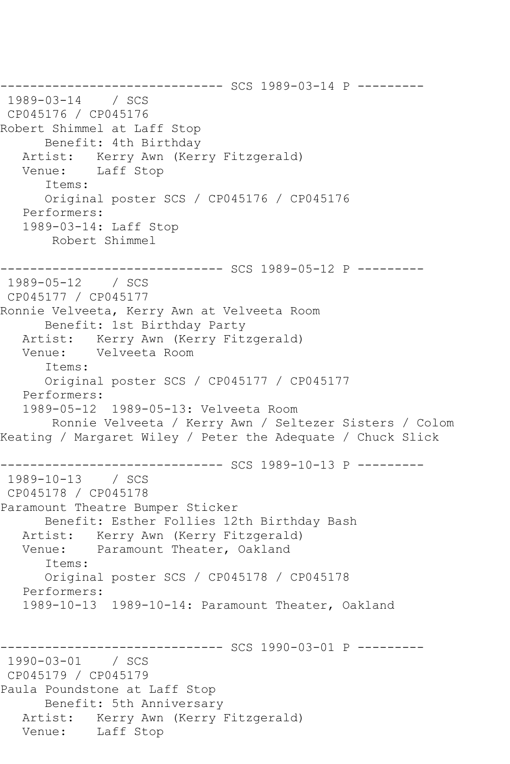------------------------------ SCS 1989-03-14 P --------- 1989-03-14 / SCS CP045176 / CP045176 Robert Shimmel at Laff Stop Benefit: 4th Birthday<br>Artist: Kerry Awn (Ker) Kerry Awn (Kerry Fitzgerald) Venue: Laff Stop Items: Original poster SCS / CP045176 / CP045176 Performers: 1989-03-14: Laff Stop Robert Shimmel ------------------------------ SCS 1989-05-12 P --------- 1989-05-12 / SCS CP045177 / CP045177 Ronnie Velveeta, Kerry Awn at Velveeta Room Benefit: 1st Birthday Party Artist: Kerry Awn (Kerry Fitzgerald) Venue: Velveeta Room Items: Original poster SCS / CP045177 / CP045177 Performers: 1989-05-12 1989-05-13: Velveeta Room Ronnie Velveeta / Kerry Awn / Seltezer Sisters / Colom Keating / Margaret Wiley / Peter the Adequate / Chuck Slick ------------ SCS 1989-10-13 P ----------1989-10-13 / SCS CP045178 / CP045178 Paramount Theatre Bumper Sticker Benefit: Esther Follies 12th Birthday Bash Artist: Kerry Awn (Kerry Fitzgerald)<br>Venue: Paramount Theater, Oakland Paramount Theater, Oakland Items: Original poster SCS / CP045178 / CP045178 Performers: 1989-10-13 1989-10-14: Paramount Theater, Oakland ----------- SCS 1990-03-01 P ---------1990-03-01 / SCS CP045179 / CP045179 Paula Poundstone at Laff Stop Benefit: 5th Anniversary Artist: Kerry Awn (Kerry Fitzgerald) Venue: Laff Stop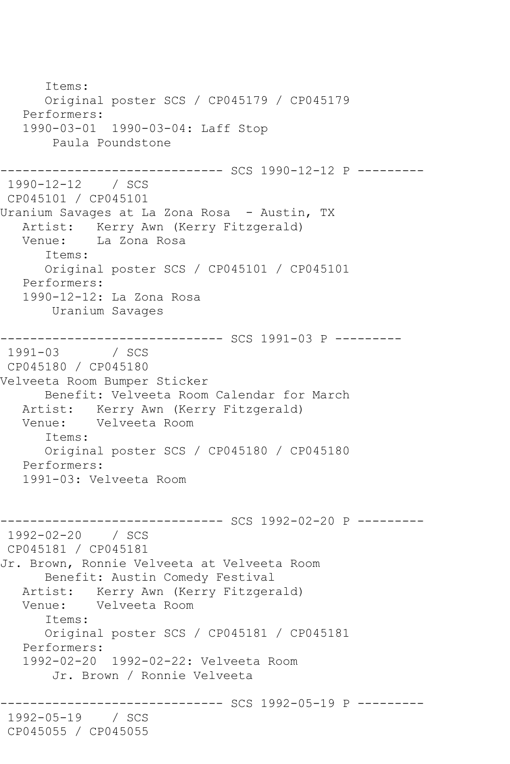Items: Original poster SCS / CP045179 / CP045179 Performers: 1990-03-01 1990-03-04: Laff Stop Paula Poundstone ------------------------------ SCS 1990-12-12 P --------- 1990-12-12 / SCS CP045101 / CP045101 Uranium Savages at La Zona Rosa - Austin, TX Artist: Kerry Awn (Kerry Fitzgerald) Venue: La Zona Rosa Items: Original poster SCS / CP045101 / CP045101 Performers: 1990-12-12: La Zona Rosa Uranium Savages ------------------------------ SCS 1991-03 P --------- 1991-03 CP045180 / CP045180 Velveeta Room Bumper Sticker Benefit: Velveeta Room Calendar for March Artist: Kerry Awn (Kerry Fitzgerald) Venue: Velveeta Room Items: Original poster SCS / CP045180 / CP045180 Performers: 1991-03: Velveeta Room ----------- SCS 1992-02-20 P ---------1992-02-20 / SCS CP045181 / CP045181 Jr. Brown, Ronnie Velveeta at Velveeta Room Benefit: Austin Comedy Festival Artist: Kerry Awn (Kerry Fitzgerald) Venue: Velveeta Room Items: Original poster SCS / CP045181 / CP045181 Performers: 1992-02-20 1992-02-22: Velveeta Room Jr. Brown / Ronnie Velveeta ----------- SCS 1992-05-19 P ---------1992-05-19 / SCS CP045055 / CP045055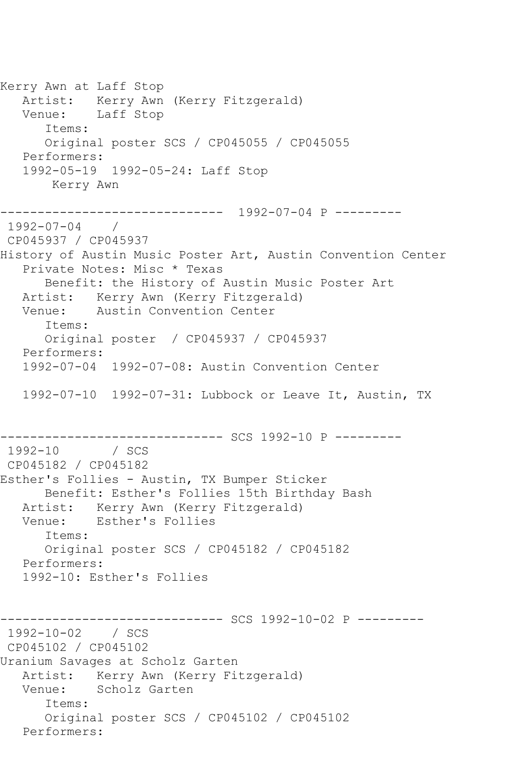Kerry Awn at Laff Stop Artist: Kerry Awn (Kerry Fitzgerald) Venue: Laff Stop Items: Original poster SCS / CP045055 / CP045055 Performers: 1992-05-19 1992-05-24: Laff Stop Kerry Awn ------------------------------ 1992-07-04 P --------- 1992-07-04 / CP045937 / CP045937 History of Austin Music Poster Art, Austin Convention Center Private Notes: Misc \* Texas Benefit: the History of Austin Music Poster Art Artist: Kerry Awn (Kerry Fitzgerald) Venue: Austin Convention Center Items: Original poster / CP045937 / CP045937 Performers: 1992-07-04 1992-07-08: Austin Convention Center 1992-07-10 1992-07-31: Lubbock or Leave It, Austin, TX -------------------------------- SCS 1992-10 P ---------<br>1992-10 / SCS / SCS CP045182 / CP045182 Esther's Follies - Austin, TX Bumper Sticker Benefit: Esther's Follies 15th Birthday Bash Artist: Kerry Awn (Kerry Fitzgerald) Venue: Esther's Follies Items: Original poster SCS / CP045182 / CP045182 Performers: 1992-10: Esther's Follies ------------------------------ SCS 1992-10-02 P --------- 1992-10-02 / SCS CP045102 / CP045102 Uranium Savages at Scholz Garten Artist: Kerry Awn (Kerry Fitzgerald)<br>Venue: Scholz Garten Scholz Garten Items: Original poster SCS / CP045102 / CP045102 Performers: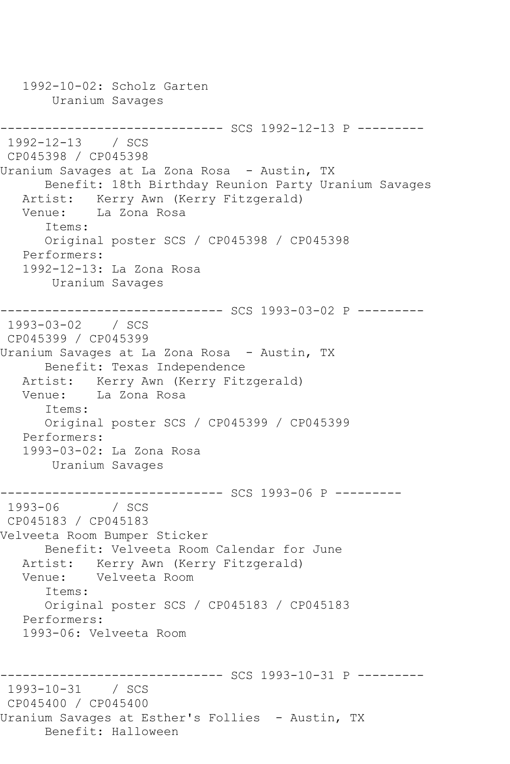1992-10-02: Scholz Garten Uranium Savages ------------------------------ SCS 1992-12-13 P --------- 1992-12-13 / SCS CP045398 / CP045398 Uranium Savages at La Zona Rosa - Austin, TX Benefit: 18th Birthday Reunion Party Uranium Savages Artist: Kerry Awn (Kerry Fitzgerald) Venue: La Zona Rosa Items: Original poster SCS / CP045398 / CP045398 Performers: 1992-12-13: La Zona Rosa Uranium Savages ------------------------------ SCS 1993-03-02 P --------- 1993-03-02 / SCS CP045399 / CP045399 Uranium Savages at La Zona Rosa - Austin, TX Benefit: Texas Independence Artist: Kerry Awn (Kerry Fitzgerald) Venue: La Zona Rosa Items: Original poster SCS / CP045399 / CP045399 Performers: 1993-03-02: La Zona Rosa Uranium Savages ------------------------------ SCS 1993-06 P --------- 1993-06 / SCS CP045183 / CP045183 Velveeta Room Bumper Sticker Benefit: Velveeta Room Calendar for June Artist: Kerry Awn (Kerry Fitzgerald) Venue: Velveeta Room Items: Original poster SCS / CP045183 / CP045183 Performers: 1993-06: Velveeta Room ------------------------------ SCS 1993-10-31 P --------- 1993-10-31 / SCS CP045400 / CP045400 Uranium Savages at Esther's Follies - Austin, TX Benefit: Halloween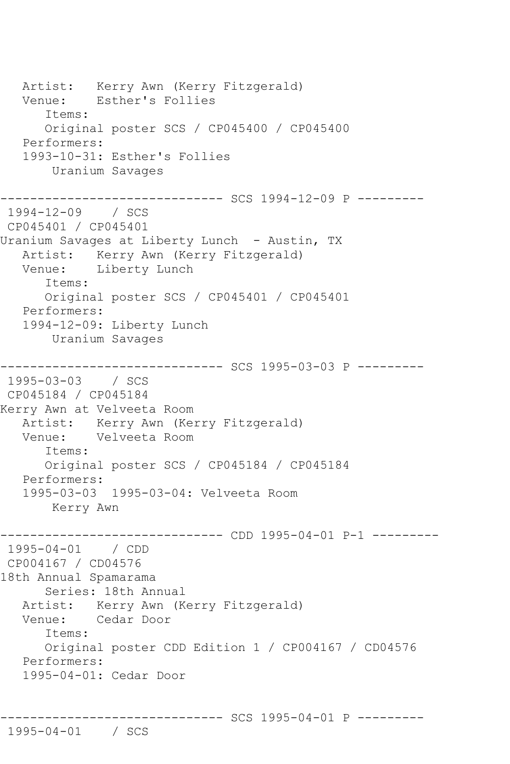Artist: Kerry Awn (Kerry Fitzgerald) Venue: Esther's Follies Items: Original poster SCS / CP045400 / CP045400 Performers: 1993-10-31: Esther's Follies Uranium Savages ------------ SCS 1994-12-09 P ----------1994-12-09 / SCS CP045401 / CP045401 Uranium Savages at Liberty Lunch - Austin, TX Artist: Kerry Awn (Kerry Fitzgerald) Venue: Liberty Lunch Items: Original poster SCS / CP045401 / CP045401 Performers: 1994-12-09: Liberty Lunch Uranium Savages ------------------------------ SCS 1995-03-03 P --------- 1995-03-03 / SCS CP045184 / CP045184 Kerry Awn at Velveeta Room Artist: Kerry Awn (Kerry Fitzgerald)<br>Venue: Velveeta Room Velveeta Room Items: Original poster SCS / CP045184 / CP045184 Performers: 1995-03-03 1995-03-04: Velveeta Room Kerry Awn ------------------------------ CDD 1995-04-01 P-1 --------- 1995-04-01 / CDD CP004167 / CD04576 18th Annual Spamarama Series: 18th Annual Artist: Kerry Awn (Kerry Fitzgerald) Venue: Cedar Door Items: Original poster CDD Edition 1 / CP004167 / CD04576 Performers: 1995-04-01: Cedar Door

------------------------------ SCS 1995-04-01 P --------- 1995-04-01 / SCS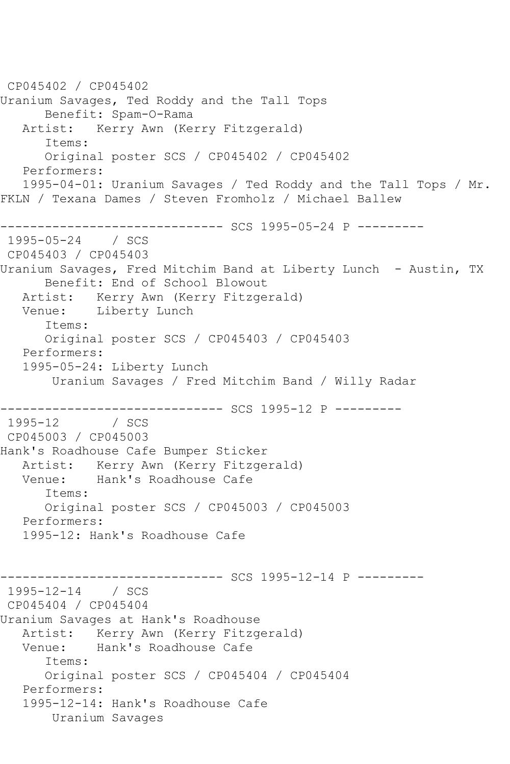CP045402 / CP045402 Uranium Savages, Ted Roddy and the Tall Tops Benefit: Spam-O-Rama Artist: Kerry Awn (Kerry Fitzgerald) Items: Original poster SCS / CP045402 / CP045402 Performers: 1995-04-01: Uranium Savages / Ted Roddy and the Tall Tops / Mr. FKLN / Texana Dames / Steven Fromholz / Michael Ballew ------------------------------ SCS 1995-05-24 P --------- 1995-05-24 / SCS CP045403 / CP045403 Uranium Savages, Fred Mitchim Band at Liberty Lunch - Austin, TX Benefit: End of School Blowout Artist: Kerry Awn (Kerry Fitzgerald) Venue: Liberty Lunch Items: Original poster SCS / CP045403 / CP045403 Performers: 1995-05-24: Liberty Lunch Uranium Savages / Fred Mitchim Band / Willy Radar ------------------------------ SCS 1995-12 P --------- 1995-12 / SCS CP045003 / CP045003 Hank's Roadhouse Cafe Bumper Sticker Artist: Kerry Awn (Kerry Fitzgerald) Venue: Hank's Roadhouse Cafe Items: Original poster SCS / CP045003 / CP045003 Performers: 1995-12: Hank's Roadhouse Cafe ------------------------------ SCS 1995-12-14 P --------- 1995-12-14 / SCS CP045404 / CP045404 Uranium Savages at Hank's Roadhouse Artist: Kerry Awn (Kerry Fitzgerald) Venue: Hank's Roadhouse Cafe Items: Original poster SCS / CP045404 / CP045404 Performers: 1995-12-14: Hank's Roadhouse Cafe Uranium Savages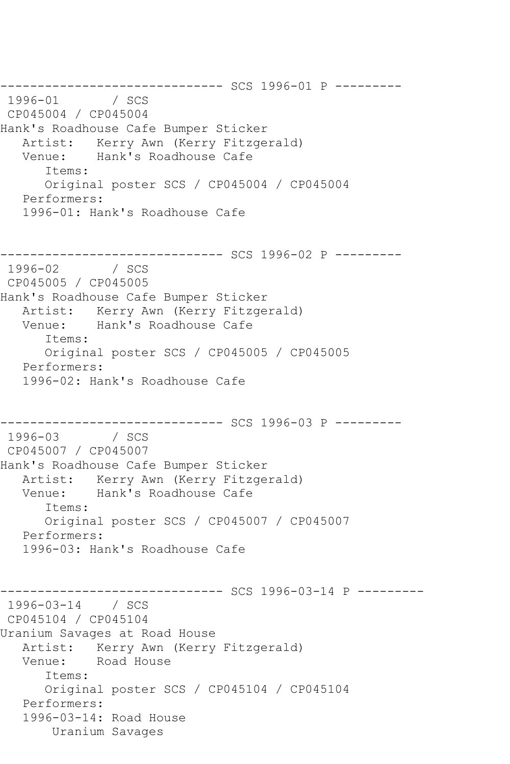--------------------------------- SCS 1996-01 P ---------<br>1996-01 / SCS  $1996 - 01$ CP045004 / CP045004 Hank's Roadhouse Cafe Bumper Sticker Artist: Kerry Awn (Kerry Fitzgerald) Venue: Hank's Roadhouse Cafe Items: Original poster SCS / CP045004 / CP045004 Performers: 1996-01: Hank's Roadhouse Cafe ------------------------------ SCS 1996-02 P --------- 1996-02 / SCS CP045005 / CP045005 Hank's Roadhouse Cafe Bumper Sticker Artist: Kerry Awn (Kerry Fitzgerald)<br>Venue: Hank's Roadhouse Cafe Hank's Roadhouse Cafe Items: Original poster SCS / CP045005 / CP045005 Performers: 1996-02: Hank's Roadhouse Cafe ------------------------------ SCS 1996-03 P --------- 1996-03 / SCS CP045007 / CP045007 Hank's Roadhouse Cafe Bumper Sticker Artist: Kerry Awn (Kerry Fitzgerald) Venue: Hank's Roadhouse Cafe Items: Original poster SCS / CP045007 / CP045007 Performers: 1996-03: Hank's Roadhouse Cafe ------------------------------ SCS 1996-03-14 P --------- 1996-03-14 / SCS CP045104 / CP045104 Uranium Savages at Road House Artist: Kerry Awn (Kerry Fitzgerald) Venue: Road House Items: Original poster SCS / CP045104 / CP045104 Performers: 1996-03-14: Road House Uranium Savages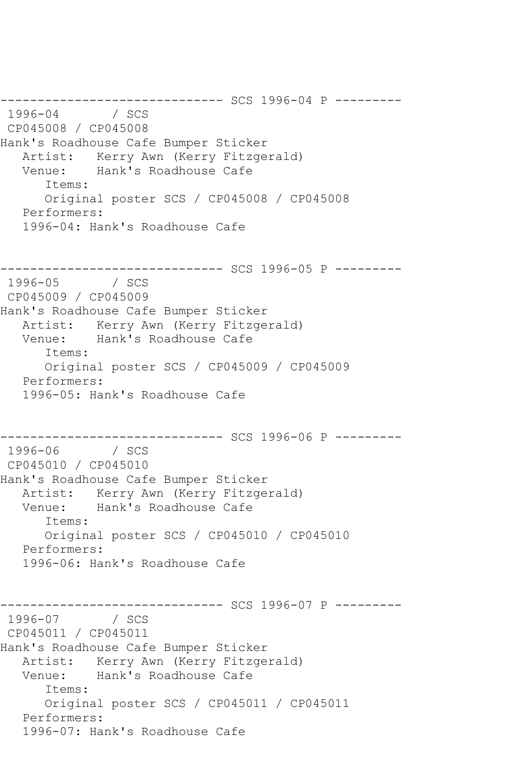---------------------------------- SCS 1996-04 P ---------<br>1996-04 / SCS 1996 / SCS CP045008 / CP045008 Hank's Roadhouse Cafe Bumper Sticker Artist: Kerry Awn (Kerry Fitzgerald)<br>Venue: Hank's Roadhouse Cafe Hank's Roadhouse Cafe Items: Original poster SCS / CP045008 / CP045008 Performers: 1996-04: Hank's Roadhouse Cafe --------------------------------- SCS 1996-05 P ---------<br>1996-05 / SCS  $1996 - 05$ CP045009 / CP045009 Hank's Roadhouse Cafe Bumper Sticker Artist: Kerry Awn (Kerry Fitzgerald) Venue: Hank's Roadhouse Cafe Items: Original poster SCS / CP045009 / CP045009 Performers: 1996-05: Hank's Roadhouse Cafe --------------------------------- SCS 1996-06 P ---------<br>1996-06 / SCS 1996-06 CP045010 / CP045010 Hank's Roadhouse Cafe Bumper Sticker Artist: Kerry Awn (Kerry Fitzgerald)<br>Venue: Hank's Roadhouse Cafe Hank's Roadhouse Cafe Items: Original poster SCS / CP045010 / CP045010 Performers: 1996-06: Hank's Roadhouse Cafe ------------------------------ SCS 1996-07 P --------- 1996-07 / SCS CP045011 / CP045011 Hank's Roadhouse Cafe Bumper Sticker Artist: Kerry Awn (Kerry Fitzgerald) Venue: Hank's Roadhouse Cafe Items: Original poster SCS / CP045011 / CP045011 Performers: 1996-07: Hank's Roadhouse Cafe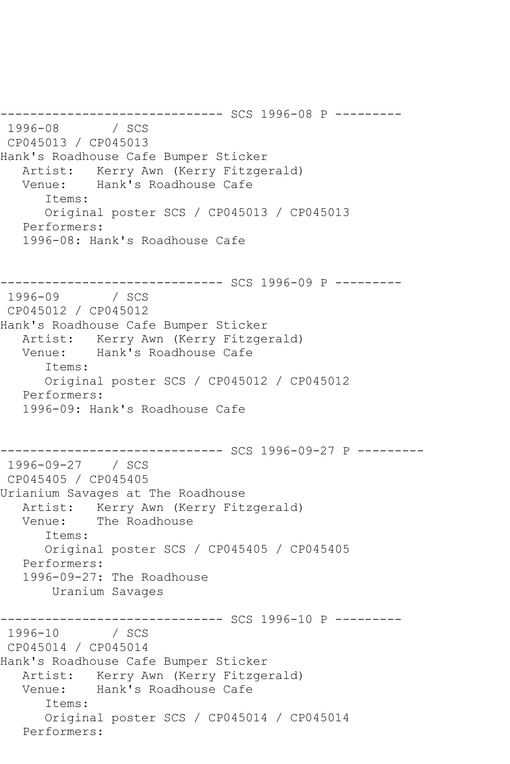----------------- SCS 1996-08 P ----------<br>/ SCS 1996-08 CP045013 / CP045013 Hank's Roadhouse Cafe Bumper Sticker Artist: Kerry Awn (Kerry Fitzgerald)<br>Venue: Hank's Roadhouse Cafe Hank's Roadhouse Cafe Items: Original poster SCS / CP045013 / CP045013 Performers: 1996-08: Hank's Roadhouse Cafe ------------------------------ SCS 1996-09 P --------- 1996-09 / SCS CP045012 / CP045012 Hank's Roadhouse Cafe Bumper Sticker Artist: Kerry Awn (Kerry Fitzgerald)<br>Venue: Hank's Roadhouse Cafe Hank's Roadhouse Cafe Items: Original poster SCS / CP045012 / CP045012 Performers: 1996-09: Hank's Roadhouse Cafe ------------------------------ SCS 1996-09-27 P --------- 1996-09-27 / SCS CP045405 / CP045405 Urianium Savages at The Roadhouse Artist: Kerry Awn (Kerry Fitzgerald)<br>Venue: The Roadhouse The Roadhouse Items: Original poster SCS / CP045405 / CP045405 Performers: 1996-09-27: The Roadhouse Uranium Savages ------------------------------ SCS 1996-10 P ---------  $1996 - 10$ CP045014 / CP045014 Hank's Roadhouse Cafe Bumper Sticker Artist: Kerry Awn (Kerry Fitzgerald)<br>Venue: Hank's Roadhouse Cafe Hank's Roadhouse Cafe Items: Original poster SCS / CP045014 / CP045014 Performers: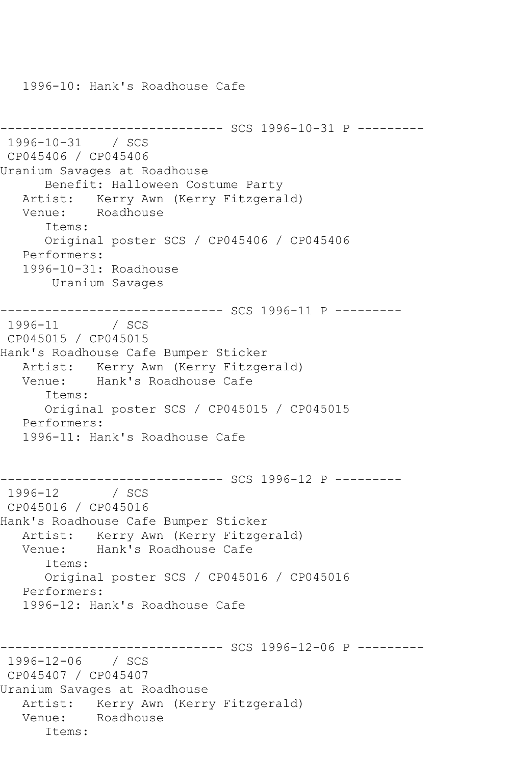1996-10: Hank's Roadhouse Cafe

------------------------------ SCS 1996-10-31 P --------- 1996-10-31 / SCS CP045406 / CP045406 Uranium Savages at Roadhouse Benefit: Halloween Costume Party Artist: Kerry Awn (Kerry Fitzgerald) Venue: Roadhouse Items: Original poster SCS / CP045406 / CP045406 Performers: 1996-10-31: Roadhouse Uranium Savages ------------------------------ SCS 1996-11 P --------- 1996-11 / SCS CP045015 / CP045015 Hank's Roadhouse Cafe Bumper Sticker Artist: Kerry Awn (Kerry Fitzgerald) Venue: Hank's Roadhouse Cafe Items: Original poster SCS / CP045015 / CP045015 Performers: 1996-11: Hank's Roadhouse Cafe ------------------------------ SCS 1996-12 P --------- 1996-12 / SCS CP045016 / CP045016 Hank's Roadhouse Cafe Bumper Sticker Artist: Kerry Awn (Kerry Fitzgerald)<br>Venue: Hank's Roadhouse Cafe Hank's Roadhouse Cafe Items: Original poster SCS / CP045016 / CP045016 Performers: 1996-12: Hank's Roadhouse Cafe ----------- SCS 1996-12-06 P ---------1996-12-06 / SCS CP045407 / CP045407 Uranium Savages at Roadhouse Artist: Kerry Awn (Kerry Fitzgerald) Venue: Roadhouse Items: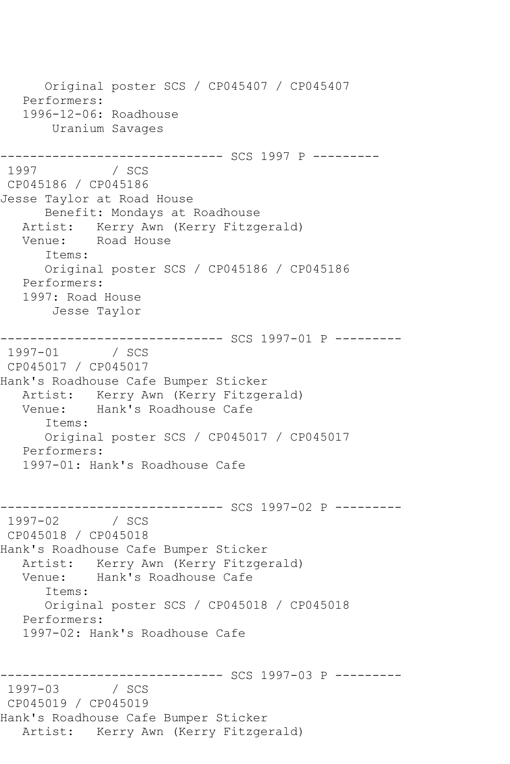Original poster SCS / CP045407 / CP045407 Performers: 1996-12-06: Roadhouse Uranium Savages ------------------------------ SCS 1997 P --------- / SCS CP045186 / CP045186 Jesse Taylor at Road House Benefit: Mondays at Roadhouse Artist: Kerry Awn (Kerry Fitzgerald) Venue: Road House Items: Original poster SCS / CP045186 / CP045186 Performers: 1997: Road House Jesse Taylor \_\_\_\_\_\_\_\_\_\_\_\_\_\_\_\_ ------------------------------ SCS 1997-01 P --------- 1997-01 / SCS CP045017 / CP045017 Hank's Roadhouse Cafe Bumper Sticker Artist: Kerry Awn (Kerry Fitzgerald)<br>Venue: Hank's Roadhouse Cafe Hank's Roadhouse Cafe Items: Original poster SCS / CP045017 / CP045017 Performers: 1997-01: Hank's Roadhouse Cafe ------------------------------ SCS 1997-02 P ---------  $/$  SCS CP045018 / CP045018 Hank's Roadhouse Cafe Bumper Sticker Artist: Kerry Awn (Kerry Fitzgerald) Venue: Hank's Roadhouse Cafe Items: Original poster SCS / CP045018 / CP045018 Performers: 1997-02: Hank's Roadhouse Cafe ------------------------------ SCS 1997-03 P ---------  $1997 - 03$ CP045019 / CP045019 Hank's Roadhouse Cafe Bumper Sticker Artist: Kerry Awn (Kerry Fitzgerald)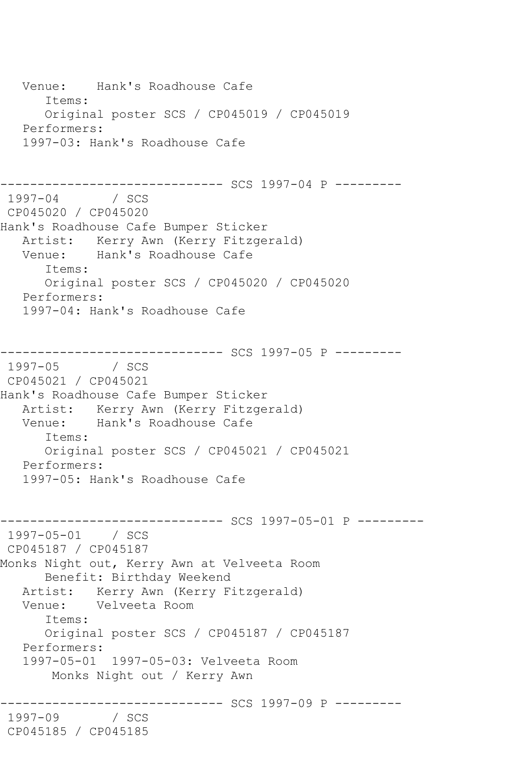Venue: Hank's Roadhouse Cafe Items: Original poster SCS / CP045019 / CP045019 Performers: 1997-03: Hank's Roadhouse Cafe ------------------------------ SCS 1997-04 P --------- 1997-04 / SCS CP045020 / CP045020 Hank's Roadhouse Cafe Bumper Sticker Artist: Kerry Awn (Kerry Fitzgerald)<br>Venue: Hank's Roadhouse Cafe Hank's Roadhouse Cafe Items: Original poster SCS / CP045020 / CP045020 Performers: 1997-04: Hank's Roadhouse Cafe ------------------------------ SCS 1997-05 P --------- 1997-05 / SCS CP045021 / CP045021 Hank's Roadhouse Cafe Bumper Sticker Artist: Kerry Awn (Kerry Fitzgerald) Venue: Hank's Roadhouse Cafe Items: Original poster SCS / CP045021 / CP045021 Performers: 1997-05: Hank's Roadhouse Cafe ------------------------------ SCS 1997-05-01 P --------- 1997-05-01 / SCS CP045187 / CP045187 Monks Night out, Kerry Awn at Velveeta Room Benefit: Birthday Weekend Artist: Kerry Awn (Kerry Fitzgerald) Venue: Velveeta Room Items: Original poster SCS / CP045187 / CP045187 Performers: 1997-05-01 1997-05-03: Velveeta Room Monks Night out / Kerry Awn ------------------------------ SCS 1997-09 P --------- 1997-09 CP045185 / CP045185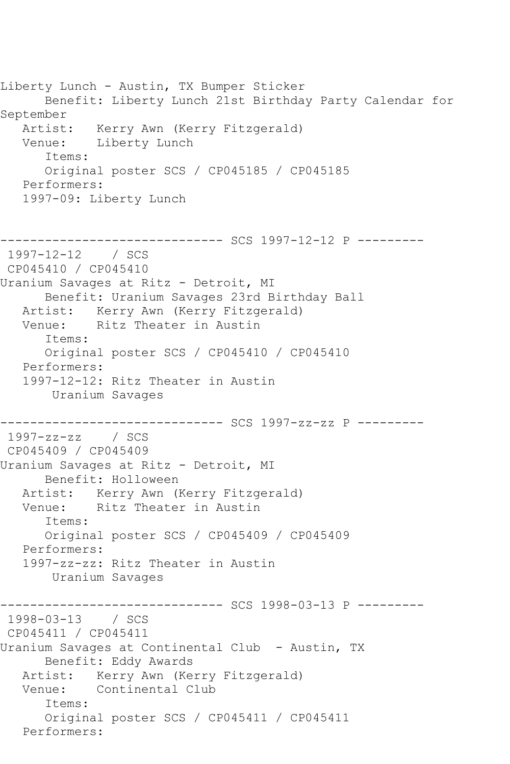Liberty Lunch - Austin, TX Bumper Sticker Benefit: Liberty Lunch 21st Birthday Party Calendar for September Artist: Kerry Awn (Kerry Fitzgerald)<br>Venue: Liberty Lunch Liberty Lunch Items: Original poster SCS / CP045185 / CP045185 Performers: 1997-09: Liberty Lunch ------------------------------ SCS 1997-12-12 P --------- 1997-12-12 / SCS CP045410 / CP045410 Uranium Savages at Ritz - Detroit, MI Benefit: Uranium Savages 23rd Birthday Ball Artist: Kerry Awn (Kerry Fitzgerald)<br>Venue: Ritz Theater in Austin Ritz Theater in Austin Items: Original poster SCS / CP045410 / CP045410 Performers: 1997-12-12: Ritz Theater in Austin Uranium Savages ------------------------------ SCS 1997-zz-zz P --------- 1997-zz-zz / SCS CP045409 / CP045409 Uranium Savages at Ritz - Detroit, MI Benefit: Holloween Artist: Kerry Awn (Kerry Fitzgerald) Venue: Ritz Theater in Austin Items: Original poster SCS / CP045409 / CP045409 Performers: 1997-zz-zz: Ritz Theater in Austin Uranium Savages ----------- SCS 1998-03-13 P ----------1998-03-13 / SCS CP045411 / CP045411 Uranium Savages at Continental Club - Austin, TX Benefit: Eddy Awards Artist: Kerry Awn (Kerry Fitzgerald) Venue: Continental Club Items: Original poster SCS / CP045411 / CP045411 Performers: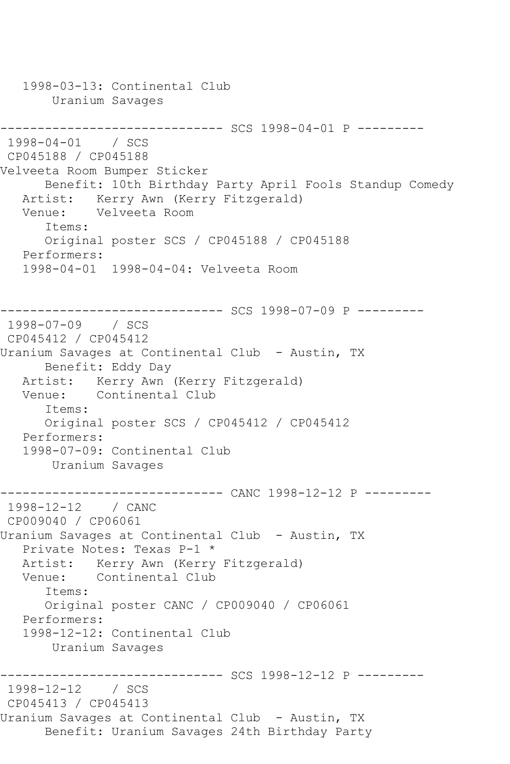1998-03-13: Continental Club Uranium Savages ------------------------------ SCS 1998-04-01 P --------- 1998-04-01 / SCS CP045188 / CP045188 Velveeta Room Bumper Sticker Benefit: 10th Birthday Party April Fools Standup Comedy Artist: Kerry Awn (Kerry Fitzgerald) Venue: Velveeta Room Items: Original poster SCS / CP045188 / CP045188 Performers: 1998-04-01 1998-04-04: Velveeta Room ------------------------------ SCS 1998-07-09 P --------- 1998-07-09 / SCS CP045412 / CP045412 Uranium Savages at Continental Club - Austin, TX Benefit: Eddy Day Artist: Kerry Awn (Kerry Fitzgerald) Venue: Continental Club Items: Original poster SCS / CP045412 / CP045412 Performers: 1998-07-09: Continental Club Uranium Savages ------------------------------ CANC 1998-12-12 P --------- 1998-12-12 / CANC CP009040 / CP06061 Uranium Savages at Continental Club - Austin, TX Private Notes: Texas P-1 \* Artist: Kerry Awn (Kerry Fitzgerald) Venue: Continental Club Items: Original poster CANC / CP009040 / CP06061 Performers: 1998-12-12: Continental Club Uranium Savages ------------------------------ SCS 1998-12-12 P --------- 1998-12-12 / SCS CP045413 / CP045413 Uranium Savages at Continental Club - Austin, TX Benefit: Uranium Savages 24th Birthday Party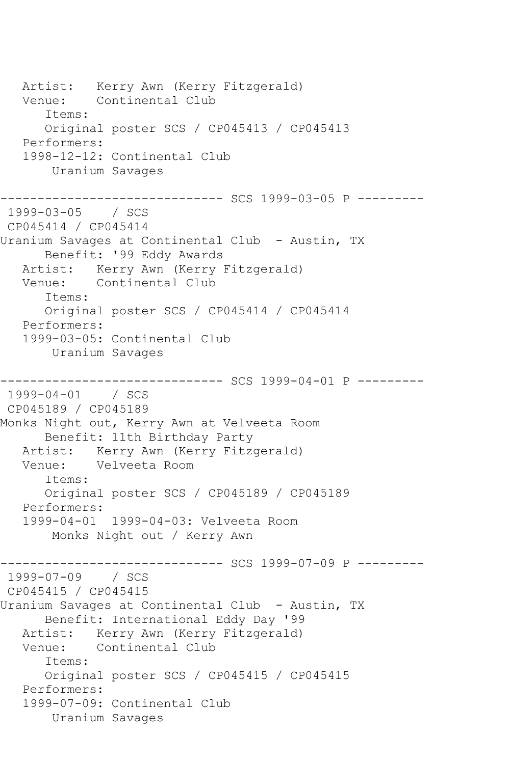Artist: Kerry Awn (Kerry Fitzgerald) Venue: Continental Club Items: Original poster SCS / CP045413 / CP045413 Performers: 1998-12-12: Continental Club Uranium Savages ------------------------------ SCS 1999-03-05 P --------- 1999-03-05 / SCS CP045414 / CP045414 Uranium Savages at Continental Club - Austin, TX Benefit: '99 Eddy Awards Artist: Kerry Awn (Kerry Fitzgerald) Venue: Continental Club Items: Original poster SCS / CP045414 / CP045414 Performers: 1999-03-05: Continental Club Uranium Savages ----------- SCS 1999-04-01 P ---------1999-04-01 / SCS CP045189 / CP045189 Monks Night out, Kerry Awn at Velveeta Room Benefit: 11th Birthday Party Artist: Kerry Awn (Kerry Fitzgerald) Venue: Velveeta Room Items: Original poster SCS / CP045189 / CP045189 Performers: 1999-04-01 1999-04-03: Velveeta Room Monks Night out / Kerry Awn -------------- SCS 1999-07-09 P ---------1999-07-09 / SCS CP045415 / CP045415 Uranium Savages at Continental Club - Austin, TX Benefit: International Eddy Day '99 Artist: Kerry Awn (Kerry Fitzgerald) Venue: Continental Club Items: Original poster SCS / CP045415 / CP045415 Performers: 1999-07-09: Continental Club Uranium Savages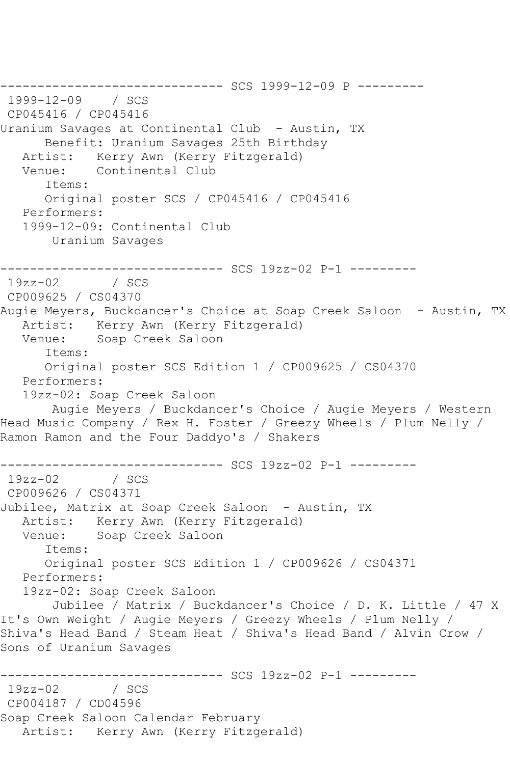------------------------------ SCS 1999-12-09 P --------- 1999-12-09 / SCS CP045416 / CP045416 Uranium Savages at Continental Club - Austin, TX Benefit: Uranium Savages 25th Birthday<br>Artist: Kerry Awn (Kerry Fitzgerald) Kerry Awn (Kerry Fitzgerald) Venue: Continental Club Items: Original poster SCS / CP045416 / CP045416 Performers: 1999-12-09: Continental Club Uranium Savages --------------------------------- SCS 19zz-02 P-1 ----------<br>19zz-02 / SCS  $19zz-02$ CP009625 / CS04370 Augie Meyers, Buckdancer's Choice at Soap Creek Saloon - Austin, TX Artist: Kerry Awn (Kerry Fitzgerald) Venue: Soap Creek Saloon Items: Original poster SCS Edition 1 / CP009625 / CS04370 Performers: 19zz-02: Soap Creek Saloon Augie Meyers / Buckdancer's Choice / Augie Meyers / Western Head Music Company / Rex H. Foster / Greezy Wheels / Plum Nelly / Ramon Ramon and the Four Daddyo's / Shakers ------------------------------ SCS 19zz-02 P-1 --------- 19zz-02 / SCS CP009626 / CS04371 Jubilee, Matrix at Soap Creek Saloon - Austin, TX Artist: Kerry Awn (Kerry Fitzgerald) Venue: Soap Creek Saloon Items: Original poster SCS Edition 1 / CP009626 / CS04371 Performers: 19zz-02: Soap Creek Saloon Jubilee / Matrix / Buckdancer's Choice / D. K. Little / 47 X It's Own Weight / Augie Meyers / Greezy Wheels / Plum Nelly / Shiva's Head Band / Steam Heat / Shiva's Head Band / Alvin Crow / Sons of Uranium Savages ------------------------------ SCS 19zz-02 P-1 ---------  $19zz-02$ CP004187 / CD04596 Soap Creek Saloon Calendar February Artist: Kerry Awn (Kerry Fitzgerald)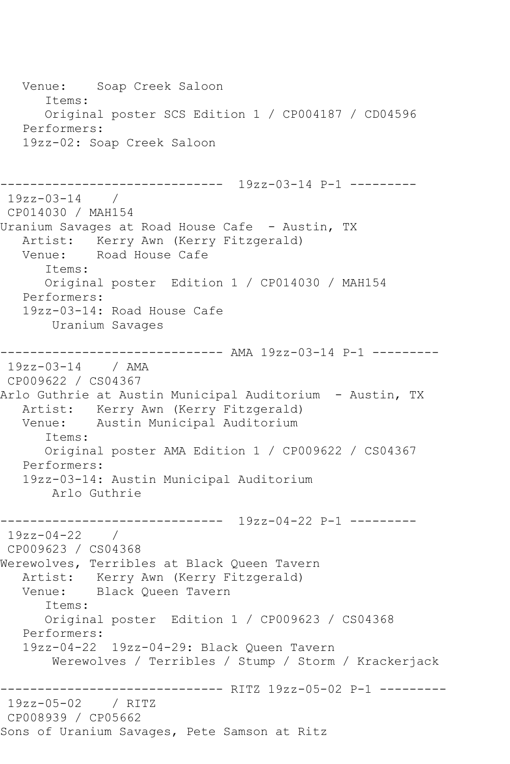Venue: Soap Creek Saloon Items: Original poster SCS Edition 1 / CP004187 / CD04596 Performers: 19zz-02: Soap Creek Saloon ------------------------------ 19zz-03-14 P-1 --------- 19zz-03-14 / CP014030 / MAH154 Uranium Savages at Road House Cafe - Austin, TX Artist: Kerry Awn (Kerry Fitzgerald)<br>Venue: Road House Cafe Road House Cafe Items: Original poster Edition 1 / CP014030 / MAH154 Performers: 19zz-03-14: Road House Cafe Uranium Savages ------------------------------ AMA 19zz-03-14 P-1 --------- 19zz-03-14 / AMA CP009622 / CS04367 Arlo Guthrie at Austin Municipal Auditorium - Austin, TX Artist: Kerry Awn (Kerry Fitzgerald) Venue: Austin Municipal Auditorium Items: Original poster AMA Edition 1 / CP009622 / CS04367 Performers: 19zz-03-14: Austin Municipal Auditorium Arlo Guthrie ------------------------------ 19zz-04-22 P-1 --------- 19zz-04-22 / CP009623 / CS04368 Werewolves, Terribles at Black Queen Tavern Artist: Kerry Awn (Kerry Fitzgerald)<br>Venue: Black Oueen Tavern Black Queen Tavern Items: Original poster Edition 1 / CP009623 / CS04368 Performers: 19zz-04-22 19zz-04-29: Black Queen Tavern Werewolves / Terribles / Stump / Storm / Krackerjack ------------------------------ RITZ 19zz-05-02 P-1 --------- 19zz-05-02 / RITZ CP008939 / CP05662 Sons of Uranium Savages, Pete Samson at Ritz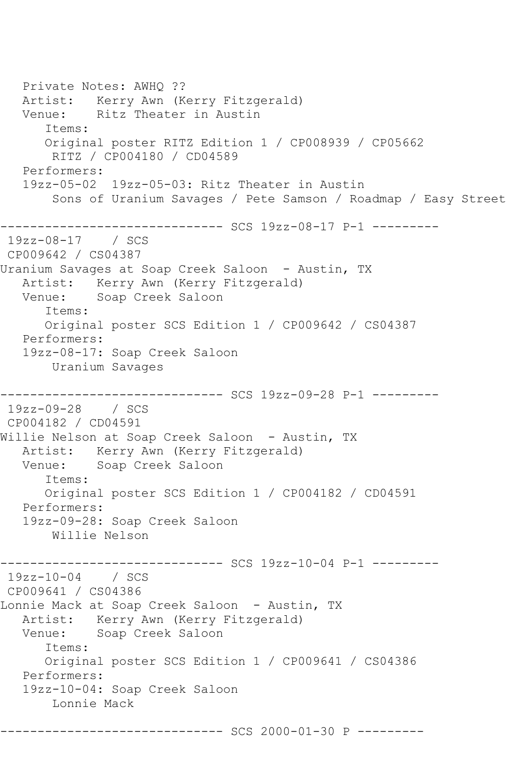Private Notes: AWHQ ?? Artist: Kerry Awn (Kerry Fitzgerald) Venue: Ritz Theater in Austin Items: Original poster RITZ Edition 1 / CP008939 / CP05662 RITZ / CP004180 / CD04589 Performers: 19zz-05-02 19zz-05-03: Ritz Theater in Austin Sons of Uranium Savages / Pete Samson / Roadmap / Easy Street ------------------------------ SCS 19zz-08-17 P-1 --------- 19zz-08-17 / SCS CP009642 / CS04387 Uranium Savages at Soap Creek Saloon - Austin, TX Artist: Kerry Awn (Kerry Fitzgerald) Venue: Soap Creek Saloon Items: Original poster SCS Edition 1 / CP009642 / CS04387 Performers: 19zz-08-17: Soap Creek Saloon Uranium Savages ------------------------------ SCS 19zz-09-28 P-1 --------- 19zz-09-28 / SCS CP004182 / CD04591 Willie Nelson at Soap Creek Saloon - Austin, TX Artist: Kerry Awn (Kerry Fitzgerald) Venue: Soap Creek Saloon Items: Original poster SCS Edition 1 / CP004182 / CD04591 Performers: 19zz-09-28: Soap Creek Saloon Willie Nelson ---------- SCS 19zz-10-04 P-1 ---------19zz-10-04 / SCS CP009641 / CS04386 Lonnie Mack at Soap Creek Saloon - Austin, TX Artist: Kerry Awn (Kerry Fitzgerald)<br>Venue: Soap Creek Saloon Soap Creek Saloon Items: Original poster SCS Edition 1 / CP009641 / CS04386 Performers: 19zz-10-04: Soap Creek Saloon Lonnie Mack ------------------------------ SCS 2000-01-30 P ---------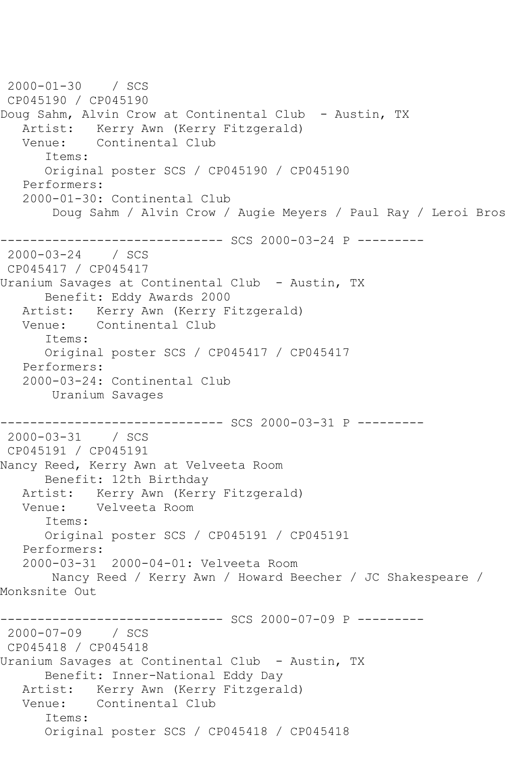```
2000-01-30 / SCS 
CP045190 / CP045190
Doug Sahm, Alvin Crow at Continental Club - Austin, TX
   Artist: Kerry Awn (Kerry Fitzgerald)
   Venue: Continental Club
       Items:
       Original poster SCS / CP045190 / CP045190
   Performers:
   2000-01-30: Continental Club
        Doug Sahm / Alvin Crow / Augie Meyers / Paul Ray / Leroi Bros
------------------------------ SCS 2000-03-24 P ---------
2000-03-24 / SCS 
CP045417 / CP045417
Uranium Savages at Continental Club - Austin, TX
       Benefit: Eddy Awards 2000
  Artist: Kerry Awn (Kerry Fitzgerald)<br>Venue: Continental Club
            Continental Club
       Items:
       Original poster SCS / CP045417 / CP045417
   Performers:
    2000-03-24: Continental Club
        Uranium Savages
                    ----------- SCS 2000-03-31 P ---------
2000-03-31 / SCS 
CP045191 / CP045191
Nancy Reed, Kerry Awn at Velveeta Room
      Benefit: 12th Birthday
  Artist: Kerry Awn (Kerry Fitzgerald)<br>Venue: Velveeta Room
            Velveeta Room
       Items:
       Original poster SCS / CP045191 / CP045191
   Performers:
    2000-03-31 2000-04-01: Velveeta Room
        Nancy Reed / Kerry Awn / Howard Beecher / JC Shakespeare / 
Monksnite Out
------------------------------ SCS 2000-07-09 P ---------
2000-07-09 / SCS 
CP045418 / CP045418
Uranium Savages at Continental Club - Austin, TX
       Benefit: Inner-National Eddy Day
   Artist: Kerry Awn (Kerry Fitzgerald)
   Venue: Continental Club
       Items:
       Original poster SCS / CP045418 / CP045418
```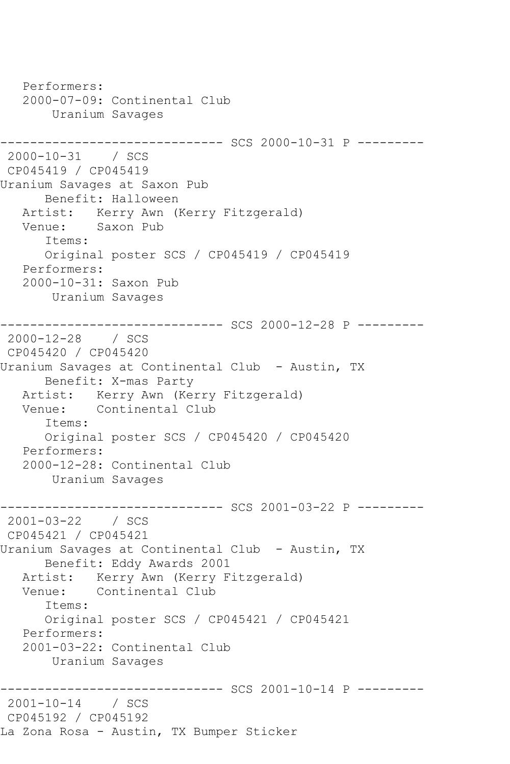```
 Performers:
    2000-07-09: Continental Club
        Uranium Savages
------------------------------ SCS 2000-10-31 P ---------
2000-10-31 / SCS 
CP045419 / CP045419
Uranium Savages at Saxon Pub
       Benefit: Halloween
  Artist: Kerry Awn (Kerry Fitzgerald)<br>Venue: Saxon Pub
            Saxon Pub
       Items:
       Original poster SCS / CP045419 / CP045419
   Performers:
    2000-10-31: Saxon Pub
        Uranium Savages
------------------------------ SCS 2000-12-28 P ---------
2000-12-28 / SCS 
CP045420 / CP045420
Uranium Savages at Continental Club - Austin, TX
       Benefit: X-mas Party
  Artist: Kerry Awn (Kerry Fitzgerald)<br>Venue: Continental Club
            Continental Club
       Items:
       Original poster SCS / CP045420 / CP045420
   Performers:
    2000-12-28: Continental Club
        Uranium Savages
                     ----------- SCS 2001-03-22 P ---------
2001-03-22 / SCS 
CP045421 / CP045421
Uranium Savages at Continental Club - Austin, TX
       Benefit: Eddy Awards 2001
  Artist: Kerry Awn (Kerry Fitzgerald)<br>Venue: Continental Club
            Continental Club
       Items:
       Original poster SCS / CP045421 / CP045421
    Performers:
    2001-03-22: Continental Club
        Uranium Savages
          ------------------------------ SCS 2001-10-14 P ---------
2001-10-14 / SCS 
CP045192 / CP045192
La Zona Rosa - Austin, TX Bumper Sticker
```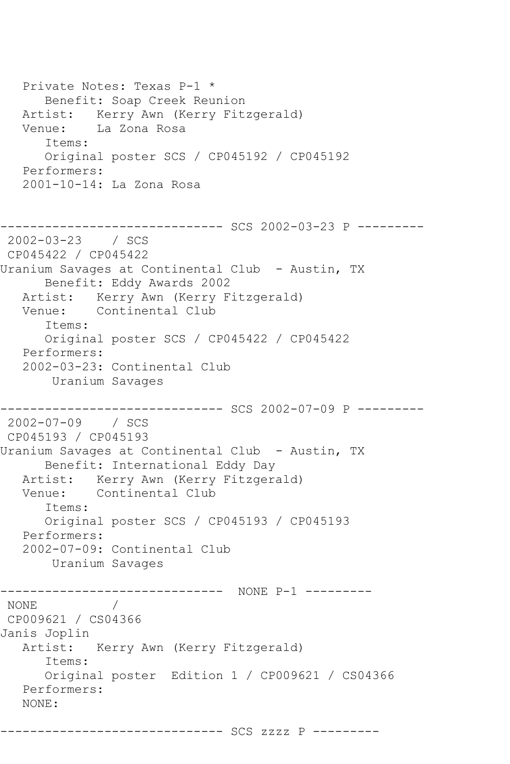Private Notes: Texas P-1 \* Benefit: Soap Creek Reunion Artist: Kerry Awn (Kerry Fitzgerald) Venue: La Zona Rosa Items: Original poster SCS / CP045192 / CP045192 Performers: 2001-10-14: La Zona Rosa ------------------------------ SCS 2002-03-23 P --------- 2002-03-23 / SCS CP045422 / CP045422 Uranium Savages at Continental Club - Austin, TX Benefit: Eddy Awards 2002 Artist: Kerry Awn (Kerry Fitzgerald) Venue: Continental Club Items: Original poster SCS / CP045422 / CP045422 Performers: 2002-03-23: Continental Club Uranium Savages ------------------------------ SCS 2002-07-09 P --------- 2002-07-09 / SCS CP045193 / CP045193 Uranium Savages at Continental Club - Austin, TX Benefit: International Eddy Day Artist: Kerry Awn (Kerry Fitzgerald) Venue: Continental Club Items: Original poster SCS / CP045193 / CP045193 Performers: 2002-07-09: Continental Club Uranium Savages ------------------------------ NONE P-1 --------- NONE / CP009621 / CS04366 Janis Joplin Artist: Kerry Awn (Kerry Fitzgerald) Items: Original poster Edition 1 / CP009621 / CS04366 Performers: NONE:

------------------------------ SCS zzzz P ---------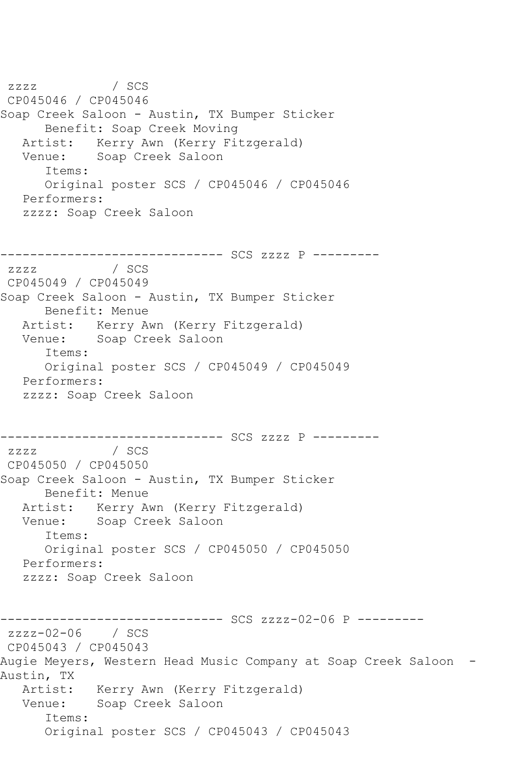zzzz / SCS CP045046 / CP045046 Soap Creek Saloon - Austin, TX Bumper Sticker Benefit: Soap Creek Moving Artist: Kerry Awn (Kerry Fitzgerald) Venue: Soap Creek Saloon Items: Original poster SCS / CP045046 / CP045046 Performers: zzzz: Soap Creek Saloon ------------------------------ SCS zzzz P -------- zzzz / SCS CP045049 / CP045049 Soap Creek Saloon - Austin, TX Bumper Sticker Benefit: Menue Artist: Kerry Awn (Kerry Fitzgerald) Venue: Soap Creek Saloon Items: Original poster SCS / CP045049 / CP045049 Performers: zzzz: Soap Creek Saloon ------------------------------ SCS zzzz P -------- zzzz / SCS CP045050 / CP045050 Soap Creek Saloon - Austin, TX Bumper Sticker Benefit: Menue Artist: Kerry Awn (Kerry Fitzgerald) Venue: Soap Creek Saloon Items: Original poster SCS / CP045050 / CP045050 Performers: zzzz: Soap Creek Saloon ------------------------------ SCS zzzz-02-06 P -------- zzzz-02-06 / SCS CP045043 / CP045043 Augie Meyers, Western Head Music Company at Soap Creek Saloon - Austin, TX Artist: Kerry Awn (Kerry Fitzgerald) Venue: Soap Creek Saloon Items: Original poster SCS / CP045043 / CP045043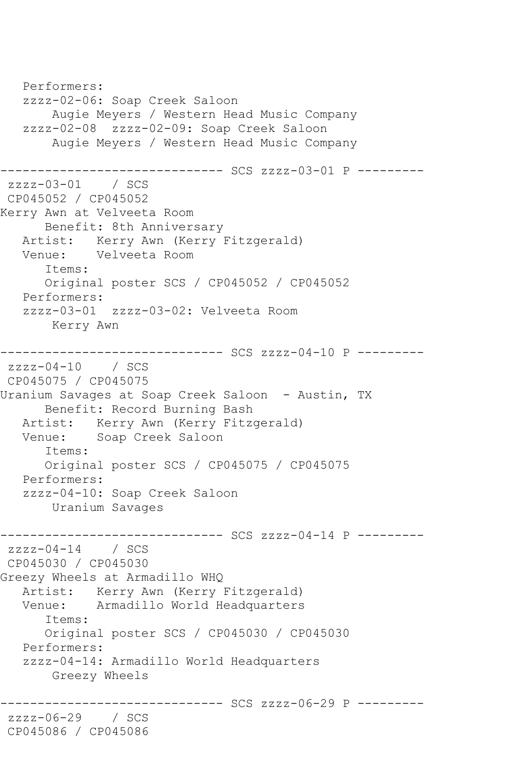```
 Performers:
    zzzz-02-06: Soap Creek Saloon
        Augie Meyers / Western Head Music Company
    zzzz-02-08 zzzz-02-09: Soap Creek Saloon
        Augie Meyers / Western Head Music Company
                 ------------------------------ SCS zzzz-03-01 P ---------
zzzz-03-01 / SCS 
CP045052 / CP045052
Kerry Awn at Velveeta Room
       Benefit: 8th Anniversary
   Artist: Kerry Awn (Kerry Fitzgerald)<br>Venue: Velveeta Room
            Velveeta Room
       Items:
       Original poster SCS / CP045052 / CP045052
    Performers:
    zzzz-03-01 zzzz-03-02: Velveeta Room
        Kerry Awn
------------------------------ SCS zzzz-04-10 P ---------
zzzz-04-10 / SCS 
CP045075 / CP045075
Uranium Savages at Soap Creek Saloon - Austin, TX
       Benefit: Record Burning Bash
   Artist: Kerry Awn (Kerry Fitzgerald)<br>Venue: Soap Creek Saloon
            Soap Creek Saloon
       Items:
       Original poster SCS / CP045075 / CP045075
    Performers:
    zzzz-04-10: Soap Creek Saloon
        Uranium Savages
------------------------------ SCS zzzz-04-14 P ---------
zzzz-04-14 / SCS
CP045030 / CP045030
Greezy Wheels at Armadillo WHQ
    Artist: Kerry Awn (Kerry Fitzgerald)
    Venue: Armadillo World Headquarters
       Items:
       Original poster SCS / CP045030 / CP045030
    Performers:
    zzzz-04-14: Armadillo World Headquarters
        Greezy Wheels
                     ------------------------------ SCS zzzz-06-29 P ---------
zzzz-06-29 / SCS 
CP045086 / CP045086
```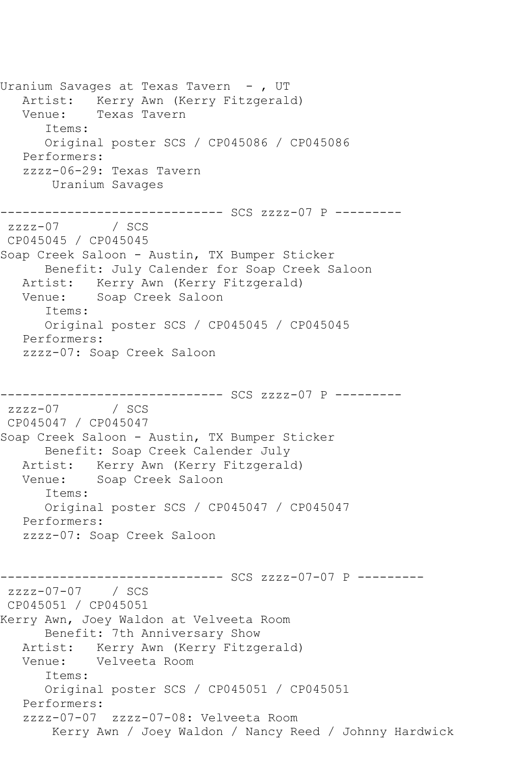Uranium Savages at Texas Tavern - , UT Artist: Kerry Awn (Kerry Fitzgerald) Venue: Texas Tavern Items: Original poster SCS / CP045086 / CP045086 Performers: zzzz-06-29: Texas Tavern Uranium Savages ------------------------------ SCS zzzz-07 P --------  $zzzz-07$ CP045045 / CP045045 Soap Creek Saloon - Austin, TX Bumper Sticker Benefit: July Calender for Soap Creek Saloon Artist: Kerry Awn (Kerry Fitzgerald) Venue: Soap Creek Saloon Items: Original poster SCS / CP045045 / CP045045 Performers: zzzz-07: Soap Creek Saloon ------------------------------ SCS zzzz-07 P --------  $zzzz-07$ CP045047 / CP045047 Soap Creek Saloon - Austin, TX Bumper Sticker Benefit: Soap Creek Calender July Artist: Kerry Awn (Kerry Fitzgerald) Venue: Soap Creek Saloon Items: Original poster SCS / CP045047 / CP045047 Performers: zzzz-07: Soap Creek Saloon ------------------------------ SCS zzzz-07-07 P -------- zzzz-07-07 / SCS CP045051 / CP045051 Kerry Awn, Joey Waldon at Velveeta Room Benefit: 7th Anniversary Show Artist: Kerry Awn (Kerry Fitzgerald) Venue: Velveeta Room Items: Original poster SCS / CP045051 / CP045051 Performers: zzzz-07-07 zzzz-07-08: Velveeta Room Kerry Awn / Joey Waldon / Nancy Reed / Johnny Hardwick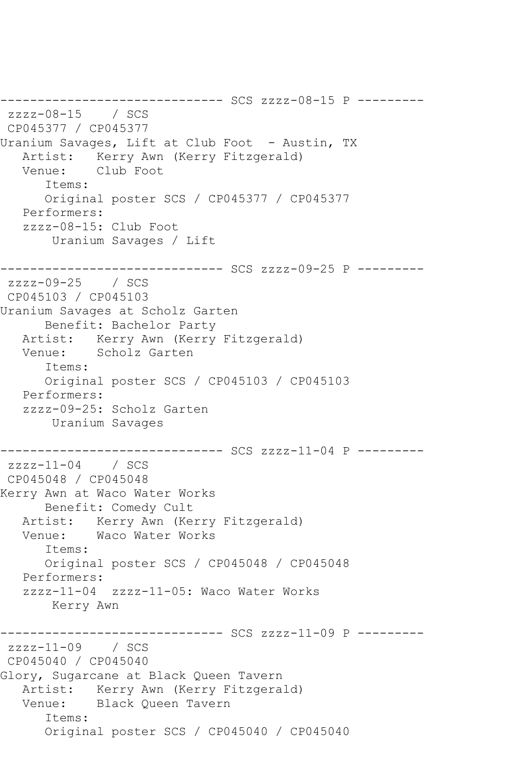------------------------------ SCS zzzz-08-15 P -------- zzzz-08-15 / SCS CP045377 / CP045377 Uranium Savages, Lift at Club Foot - Austin, TX Artist: Kerry Awn (Kerry Fitzgerald) Venue: Club Foot Items: Original poster SCS / CP045377 / CP045377 Performers: zzzz-08-15: Club Foot Uranium Savages / Lift ------------------------------ SCS zzzz-09-25 P -------- zzzz-09-25 / SCS CP045103 / CP045103 Uranium Savages at Scholz Garten Benefit: Bachelor Party<br>Artist: Kerry Awn (Kerry Kerry Awn (Kerry Fitzgerald) Venue: Scholz Garten Items: Original poster SCS / CP045103 / CP045103 Performers: zzzz-09-25: Scholz Garten Uranium Savages ------------------------------ SCS zzzz-11-04 P --------  $zzzz-11-04$  / SCS CP045048 / CP045048 Kerry Awn at Waco Water Works Benefit: Comedy Cult Artist: Kerry Awn (Kerry Fitzgerald)<br>Venue: Waco Water Works Waco Water Works Items: Original poster SCS / CP045048 / CP045048 Performers: zzzz-11-04 zzzz-11-05: Waco Water Works Kerry Awn ------------------------------ SCS zzzz-11-09 P --------  $zzzz-11-09$  / SCS CP045040 / CP045040 Glory, Sugarcane at Black Queen Tavern Artist: Kerry Awn (Kerry Fitzgerald) Venue: Black Queen Tavern Items: Original poster SCS / CP045040 / CP045040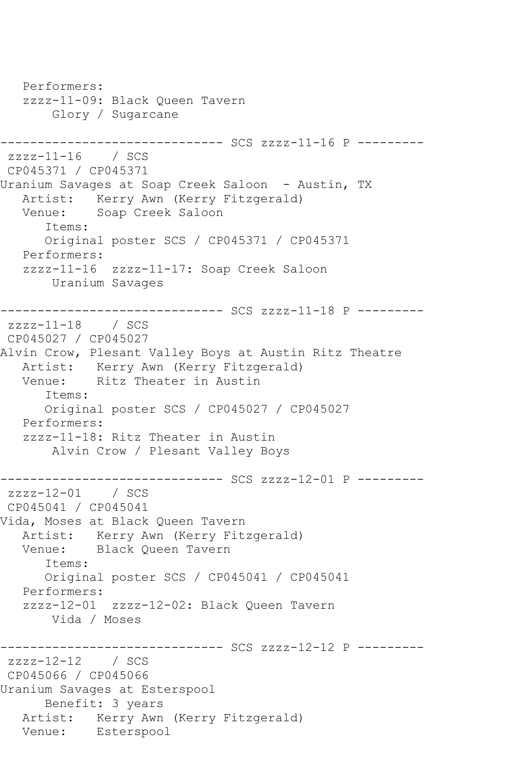```
 Performers:
    zzzz-11-09: Black Queen Tavern
        Glory / Sugarcane
------------------------------ SCS zzzz-11-16 P ---------
zzzz-11-16 / SCS 
CP045371 / CP045371
Uranium Savages at Soap Creek Saloon - Austin, TX
   Artist: Kerry Awn (Kerry Fitzgerald)
   Venue: Soap Creek Saloon
       Items:
       Original poster SCS / CP045371 / CP045371
   Performers:
    zzzz-11-16 zzzz-11-17: Soap Creek Saloon
        Uranium Savages
------------------------------ SCS zzzz-11-18 P ---------
zzzz-11-18 / SCS 
CP045027 / CP045027
Alvin Crow, Plesant Valley Boys at Austin Ritz Theatre
   Artist: Kerry Awn (Kerry Fitzgerald)
   Venue: Ritz Theater in Austin
       Items:
       Original poster SCS / CP045027 / CP045027
   Performers:
    zzzz-11-18: Ritz Theater in Austin
        Alvin Crow / Plesant Valley Boys
                ------------------------------ SCS zzzz-12-01 P ---------
zzzz-12-01 / SCS 
CP045041 / CP045041
Vida, Moses at Black Queen Tavern
  Artist: Kerry Awn (Kerry Fitzgerald)<br>Venue: Black Oueen Tavern
            Black Queen Tavern
       Items:
       Original poster SCS / CP045041 / CP045041
   Performers:
    zzzz-12-01 zzzz-12-02: Black Queen Tavern
        Vida / Moses
                   ------------ SCS zzzz-12-12 P ----------
zzzz-12-12 / SCS 
CP045066 / CP045066
Uranium Savages at Esterspool
       Benefit: 3 years
   Artist: Kerry Awn (Kerry Fitzgerald)
   Venue: Esterspool
```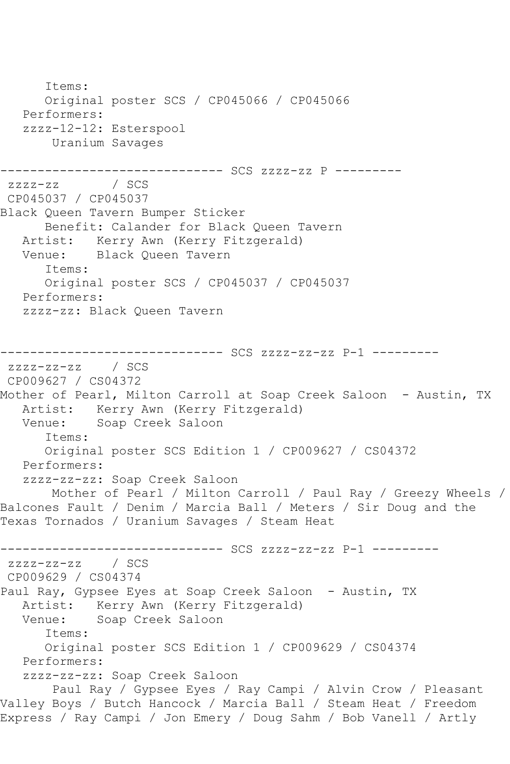Items: Original poster SCS / CP045066 / CP045066 Performers: zzzz-12-12: Esterspool Uranium Savages ------------------------------ SCS zzzz-zz P -------- zzzz-zz / SCS CP045037 / CP045037 Black Queen Tavern Bumper Sticker Benefit: Calander for Black Queen Tavern Artist: Kerry Awn (Kerry Fitzgerald) Venue: Black Queen Tavern Items: Original poster SCS / CP045037 / CP045037 Performers: zzzz-zz: Black Queen Tavern ------------------------------ SCS zzzz-zz-zz P-1 -------- zzzz-zz-zz / SCS CP009627 / CS04372 Mother of Pearl, Milton Carroll at Soap Creek Saloon - Austin, TX Artist: Kerry Awn (Kerry Fitzgerald) Venue: Soap Creek Saloon Items: Original poster SCS Edition 1 / CP009627 / CS04372 Performers: zzzz-zz-zz: Soap Creek Saloon Mother of Pearl / Milton Carroll / Paul Ray / Greezy Wheels / Balcones Fault / Denim / Marcia Ball / Meters / Sir Doug and the Texas Tornados / Uranium Savages / Steam Heat ------------------------------ SCS zzzz-zz-zz P-1 -------- zzzz-zz-zz / SCS CP009629 / CS04374 Paul Ray, Gypsee Eyes at Soap Creek Saloon - Austin, TX Artist: Kerry Awn (Kerry Fitzgerald) Venue: Soap Creek Saloon Items: Original poster SCS Edition 1 / CP009629 / CS04374 Performers: zzzz-zz-zz: Soap Creek Saloon Paul Ray / Gypsee Eyes / Ray Campi / Alvin Crow / Pleasant Valley Boys / Butch Hancock / Marcia Ball / Steam Heat / Freedom Express / Ray Campi / Jon Emery / Doug Sahm / Bob Vanell / Artly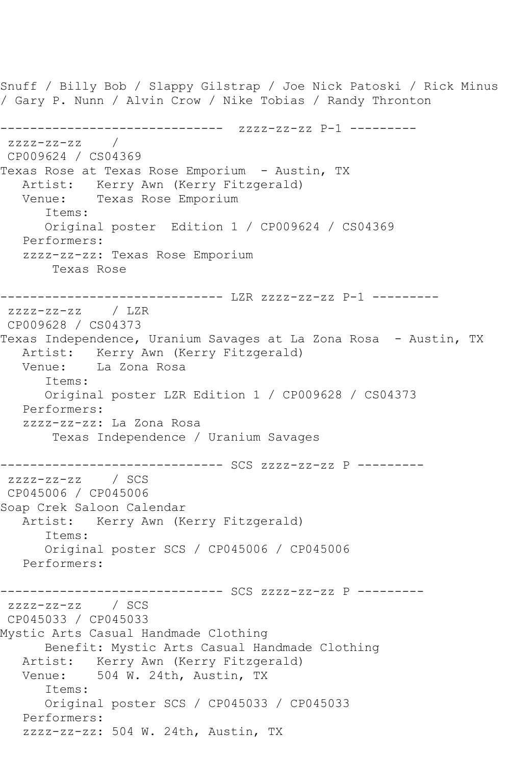Snuff / Billy Bob / Slappy Gilstrap / Joe Nick Patoski / Rick Minus / Gary P. Nunn / Alvin Crow / Nike Tobias / Randy Thronton ------------------------------ zzzz-zz-zz P-1 ---------  $ZZZ-ZZ-Z$ CP009624 / CS04369 Texas Rose at Texas Rose Emporium - Austin, TX Artist: Kerry Awn (Kerry Fitzgerald) Venue: Texas Rose Emporium Items: Original poster Edition 1 / CP009624 / CS04369 Performers: zzzz-zz-zz: Texas Rose Emporium Texas Rose ------------------------------ LZR zzzz-zz-zz P-1 -------- zzzz-zz-zz / LZR CP009628 / CS04373 Texas Independence, Uranium Savages at La Zona Rosa - Austin, TX Artist: Kerry Awn (Kerry Fitzgerald)<br>Venue: La Zona Rosa La Zona Rosa Items: Original poster LZR Edition 1 / CP009628 / CS04373 Performers: zzzz-zz-zz: La Zona Rosa Texas Independence / Uranium Savages ------------------------------ SCS zzzz-zz-zz P -------- zzzz-zz-zz / SCS CP045006 / CP045006 Soap Crek Saloon Calendar Artist: Kerry Awn (Kerry Fitzgerald) Items: Original poster SCS / CP045006 / CP045006 Performers: ------------------------------ SCS zzzz-zz-zz P -------- zzzz-zz-zz / SCS CP045033 / CP045033 Mystic Arts Casual Handmade Clothing Benefit: Mystic Arts Casual Handmade Clothing Artist: Kerry Awn (Kerry Fitzgerald)<br>Venue: 504 W. 24th, Austin, TX 504 W. 24th, Austin, TX Items: Original poster SCS / CP045033 / CP045033 Performers: zzzz-zz-zz: 504 W. 24th, Austin, TX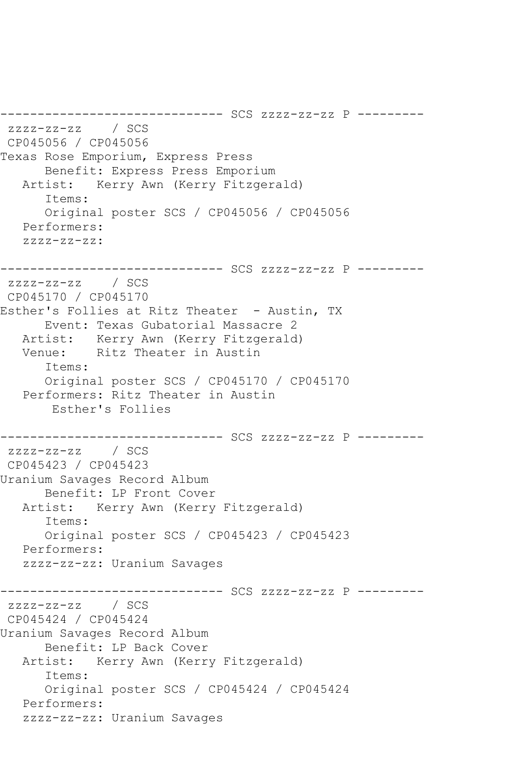```
------------------------------ SCS zzzz-zz-zz P ---------
zzzz-zz-zz / SCS 
CP045056 / CP045056
Texas Rose Emporium, Express Press
      Benefit: Express Press Emporium
   Artist: Kerry Awn (Kerry Fitzgerald)
       Items:
       Original poster SCS / CP045056 / CP045056
   Performers:
   zzzz-zz-zz:
------------------------------ SCS zzzz-zz-zz P ---------
zzzz-zz-zz / SCS 
CP045170 / CP045170
Esther's Follies at Ritz Theater - Austin, TX
   Event: Texas Gubatorial Massacre 2
           Kerry Awn (Kerry Fitzgerald)
   Venue: Ritz Theater in Austin
       Items:
       Original poster SCS / CP045170 / CP045170
   Performers: Ritz Theater in Austin
        Esther's Follies
------------------------------ SCS zzzz-zz-zz P ---------
zzzz-zz-zz / SCS 
CP045423 / CP045423
Uranium Savages Record Album
       Benefit: LP Front Cover
   Artist: Kerry Awn (Kerry Fitzgerald)
       Items:
       Original poster SCS / CP045423 / CP045423
   Performers:
   zzzz-zz-zz: Uranium Savages
------------------------------ SCS zzzz-zz-zz P ---------
zzzz-zz-zz / SCS 
CP045424 / CP045424
Uranium Savages Record Album
      Benefit: LP Back Cover
   Artist: Kerry Awn (Kerry Fitzgerald)
       Items:
       Original poster SCS / CP045424 / CP045424
   Performers:
   zzzz-zz-zz: Uranium Savages
```